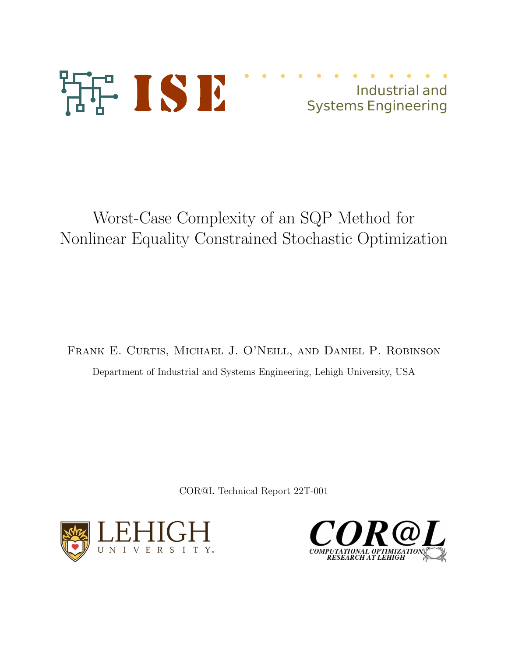

## Industrial and Systems Engineering

# Worst-Case Complexity of an SQP Method for Nonlinear Equality Constrained Stochastic Optimization

Frank E. Curtis, Michael J. O'Neill, and Daniel P. Robinson Department of Industrial and Systems Engineering, Lehigh University, USA

COR@L Technical Report 22T-001



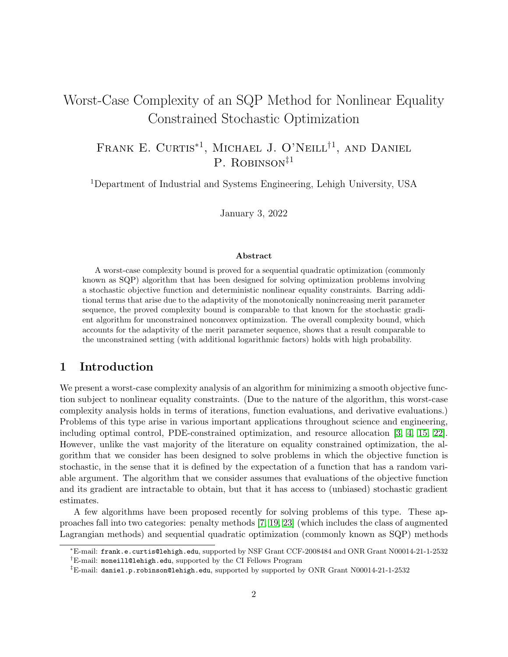## Worst-Case Complexity of an SQP Method for Nonlinear Equality Constrained Stochastic Optimization

FRANK E. CURTIS<sup>\*1</sup>, MICHAEL J. O'NEILL<sup>†1</sup>, AND DANIEL P. ROBINSON<sup> $\ddagger$ 1</sup>

<sup>1</sup>Department of Industrial and Systems Engineering, Lehigh University, USA

January 3, 2022

#### Abstract

A worst-case complexity bound is proved for a sequential quadratic optimization (commonly known as SQP) algorithm that has been designed for solving optimization problems involving a stochastic objective function and deterministic nonlinear equality constraints. Barring additional terms that arise due to the adaptivity of the monotonically nonincreasing merit parameter sequence, the proved complexity bound is comparable to that known for the stochastic gradient algorithm for unconstrained nonconvex optimization. The overall complexity bound, which accounts for the adaptivity of the merit parameter sequence, shows that a result comparable to the unconstrained setting (with additional logarithmic factors) holds with high probability.

## 1 Introduction

We present a worst-case complexity analysis of an algorithm for minimizing a smooth objective function subject to nonlinear equality constraints. (Due to the nature of the algorithm, this worst-case complexity analysis holds in terms of iterations, function evaluations, and derivative evaluations.) Problems of this type arise in various important applications throughout science and engineering, including optimal control, PDE-constrained optimization, and resource allocation [\[3,](#page-29-0) [4,](#page-29-1) [15,](#page-29-2) [22\]](#page-30-0). However, unlike the vast majority of the literature on equality constrained optimization, the algorithm that we consider has been designed to solve problems in which the objective function is stochastic, in the sense that it is defined by the expectation of a function that has a random variable argument. The algorithm that we consider assumes that evaluations of the objective function and its gradient are intractable to obtain, but that it has access to (unbiased) stochastic gradient estimates.

A few algorithms have been proposed recently for solving problems of this type. These approaches fall into two categories: penalty methods [\[7,](#page-29-3) [19,](#page-30-1) [23\]](#page-30-2) (which includes the class of augmented Lagrangian methods) and sequential quadratic optimization (commonly known as SQP) methods

<sup>∗</sup>E-mail: frank.e.curtis@lehigh.edu, supported by NSF Grant CCF-2008484 and ONR Grant N00014-21-1-2532 †E-mail: moneill@lehigh.edu, supported by the CI Fellows Program

<sup>‡</sup>E-mail: daniel.p.robinson@lehigh.edu, supported by supported by ONR Grant N00014-21-1-2532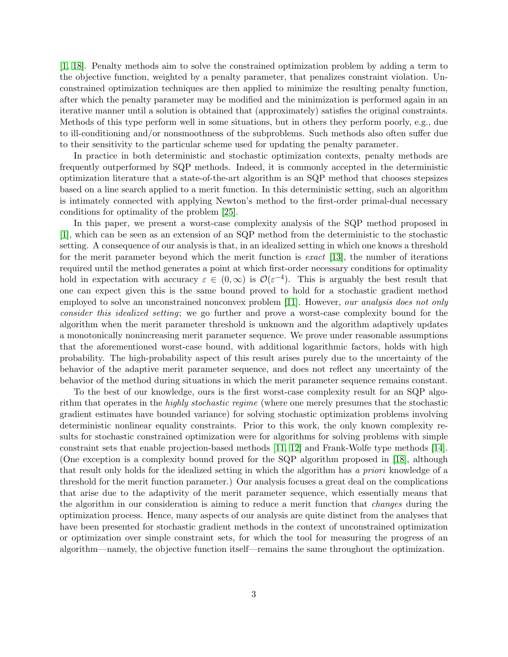[\[1,](#page-28-0) [18\]](#page-29-4). Penalty methods aim to solve the constrained optimization problem by adding a term to the objective function, weighted by a penalty parameter, that penalizes constraint violation. Unconstrained optimization techniques are then applied to minimize the resulting penalty function, after which the penalty parameter may be modified and the minimization is performed again in an iterative manner until a solution is obtained that (approximately) satisfies the original constraints. Methods of this type perform well in some situations, but in others they perform poorly, e.g., due to ill-conditioning and/or nonsmoothness of the subproblems. Such methods also often suffer due to their sensitivity to the particular scheme used for updating the penalty parameter.

In practice in both deterministic and stochastic optimization contexts, penalty methods are frequently outperformed by SQP methods. Indeed, it is commonly accepted in the deterministic optimization literature that a state-of-the-art algorithm is an SQP method that chooses stepsizes based on a line search applied to a merit function. In this deterministic setting, such an algorithm is intimately connected with applying Newton's method to the first-order primal-dual necessary conditions for optimality of the problem [\[25\]](#page-30-3).

In this paper, we present a worst-case complexity analysis of the SQP method proposed in [\[1\]](#page-28-0), which can be seen as an extension of an SQP method from the deterministic to the stochastic setting. A consequence of our analysis is that, in an idealized setting in which one knows a threshold for the merit parameter beyond which the merit function is  $\epsilon x \alpha ct$  [\[13\]](#page-29-5), the number of iterations required until the method generates a point at which first-order necessary conditions for optimality hold in expectation with accuracy  $\varepsilon \in (0,\infty)$  is  $\mathcal{O}(\varepsilon^{-4})$ . This is arguably the best result that one can expect given this is the same bound proved to hold for a stochastic gradient method employed to solve an unconstrained nonconvex problem [\[11\]](#page-29-6). However, our analysis does not only consider this idealized setting; we go further and prove a worst-case complexity bound for the algorithm when the merit parameter threshold is unknown and the algorithm adaptively updates a monotonically nonincreasing merit parameter sequence. We prove under reasonable assumptions that the aforementioned worst-case bound, with additional logarithmic factors, holds with high probability. The high-probability aspect of this result arises purely due to the uncertainty of the behavior of the adaptive merit parameter sequence, and does not reflect any uncertainty of the behavior of the method during situations in which the merit parameter sequence remains constant.

To the best of our knowledge, ours is the first worst-case complexity result for an SQP algorithm that operates in the highly stochastic regime (where one merely presumes that the stochastic gradient estimates have bounded variance) for solving stochastic optimization problems involving deterministic nonlinear equality constraints. Prior to this work, the only known complexity results for stochastic constrained optimization were for algorithms for solving problems with simple constraint sets that enable projection-based methods [\[11,](#page-29-6) [12\]](#page-29-7) and Frank-Wolfe type methods [\[14\]](#page-29-8). (One exception is a complexity bound proved for the SQP algorithm proposed in [\[18\]](#page-29-4), although that result only holds for the idealized setting in which the algorithm has a priori knowledge of a threshold for the merit function parameter.) Our analysis focuses a great deal on the complications that arise due to the adaptivity of the merit parameter sequence, which essentially means that the algorithm in our consideration is aiming to reduce a merit function that changes during the optimization process. Hence, many aspects of our analysis are quite distinct from the analyses that have been presented for stochastic gradient methods in the context of unconstrained optimization or optimization over simple constraint sets, for which the tool for measuring the progress of an algorithm—namely, the objective function itself—remains the same throughout the optimization.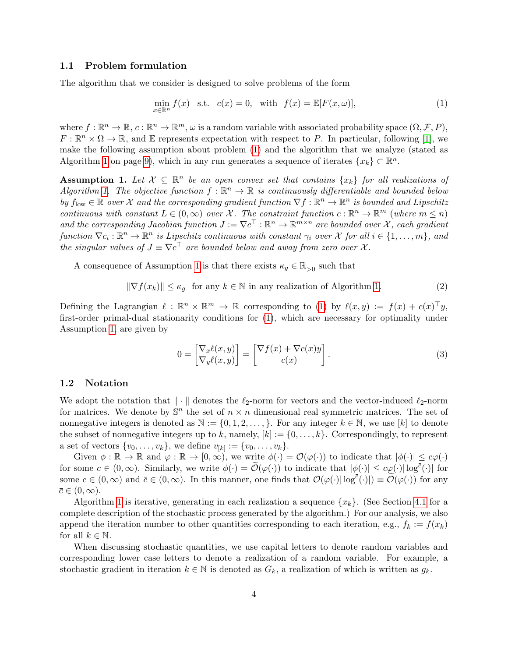## 1.1 Problem formulation

The algorithm that we consider is designed to solve problems of the form

<span id="page-3-0"></span>
$$
\min_{x \in \mathbb{R}^n} f(x) \quad \text{s.t.} \quad c(x) = 0, \quad \text{with} \quad f(x) = \mathbb{E}[F(x, \omega)],\tag{1}
$$

where  $f: \mathbb{R}^n \to \mathbb{R}, c: \mathbb{R}^n \to \mathbb{R}^m, \omega$  is a random variable with associated probability space  $(\Omega, \mathcal{F}, P)$ ,  $F: \mathbb{R}^n \times \Omega \to \mathbb{R}$ , and E represents expectation with respect to P. In particular, following [\[1\]](#page-28-0), we make the following assumption about problem [\(1\)](#page-3-0) and the algorithm that we analyze (stated as Algorithm [1](#page-8-0) on page [9\)](#page-8-0), which in any run generates a sequence of iterates  $\{x_k\} \subset \mathbb{R}^n$ .

<span id="page-3-1"></span>**Assumption 1.** Let  $\mathcal{X} \subseteq \mathbb{R}^n$  be an open convex set that contains  $\{x_k\}$  for all realizations of Algorithm [1.](#page-8-0) The objective function  $f : \mathbb{R}^n \to \mathbb{R}$  is continuously differentiable and bounded below by  $f_{\text{low}} \in \mathbb{R}$  over X and the corresponding gradient function  $\nabla f : \mathbb{R}^n \to \mathbb{R}^n$  is bounded and Lipschitz continuous with constant  $L \in (0,\infty)$  over X. The constraint function  $c : \mathbb{R}^n \to \mathbb{R}^m$  (where  $m \leq n$ ) and the corresponding Jacobian function  $J := \nabla c^{\top} : \mathbb{R}^n \to \mathbb{R}^{m \times n}$  are bounded over X, each gradient function  $\nabla c_i : \mathbb{R}^n \to \mathbb{R}^n$  is Lipschitz continuous with constant  $\gamma_i$  over X for all  $i \in \{1, ..., m\}$ , and the singular values of  $J \equiv \nabla c^{\top}$  are bounded below and away from zero over X.

A consequence of Assumption [1](#page-3-1) is that there exists  $\kappa_g \in \mathbb{R}_{>0}$  such that

<span id="page-3-2"></span>
$$
\|\nabla f(x_k)\| \le \kappa_g \quad \text{for any } k \in \mathbb{N} \text{ in any realization of Algorithm 1.}
$$
 (2)

Defining the Lagrangian  $\ell : \mathbb{R}^n \times \mathbb{R}^m \to \mathbb{R}$  corresponding to [\(1\)](#page-3-0) by  $\ell(x, y) := f(x) + c(x)^{\top}y$ , first-order primal-dual stationarity conditions for [\(1\)](#page-3-0), which are necessary for optimality under Assumption [1,](#page-3-1) are given by

<span id="page-3-3"></span>
$$
0 = \begin{bmatrix} \nabla_x \ell(x, y) \\ \nabla_y \ell(x, y) \end{bmatrix} = \begin{bmatrix} \nabla f(x) + \nabla c(x) y \\ c(x) \end{bmatrix}.
$$
 (3)

#### 1.2 Notation

We adopt the notation that  $\|\cdot\|$  denotes the  $\ell_2$ -norm for vectors and the vector-induced  $\ell_2$ -norm for matrices. We denote by  $\mathbb{S}^n$  the set of  $n \times n$  dimensional real symmetric matrices. The set of nonnegative integers is denoted as  $\mathbb{N} := \{0, 1, 2, \ldots\}$ . For any integer  $k \in \mathbb{N}$ , we use [k] to denote the subset of nonnegative integers up to k, namely,  $[k] := \{0, \ldots, k\}$ . Correspondingly, to represent a set of vectors  $\{v_0, \ldots, v_k\}$ , we define  $v_{[k]} := \{v_0, \ldots, v_k\}.$ 

Given  $\phi : \mathbb{R} \to \mathbb{R}$  and  $\varphi : \mathbb{R} \to [0, \infty)$ , we write  $\phi(\cdot) = \mathcal{O}(\varphi(\cdot))$  to indicate that  $|\phi(\cdot)| \leq c\varphi(\cdot)$ for some  $c \in (0, \infty)$ . Similarly, we write  $\phi(\cdot) = \widetilde{\mathcal{O}}(\varphi(\cdot))$  to indicate that  $|\phi(\cdot)| \leq c\varphi(\cdot)|\log^{\overline{c}}(\cdot)|$  for some  $c \in (0, \infty)$  and  $\bar{c} \in (0, \infty)$ . In this manner, one finds that  $\mathcal{O}(\varphi(\cdot) | \log^{\bar{c}}(\cdot)) \equiv \widetilde{\mathcal{O}}(\varphi(\cdot))$  for any  $\bar{c} \in (0,\infty).$ 

Algorithm [1](#page-8-0) is iterative, generating in each realization a sequence  $\{x_k\}$ . (See Section [4.1](#page-9-0) for a complete description of the stochastic process generated by the algorithm.) For our analysis, we also append the iteration number to other quantities corresponding to each iteration, e.g.,  $f_k := f(x_k)$ for all  $k \in \mathbb{N}$ .

When discussing stochastic quantities, we use capital letters to denote random variables and corresponding lower case letters to denote a realization of a random variable. For example, a stochastic gradient in iteration  $k \in \mathbb{N}$  is denoted as  $G_k$ , a realization of which is written as  $g_k$ .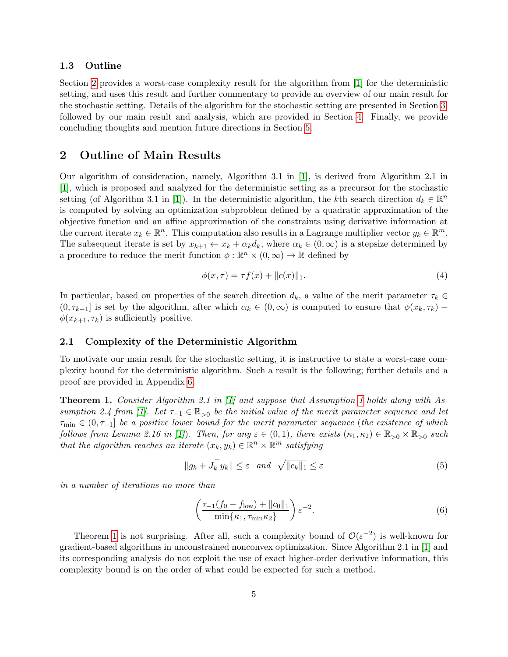#### 1.3 Outline

Section [2](#page-4-0) provides a worst-case complexity result for the algorithm from [\[1\]](#page-28-0) for the deterministic setting, and uses this result and further commentary to provide an overview of our main result for the stochastic setting. Details of the algorithm for the stochastic setting are presented in Section [3,](#page-6-0) followed by our main result and analysis, which are provided in Section [4.](#page-8-1) Finally, we provide concluding thoughts and mention future directions in Section [5.](#page-28-1)

## <span id="page-4-0"></span>2 Outline of Main Results

Our algorithm of consideration, namely, Algorithm 3.1 in [\[1\]](#page-28-0), is derived from Algorithm 2.1 in [\[1\]](#page-28-0), which is proposed and analyzed for the deterministic setting as a precursor for the stochastic setting (of Algorithm 3.1 in [\[1\]](#page-28-0)). In the deterministic algorithm, the kth search direction  $d_k \in \mathbb{R}^n$ is computed by solving an optimization subproblem defined by a quadratic approximation of the objective function and an affine approximation of the constraints using derivative information at the current iterate  $x_k \in \mathbb{R}^n$ . This computation also results in a Lagrange multiplier vector  $y_k \in \mathbb{R}^m$ . The subsequent iterate is set by  $x_{k+1} \leftarrow x_k + \alpha_k d_k$ , where  $\alpha_k \in (0, \infty)$  is a stepsize determined by a procedure to reduce the merit function  $\phi : \mathbb{R}^n \times (0, \infty) \to \mathbb{R}$  defined by

<span id="page-4-2"></span>
$$
\phi(x,\tau) = \tau f(x) + \|c(x)\|_1.
$$
\n(4)

In particular, based on properties of the search direction  $d_k$ , a value of the merit parameter  $\tau_k \in$  $(0, \tau_{k-1}]$  is set by the algorithm, after which  $\alpha_k \in (0, \infty)$  is computed to ensure that  $\phi(x_k, \tau_k)$  –  $\phi(x_{k+1}, \tau_k)$  is sufficiently positive.

## 2.1 Complexity of the Deterministic Algorithm

To motivate our main result for the stochastic setting, it is instructive to state a worst-case complexity bound for the deterministic algorithm. Such a result is the following; further details and a proof are provided in Appendix [6.](#page-30-4)

<span id="page-4-1"></span>Theorem 1. Consider Algorithm 2.1 in [\[1\]](#page-28-0) and suppose that Assumption [1](#page-3-1) holds along with As-sumption 2.4 from [\[1\]](#page-28-0). Let  $\tau_{-1} \in \mathbb{R}_{>0}$  be the initial value of the merit parameter sequence and let  $\tau_{\min} \in (0, \tau_{-1}]$  be a positive lower bound for the merit parameter sequence (the existence of which follows from Lemma 2.16 in [\[1\]](#page-28-0)). Then, for any  $\varepsilon \in (0,1)$ , there exists  $(\kappa_1, \kappa_2) \in \mathbb{R}_{>0} \times \mathbb{R}_{>0}$  such that the algorithm reaches an iterate  $(x_k, y_k) \in \mathbb{R}^n \times \mathbb{R}^m$  satisfying

<span id="page-4-4"></span>
$$
||g_k + J_k^{\top} y_k|| \le \varepsilon \quad and \quad \sqrt{||c_k||_1} \le \varepsilon \tag{5}
$$

in a number of iterations no more than

<span id="page-4-3"></span>
$$
\left(\frac{\tau_{-1}(f_0 - f_{\text{low}}) + ||c_0||_1}{\min\{\kappa_1, \tau_{\min}\kappa_2\}}\right) \varepsilon^{-2}.
$$
\n(6)

Theorem [1](#page-4-1) is not surprising. After all, such a complexity bound of  $\mathcal{O}(\varepsilon^{-2})$  is well-known for gradient-based algorithms in unconstrained nonconvex optimization. Since Algorithm 2.1 in [\[1\]](#page-28-0) and its corresponding analysis do not exploit the use of exact higher-order derivative information, this complexity bound is on the order of what could be expected for such a method.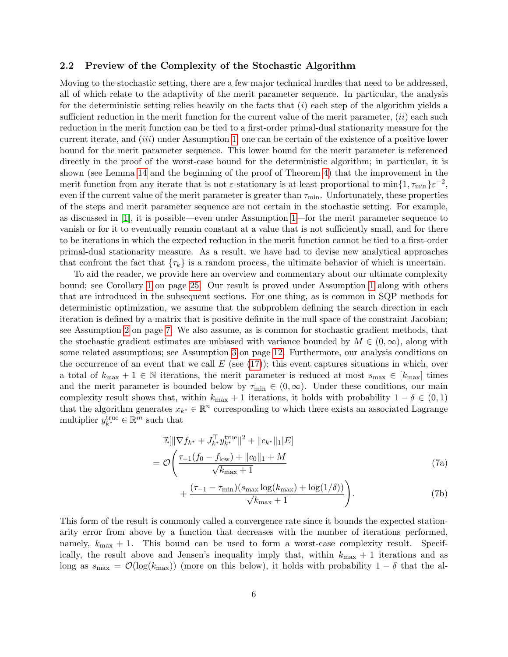## <span id="page-5-2"></span>2.2 Preview of the Complexity of the Stochastic Algorithm

Moving to the stochastic setting, there are a few major technical hurdles that need to be addressed, all of which relate to the adaptivity of the merit parameter sequence. In particular, the analysis for the deterministic setting relies heavily on the facts that  $(i)$  each step of the algorithm yields a sufficient reduction in the merit function for the current value of the merit parameter,  $(ii)$  each such reduction in the merit function can be tied to a first-order primal-dual stationarity measure for the current iterate, and (iii) under Assumption [1,](#page-3-1) one can be certain of the existence of a positive lower bound for the merit parameter sequence. This lower bound for the merit parameter is referenced directly in the proof of the worst-case bound for the deterministic algorithm; in particular, it is shown (see Lemma [14](#page-30-5) and the beginning of the proof of Theorem [4\)](#page-31-0) that the improvement in the merit function from any iterate that is not  $\varepsilon$ -stationary is at least proportional to  $\min\{1,\tau_{\min}\}\varepsilon^{-2}$ , even if the current value of the merit parameter is greater than  $\tau_{\rm min}$ . Unfortunately, these properties of the steps and merit parameter sequence are not certain in the stochastic setting. For example, as discussed in [\[1\]](#page-28-0), it is possible—even under Assumption [1—](#page-3-1)for the merit parameter sequence to vanish or for it to eventually remain constant at a value that is not sufficiently small, and for there to be iterations in which the expected reduction in the merit function cannot be tied to a first-order primal-dual stationarity measure. As a result, we have had to devise new analytical approaches that confront the fact that  $\{\tau_k\}$  is a random process, the ultimate behavior of which is uncertain.

To aid the reader, we provide here an overview and commentary about our ultimate complexity bound; see Corollary [1](#page-24-0) on page [25.](#page-24-0) Our result is proved under Assumption [1](#page-3-1) along with others that are introduced in the subsequent sections. For one thing, as is common in SQP methods for deterministic optimization, we assume that the subproblem defining the search direction in each iteration is defined by a matrix that is positive definite in the null space of the constraint Jacobian; see Assumption [2](#page-6-1) on page [7.](#page-6-1) We also assume, as is common for stochastic gradient methods, that the stochastic gradient estimates are unbiased with variance bounded by  $M \in (0, \infty)$ , along with some related assumptions; see Assumption [3](#page-11-0) on page [12.](#page-11-0) Furthermore, our analysis conditions on the occurrence of an event that we call  $E$  (see [\(17\)](#page-10-0)); this event captures situations in which, over a total of  $k_{\text{max}} + 1 \in \mathbb{N}$  iterations, the merit parameter is reduced at most  $s_{\text{max}} \in [k_{\text{max}}]$  times and the merit parameter is bounded below by  $\tau_{\min} \in (0,\infty)$ . Under these conditions, our main complexity result shows that, within  $k_{\text{max}} + 1$  iterations, it holds with probability  $1 - \delta \in (0, 1)$ that the algorithm generates  $x_{k^*} \in \mathbb{R}^n$  corresponding to which there exists an associated Lagrange multiplier  $y_{k^*}^{\text{true}} \in \mathbb{R}^m$  such that

<span id="page-5-3"></span>
$$
\mathbb{E}[\|\nabla f_{k^*} + J_{k^*}^{\top} y_{k^*}^{\text{true}}\|^2 + \|c_{k^*}\|_1 |E]
$$
  
= 
$$
\mathcal{O}\left(\frac{\tau_{-1}(f_0 - f_{\text{low}}) + \|c_0\|_1 + M}{\sqrt{k_{\text{max}} + 1}}\right)
$$
(7a)

<span id="page-5-1"></span><span id="page-5-0"></span>
$$
+\frac{(\tau_{-1}-\tau_{\min})(s_{\max}\log(k_{\max})+\log(1/\delta))}{\sqrt{k_{\max}+1}}\bigg).
$$
\n(7b)

This form of the result is commonly called a convergence rate since it bounds the expected stationarity error from above by a function that decreases with the number of iterations performed, namely,  $k_{\text{max}} + 1$ . This bound can be used to form a worst-case complexity result. Specifically, the result above and Jensen's inequality imply that, within  $k_{\text{max}} + 1$  iterations and as long as  $s_{\text{max}} = \mathcal{O}(\log(k_{\text{max}}))$  (more on this below), it holds with probability  $1 - \delta$  that the al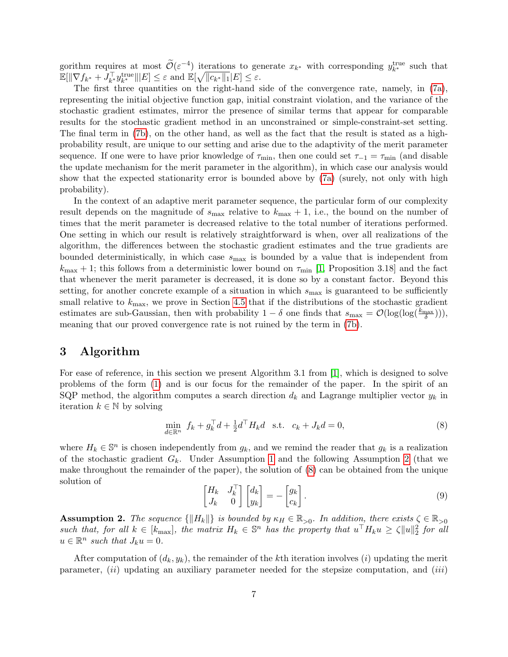gorithm requires at most  $\widetilde{\mathcal{O}}(\varepsilon^{-4})$  iterations to generate  $x_{k^*}$  with corresponding  $y_{k^*}^{\text{true}}$  such that  $\mathbb{E}[\|\nabla f_{k^*} + J_{k^*}^{\text{True}}\| | E] \leq \varepsilon \text{ and } \mathbb{E}[\sqrt{\|c_{k^*}\|_1} | E] \leq \varepsilon.$ 

The first three quantities on the right-hand side of the convergence rate, namely, in [\(7a\)](#page-5-0), representing the initial objective function gap, initial constraint violation, and the variance of the stochastic gradient estimates, mirror the presence of similar terms that appear for comparable results for the stochastic gradient method in an unconstrained or simple-constraint-set setting. The final term in [\(7b\)](#page-5-1), on the other hand, as well as the fact that the result is stated as a highprobability result, are unique to our setting and arise due to the adaptivity of the merit parameter sequence. If one were to have prior knowledge of  $\tau_{\rm min}$ , then one could set  $\tau_{-1} = \tau_{\rm min}$  (and disable the update mechanism for the merit parameter in the algorithm), in which case our analysis would show that the expected stationarity error is bounded above by [\(7a\)](#page-5-0) (surely, not only with high probability).

In the context of an adaptive merit parameter sequence, the particular form of our complexity result depends on the magnitude of  $s_{\text{max}}$  relative to  $k_{\text{max}} + 1$ , i.e., the bound on the number of times that the merit parameter is decreased relative to the total number of iterations performed. One setting in which our result is relatively straightforward is when, over all realizations of the algorithm, the differences between the stochastic gradient estimates and the true gradients are bounded deterministically, in which case  $s_{\text{max}}$  is bounded by a value that is independent from  $k_{\text{max}} + 1$ ; this follows from a deterministic lower bound on  $\tau_{\text{min}}$  [\[1,](#page-28-0) Proposition 3.18] and the fact that whenever the merit parameter is decreased, it is done so by a constant factor. Beyond this setting, for another concrete example of a situation in which  $s_{\text{max}}$  is guaranteed to be sufficiently small relative to  $k_{\text{max}}$ , we prove in Section [4.5](#page-24-1) that if the distributions of the stochastic gradient estimates are sub-Gaussian, then with probability  $1-\delta$  one finds that  $s_{\text{max}} = \mathcal{O}(\log(\log(\frac{k_{\text{max}}}{\delta}))),$ meaning that our proved convergence rate is not ruined by the term in [\(7b\)](#page-5-1).

## <span id="page-6-0"></span>3 Algorithm

For ease of reference, in this section we present Algorithm 3.1 from [\[1\]](#page-28-0), which is designed to solve problems of the form [\(1\)](#page-3-0) and is our focus for the remainder of the paper. In the spirit of an SQP method, the algorithm computes a search direction  $d_k$  and Lagrange multiplier vector  $y_k$  in iteration  $k \in \mathbb{N}$  by solving

<span id="page-6-2"></span>
$$
\min_{d \in \mathbb{R}^n} f_k + g_k^{\top} d + \frac{1}{2} d^{\top} H_k d \quad \text{s.t.} \quad c_k + J_k d = 0,
$$
\n(8)

where  $H_k \in \mathbb{S}^n$  is chosen independently from  $g_k$ , and we remind the reader that  $g_k$  is a realization of the stochastic gradient  $G_k$ . Under Assumption [1](#page-3-1) and the following Assumption [2](#page-6-1) (that we make throughout the remainder of the paper), the solution of [\(8\)](#page-6-2) can be obtained from the unique solution of

<span id="page-6-3"></span>
$$
\begin{bmatrix} H_k & J_k^{\top} \\ J_k & 0 \end{bmatrix} \begin{bmatrix} d_k \\ y_k \end{bmatrix} = - \begin{bmatrix} g_k \\ c_k \end{bmatrix} . \tag{9}
$$

<span id="page-6-1"></span>**Assumption 2.** The sequence  $\{||H_k||\}$  is bounded by  $\kappa_H \in \mathbb{R}_{>0}$ . In addition, there exists  $\zeta \in \mathbb{R}_{>0}$ such that, for all  $k \in [k_{\text{max}}]$ , the matrix  $H_k \in \mathbb{S}^n$  has the property that  $u^\top H_k u \geq \zeta ||u||_2^2$  for all  $u \in \mathbb{R}^n$  such that  $J_k u = 0$ .

After computation of  $(d_k, y_k)$ , the remainder of the kth iteration involves (i) updating the merit parameter,  $(ii)$  updating an auxiliary parameter needed for the stepsize computation, and  $(iii)$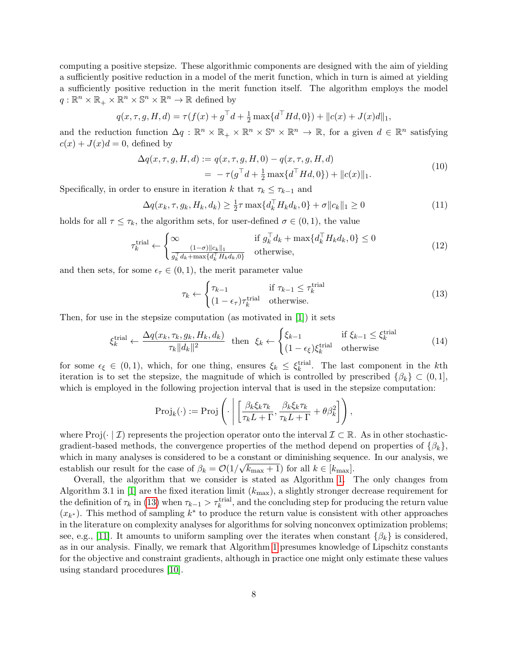computing a positive stepsize. These algorithmic components are designed with the aim of yielding a sufficiently positive reduction in a model of the merit function, which in turn is aimed at yielding a sufficiently positive reduction in the merit function itself. The algorithm employs the model  $q: \mathbb{R}^n \times \mathbb{R}_+ \times \mathbb{R}^n \times \mathbb{S}^n \times \mathbb{R}^n \to \mathbb{R}$  defined by

$$
q(x, \tau, g, H, d) = \tau(f(x) + g^{\top}d + \frac{1}{2}\max\{d^{\top}Hd, 0\}) + ||c(x) + J(x)d||_1,
$$

and the reduction function  $\Delta q : \mathbb{R}^n \times \mathbb{R}_+ \times \mathbb{R}^n \times \mathbb{S}^n \times \mathbb{R}^n \to \mathbb{R}$ , for a given  $d \in \mathbb{R}^n$  satisfying  $c(x) + J(x)d = 0$ , defined by

<span id="page-7-3"></span>
$$
\Delta q(x, \tau, g, H, d) := q(x, \tau, g, H, 0) - q(x, \tau, g, H, d)
$$
  
= 
$$
-\tau(g^{\top}d + \frac{1}{2}\max\{d^{\top}Hd, 0\}) + ||c(x)||_1.
$$
 (10)

Specifically, in order to ensure in iteration k that  $\tau_k \leq \tau_{k-1}$  and

$$
\Delta q(x_k, \tau, g_k, H_k, d_k) \ge \frac{1}{2}\tau \max\{d_k^{\top} H_k d_k, 0\} + \sigma \|c_k\|_1 \ge 0
$$
\n(11)

holds for all  $\tau \leq \tau_k$ , the algorithm sets, for user-defined  $\sigma \in (0,1)$ , the value

<span id="page-7-1"></span>
$$
\tau_k^{\text{trial}} \leftarrow \begin{cases} \infty & \text{if } g_k^\top d_k + \max\{d_k^\top H_k d_k, 0\} \le 0\\ \frac{(1-\sigma)\|c_k\|_1}{g_k^\top d_k + \max\{d_k^\top H_k d_k, 0\}} & \text{otherwise,} \end{cases} \tag{12}
$$

and then sets, for some  $\epsilon_{\tau} \in (0,1)$ , the merit parameter value

<span id="page-7-0"></span>
$$
\tau_k \leftarrow \begin{cases} \tau_{k-1} & \text{if } \tau_{k-1} \le \tau_k^{\text{trial}}\\ (1 - \epsilon_\tau) \tau_k^{\text{trial}} & \text{otherwise.} \end{cases} \tag{13}
$$

Then, for use in the stepsize computation (as motivated in [\[1\]](#page-28-0)) it sets

<span id="page-7-2"></span>
$$
\xi_k^{\text{trial}} \leftarrow \frac{\Delta q(x_k, \tau_k, g_k, H_k, d_k)}{\tau_k \|d_k\|^2} \quad \text{then} \quad \xi_k \leftarrow \begin{cases} \xi_{k-1} & \text{if } \xi_{k-1} \le \xi_k^{\text{trial}}\\ (1 - \epsilon_\xi) \xi_k^{\text{trial}} & \text{otherwise} \end{cases} \tag{14}
$$

for some  $\epsilon_{\xi} \in (0,1)$ , which, for one thing, ensures  $\xi_{k} \leq \xi_{k}^{\text{trial}}$ . The last component in the kth iteration is to set the stepsize, the magnitude of which is controlled by prescribed  $\{\beta_k\} \subset (0,1],$ which is employed in the following projection interval that is used in the stepsize computation:

$$
\text{Proj}_k(\cdot) := \text{Proj}\left(\cdot \left| \left[ \frac{\beta_k \xi_k \tau_k}{\tau_k L + \Gamma}, \frac{\beta_k \xi_k \tau_k}{\tau_k L + \Gamma} + \theta \beta_k^2 \right] \right.\right),\right.
$$

where Proj $(\cdot | \mathcal{I})$  represents the projection operator onto the interval  $\mathcal{I} \subset \mathbb{R}$ . As in other stochasticgradient-based methods, the convergence properties of the method depend on properties of  $\{\beta_k\}$ , which in many analyses is considered to be a constant or diminishing sequence. In our analysis, we establish our result for the case of  $\beta_k = \mathcal{O}(1/\sqrt{k_{\max}+1})$  for all  $k \in [k_{\max}]$ .

Overall, the algorithm that we consider is stated as Algorithm [1.](#page-8-0) The only changes from Algorithm 3.1 in [\[1\]](#page-28-0) are the fixed iteration limit  $(k_{\text{max}})$ , a slightly stronger decrease requirement for the definition of  $\tau_k$  in [\(13\)](#page-7-0) when  $\tau_{k-1} > \tau_k^{\text{trial}}$ , and the concluding step for producing the return value  $(x_{k^*})$ . This method of sampling  $k^*$  to produce the return value is consistent with other approaches in the literature on complexity analyses for algorithms for solving nonconvex optimization problems; see, e.g., [\[11\]](#page-29-6). It amounts to uniform sampling over the iterates when constant  $\{\beta_k\}$  is considered. as in our analysis. Finally, we remark that Algorithm [1](#page-8-0) presumes knowledge of Lipschitz constants for the objective and constraint gradients, although in practice one might only estimate these values using standard procedures [\[10\]](#page-29-9).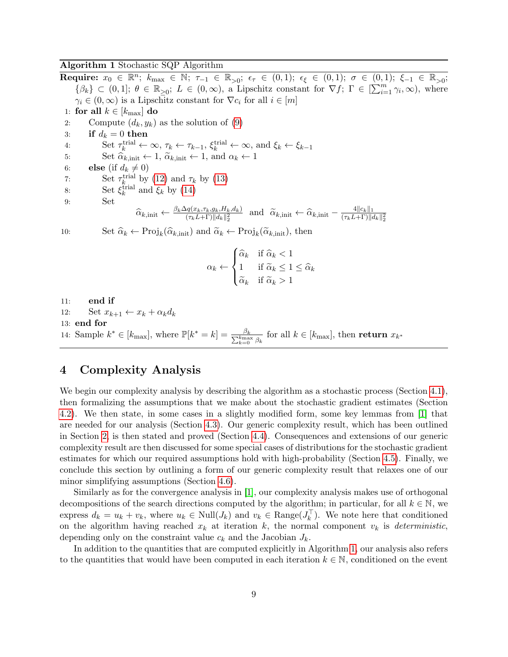## Algorithm 1 Stochastic SQP Algorithm

<span id="page-8-0"></span> $\textbf{Required: } x_0 \in \mathbb{R}^n; \; k_{\max} \in \mathbb{N}; \; \tau_{-1} \in \mathbb{R}_{>0}; \; \epsilon_{\tau} \in (0,1); \; \epsilon_{\xi} \in (0,1); \; \sigma \in (0,1); \; \xi_{-1} \in \mathbb{R}_{>0};$  $\{\beta_k\} \subset (0,1]; \ \theta \in \mathbb{R}_{\geq 0}; \ L \in (0,\infty)$ , a Lipschitz constant for  $\nabla f; \ \Gamma \in [\sum_{i=1}^m \gamma_i,\infty)$ , where  $\gamma_i \in (0, \infty)$  is a Lipschitz constant for  $\nabla c_i$  for all  $i \in [m]$ 1: for all  $k \in [k_{\text{max}}]$  do 2: Compute  $(d_k, y_k)$  as the solution of  $(9)$ 3: if  $d_k = 0$  then 4: Set  $\tau_k^{\text{trial}} \leftarrow \infty$ ,  $\tau_k \leftarrow \tau_{k-1}$ ,  $\xi_k^{\text{trial}} \leftarrow \infty$ , and  $\xi_k \leftarrow \xi_{k-1}$ 5: Set  $\widehat{\alpha}_{k,\text{init}} \leftarrow 1$ ,  $\widetilde{\alpha}_{k,\text{init}} \leftarrow 1$ , and  $\alpha_k \leftarrow 1$ 6: **else** (if  $d_k \neq 0$ ) 7: Set  $\tau_k^{\text{trial}}$  by [\(12\)](#page-7-1) and  $\tau_k$  by [\(13\)](#page-7-0) 8: Set  $\xi_k^{\text{trial}}$  and  $\xi_k$  by [\(14\)](#page-7-2) 9: Set  $\widehat{\alpha}_{k,\text{init}} \leftarrow \frac{\beta_k \Delta q(x_k, \tau_k, g_k, H_k, d_k)}{(\tau_k L + \Gamma) \|d_k\|_2^2}$  and  $\widetilde{\alpha}_{k,\text{init}} \leftarrow \widehat{\alpha}_{k,\text{init}} - \frac{4\|c_k\|_1}{(\tau_k L + \Gamma) \|d_k\|_2^2}$  $\overline{(\tau_{k}L+\Gamma)\|d_{k}\|_{2}^{2}}$ 10: Set  $\widehat{\alpha}_k \leftarrow \text{Proj}_k(\widehat{\alpha}_{k,\text{init}})$  and  $\widetilde{\alpha}_k \leftarrow \text{Proj}_k(\widetilde{\alpha}_{k,\text{init}})$ , then  $\alpha_k \leftarrow$  $\sqrt{ }$  $\int$  $\mathcal{L}$  $\widehat{\alpha}_k$  if  $\widehat{\alpha}_k < 1$ 1 if  $\widetilde{\alpha}_k \leq 1 \leq \widehat{\alpha}_k$  $\widetilde{\alpha}_k$  if  $\widetilde{\alpha}_k > 1$ 11: end if 12: Set  $x_{k+1} \leftarrow x_k + \alpha_k d_k$ 13: end for 14: Sample  $k^* \in [k_{\max}]$ , where  $\mathbb{P}[k^* = k] = \frac{\beta_k}{\sum_{k=0}^{k_{\max}} \beta_k}$  for all  $k \in [k_{\max}]$ , then return  $x_{k^*}$ 

## <span id="page-8-1"></span>4 Complexity Analysis

We begin our complexity analysis by describing the algorithm as a stochastic process (Section [4.1\)](#page-9-0), then formalizing the assumptions that we make about the stochastic gradient estimates (Section [4.2\)](#page-10-1). We then state, in some cases in a slightly modified form, some key lemmas from [\[1\]](#page-28-0) that are needed for our analysis (Section [4.3\)](#page-12-0). Our generic complexity result, which has been outlined in Section [2,](#page-4-0) is then stated and proved (Section [4.4\)](#page-13-0). Consequences and extensions of our generic complexity result are then discussed for some special cases of distributions for the stochastic gradient estimates for which our required assumptions hold with high-probability (Section [4.5\)](#page-24-1). Finally, we conclude this section by outlining a form of our generic complexity result that relaxes one of our minor simplifying assumptions (Section [4.6\)](#page-26-0).

Similarly as for the convergence analysis in [\[1\]](#page-28-0), our complexity analysis makes use of orthogonal decompositions of the search directions computed by the algorithm; in particular, for all  $k \in \mathbb{N}$ , we express  $d_k = u_k + v_k$ , where  $u_k \in Null(J_k)$  and  $v_k \in Range(J_k^{\top})$ . We note here that conditioned on the algorithm having reached  $x_k$  at iteration k, the normal component  $v_k$  is *deterministic*, depending only on the constraint value  $c_k$  and the Jacobian  $J_k$ .

In addition to the quantities that are computed explicitly in Algorithm [1,](#page-8-0) our analysis also refers to the quantities that would have been computed in each iteration  $k \in \mathbb{N}$ , conditioned on the event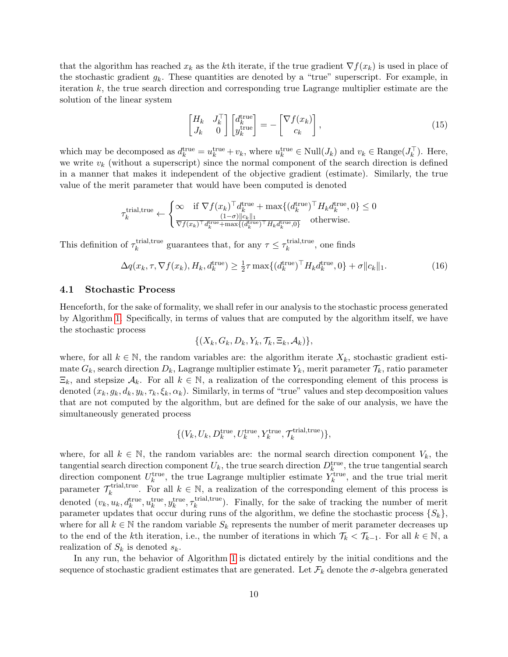that the algorithm has reached  $x_k$  as the kth iterate, if the true gradient  $\nabla f(x_k)$  is used in place of the stochastic gradient  $g_k$ . These quantities are denoted by a "true" superscript. For example, in iteration  $k$ , the true search direction and corresponding true Lagrange multiplier estimate are the solution of the linear system

<span id="page-9-1"></span>
$$
\begin{bmatrix} H_k & J_k^{\top} \\ J_k & 0 \end{bmatrix} \begin{bmatrix} d_k^{\text{true}} \\ y_k^{\text{true}} \end{bmatrix} = - \begin{bmatrix} \nabla f(x_k) \\ c_k \end{bmatrix}, \tag{15}
$$

which may be decomposed as  $d_k^{\text{true}} = u_k^{\text{true}} + v_k$ , where  $u_k^{\text{true}} \in Null(J_k)$  and  $v_k \in Range(J_k^{\top})$ . Here, we write  $v_k$  (without a superscript) since the normal component of the search direction is defined in a manner that makes it independent of the objective gradient (estimate). Similarly, the true value of the merit parameter that would have been computed is denoted

$$
\tau_k^{\text{trial,true}} \leftarrow \begin{cases} \infty & \text{if } \nabla f(x_k)^\top d_k^{\text{true}} + \max\{ (d_k^{\text{true}})^\top H_k d_k^{\text{true}}, 0 \} \le 0 \\ \frac{(1-\sigma) ||c_k||_1}{\nabla f(x_k)^\top d_k^{\text{true}} + \max\{ (d_k^{\text{true}})^\top H_k d_k^{\text{true}}, 0 \}} & \text{otherwise.} \end{cases}
$$

This definition of  $\tau_k^{\text{trial,true}}$ trial,true guarantees that, for any  $\tau \leq \tau_k^{\text{trial,true}}$  $\hat{k}$ <sup>trial, true</sup>, one finds

$$
\Delta q(x_k, \tau, \nabla f(x_k), H_k, d_k^{\text{true}}) \ge \frac{1}{2}\tau \max\{(d_k^{\text{true}})^{\top} H_k d_k^{\text{true}}, 0\} + \sigma \|c_k\|_1. \tag{16}
$$

### <span id="page-9-0"></span>4.1 Stochastic Process

Henceforth, for the sake of formality, we shall refer in our analysis to the stochastic process generated by Algorithm [1.](#page-8-0) Specifically, in terms of values that are computed by the algorithm itself, we have the stochastic process

$$
\{(X_k, G_k, D_k, Y_k, \mathcal{T}_k, \Xi_k, \mathcal{A}_k)\},\
$$

where, for all  $k \in \mathbb{N}$ , the random variables are: the algorithm iterate  $X_k$ , stochastic gradient estimate  $G_k$ , search direction  $D_k$ , Lagrange multiplier estimate  $Y_k$ , merit parameter  $\mathcal{T}_k$ , ratio parameter  $\Xi_k$ , and stepsize  $\mathcal{A}_k$ . For all  $k \in \mathbb{N}$ , a realization of the corresponding element of this process is denoted  $(x_k, g_k, d_k, y_k, \tau_k, \xi_k, \alpha_k)$ . Similarly, in terms of "true" values and step decomposition values that are not computed by the algorithm, but are defined for the sake of our analysis, we have the simultaneously generated process

$$
\{(V_k, U_k, D_k^{\rm true}, U_k^{\rm true}, Y_k^{\rm true}, \mathcal{T}_k^{\rm trial, true})\},
$$

where, for all  $k \in \mathbb{N}$ , the random variables are: the normal search direction component  $V_k$ , the tangential search direction component  $U_k$ , the true search direction  $D_k^{\text{true}}$ , the true tangential search direction component  $U_k^{\text{true}}$ , the true Lagrange multiplier estimate  $Y_k^{\text{true}}$ , and the true trial merit parameter  $\mathcal{T}_k^{\text{trial,true}}$ <sup>-trial,true</sup>. For all  $k \in \mathbb{N}$ , a realization of the corresponding element of this process is denoted  $(v_k, u_k, d_k^{\text{true}}, u_k^{\text{true}}, y_k^{\text{true}}, \tau_k^{\text{trial,true}})$  $\kappa_k^{\text{trial, true}}$ ). Finally, for the sake of tracking the number of merit parameter updates that occur during runs of the algorithm, we define the stochastic process  $\{S_k\}$ , where for all  $k \in \mathbb{N}$  the random variable  $S_k$  represents the number of merit parameter decreases up to the end of the kth iteration, i.e., the number of iterations in which  $\mathcal{T}_k < \mathcal{T}_{k-1}$ . For all  $k \in \mathbb{N}$ , a realization of  $S_k$  is denoted  $s_k$ .

In any run, the behavior of Algorithm [1](#page-8-0) is dictated entirely by the initial conditions and the sequence of stochastic gradient estimates that are generated. Let  $\mathcal{F}_k$  denote the  $\sigma$ -algebra generated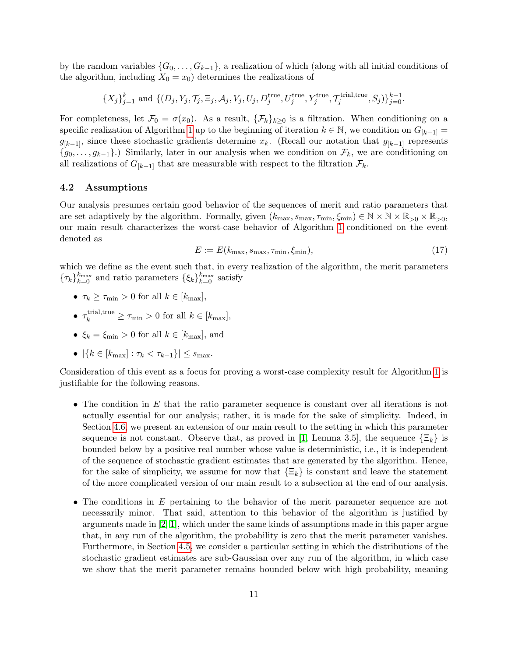by the random variables  $\{G_0, \ldots, G_{k-1}\}\$ , a realization of which (along with all initial conditions of the algorithm, including  $X_0 = x_0$  determines the realizations of

> $\{X_j\}_{j=1}^k$  and  $\{(D_j,Y_j,\mathcal{T}_j,\Xi_j,\mathcal{A}_j,V_j,U_j,D_j^{\text{true}},U_j^{\text{true}},Y_j^{\text{true}},\mathcal{T}_j^{\text{trial,true}}\}$  ${j+1 \choose j}, S_j$ } ${j=0 \choose j=0}.$

For completeness, let  $\mathcal{F}_0 = \sigma(x_0)$ . As a result,  $\{\mathcal{F}_k\}_{k\geq 0}$  is a filtration. When conditioning on a specific realization of Algorithm [1](#page-8-0) up to the beginning of iteration  $k \in \mathbb{N}$ , we condition on  $G_{[k-1]}$  =  $g_{[k-1]}$ , since these stochastic gradients determine  $x_k$ . (Recall our notation that  $g_{[k-1]}$  represents  $\{g_0, \ldots, g_{k-1}\}\.$ ) Similarly, later in our analysis when we condition on  $\mathcal{F}_k$ , we are conditioning on all realizations of  $G_{[k-1]}$  that are measurable with respect to the filtration  $\mathcal{F}_k$ .

## <span id="page-10-1"></span>4.2 Assumptions

Our analysis presumes certain good behavior of the sequences of merit and ratio parameters that are set adaptively by the algorithm. Formally, given  $(k_{\text{max}}, s_{\text{max}}, \tau_{\text{min}}, \xi_{\text{min}}) \in \mathbb{N} \times \mathbb{N} \times \mathbb{R}_{>0} \times \mathbb{R}_{>0}$ , our main result characterizes the worst-case behavior of Algorithm [1](#page-8-0) conditioned on the event denoted as

<span id="page-10-0"></span>
$$
E := E(k_{\text{max}}, s_{\text{max}}, \tau_{\text{min}}, \xi_{\text{min}}), \tag{17}
$$

which we define as the event such that, in every realization of the algorithm, the merit parameters  $\{\tau_k\}_{k=0}^{k_{\text{max}}}$  and ratio parameters  $\{\xi_k\}_{k=0}^{k_{\text{max}}}$  satisfy

- $\tau_k \geq \tau_{\min} > 0$  for all  $k \in [k_{\max}],$
- $\tau_k^{\text{trial,true}} \geq \tau_{\text{min}} > 0$  for all  $k \in [k_{\text{max}}]$ ,
- $\xi_k = \xi_{\min} > 0$  for all  $k \in [k_{\max}]$ , and
- $|\{k \in [k_{\text{max}}] : \tau_k < \tau_{k-1}\}| \leq s_{\text{max}}.$

Consideration of this event as a focus for proving a worst-case complexity result for Algorithm [1](#page-8-0) is justifiable for the following reasons.

- The condition in E that the ratio parameter sequence is constant over all iterations is not actually essential for our analysis; rather, it is made for the sake of simplicity. Indeed, in Section [4.6,](#page-26-0) we present an extension of our main result to the setting in which this parameter sequence is not constant. Observe that, as proved in [\[1,](#page-28-0) Lemma 3.5], the sequence  $\{\Xi_k\}$  is bounded below by a positive real number whose value is deterministic, i.e., it is independent of the sequence of stochastic gradient estimates that are generated by the algorithm. Hence, for the sake of simplicity, we assume for now that  $\{\Xi_k\}$  is constant and leave the statement of the more complicated version of our main result to a subsection at the end of our analysis.
- The conditions in E pertaining to the behavior of the merit parameter sequence are not necessarily minor. That said, attention to this behavior of the algorithm is justified by arguments made in [\[2,](#page-28-2) [1\]](#page-28-0), which under the same kinds of assumptions made in this paper argue that, in any run of the algorithm, the probability is zero that the merit parameter vanishes. Furthermore, in Section [4.5,](#page-24-1) we consider a particular setting in which the distributions of the stochastic gradient estimates are sub-Gaussian over any run of the algorithm, in which case we show that the merit parameter remains bounded below with high probability, meaning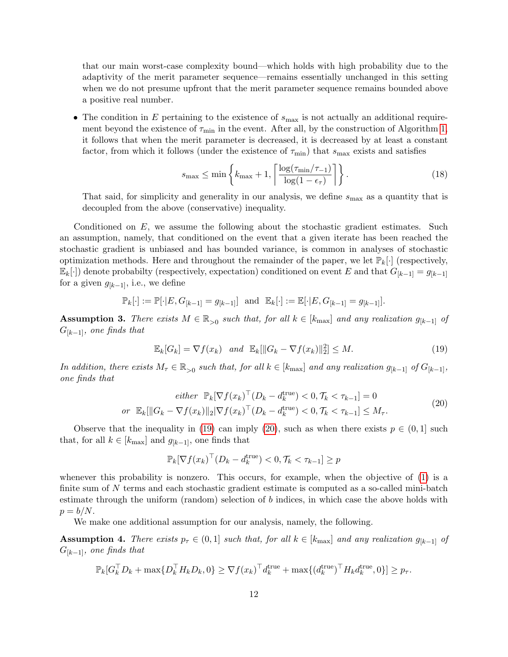that our main worst-case complexity bound—which holds with high probability due to the adaptivity of the merit parameter sequence—remains essentially unchanged in this setting when we do not presume upfront that the merit parameter sequence remains bounded above a positive real number.

• The condition in E pertaining to the existence of  $s_{\text{max}}$  is not actually an additional requirement beyond the existence of  $\tau_{\min}$  in the event. After all, by the construction of Algorithm [1,](#page-8-0) it follows that when the merit parameter is decreased, it is decreased by at least a constant factor, from which it follows (under the existence of  $\tau_{\rm min}$ ) that  $s_{\rm max}$  exists and satisfies

<span id="page-11-4"></span>
$$
s_{\max} \le \min\left\{ k_{\max} + 1, \left\lceil \frac{\log(\tau_{\min}/\tau_{-1})}{\log(1 - \epsilon_{\tau})} \right\rceil \right\}.
$$
 (18)

That said, for simplicity and generality in our analysis, we define  $s_{\text{max}}$  as a quantity that is decoupled from the above (conservative) inequality.

Conditioned on  $E$ , we assume the following about the stochastic gradient estimates. Such an assumption, namely, that conditioned on the event that a given iterate has been reached the stochastic gradient is unbiased and has bounded variance, is common in analyses of stochastic optimization methods. Here and throughout the remainder of the paper, we let  $\mathbb{P}_k[\cdot]$  (respectively,  $\mathbb{E}_k[\cdot]$  denote probabilty (respectively, expectation) conditioned on event E and that  $G_{[k-1]} = g_{[k-1]}$ for a given  $g_{[k-1]}$ , i.e., we define

$$
\mathbb{P}_k[\cdot] := \mathbb{P}[\cdot | E, G_{[k-1]} = g_{[k-1]}] \text{ and } \mathbb{E}_k[\cdot] := \mathbb{E}[\cdot | E, G_{[k-1]} = g_{[k-1]}].
$$

<span id="page-11-0"></span>Assumption 3. There exists  $M \in \mathbb{R}_{>0}$  such that, for all  $k \in [k_{\text{max}}]$  and any realization  $g_{[k-1]}$  of  $G_{[k-1]}$ , one finds that

<span id="page-11-1"></span>
$$
\mathbb{E}_k[G_k] = \nabla f(x_k) \quad \text{and} \quad \mathbb{E}_k[\|G_k - \nabla f(x_k)\|_2^2] \le M. \tag{19}
$$

In addition, there exists  $M_{\tau} \in \mathbb{R}_{>0}$  such that, for all  $k \in [k_{\text{max}}]$  and any realization  $g_{[k-1]}$  of  $G_{[k-1]}$ , one finds that

<span id="page-11-2"></span>
$$
either \mathbb{P}_k[\nabla f(x_k)^\top (D_k - d_k^{\text{true}}) < 0, \mathcal{T}_k < \tau_{k-1}] = 0
$$
\n
$$
or \mathbb{E}_k[\|G_k - \nabla f(x_k)\|_2 |\nabla f(x_k)^\top (D_k - d_k^{\text{true}}) < 0, \mathcal{T}_k < \tau_{k-1}] \le M_\tau. \tag{20}
$$

Observe that the inequality in [\(19\)](#page-11-1) can imply [\(20\)](#page-11-2), such as when there exists  $p \in (0,1]$  such that, for all  $k \in [k_{\text{max}}]$  and  $g_{[k-1]}$ , one finds that

$$
\mathbb{P}_k[\nabla f(x_k)^\top (D_k - d_k^{\text{true}}) < 0, \mathcal{T}_k < \tau_{k-1}] \ge p
$$

whenever this probability is nonzero. This occurs, for example, when the objective of [\(1\)](#page-3-0) is a finite sum of N terms and each stochastic gradient estimate is computed as a so-called mini-batch estimate through the uniform (random) selection of b indices, in which case the above holds with  $p = b/N$ .

We make one additional assumption for our analysis, namely, the following.

<span id="page-11-3"></span>**Assumption 4.** There exists  $p_\tau \in (0,1]$  such that, for all  $k \in [k_{\text{max}}]$  and any realization  $g_{[k-1]}$  of  $G_{[k-1]}$ , one finds that

$$
\mathbb{P}_k[G_k^\top D_k + \max\{D_k^\top H_k D_k, 0\} \ge \nabla f(x_k)^\top d_k^{\text{true}} + \max\{(d_k^{\text{true}})^\top H_k d_k^{\text{true}}, 0\}] \ge p_\tau.
$$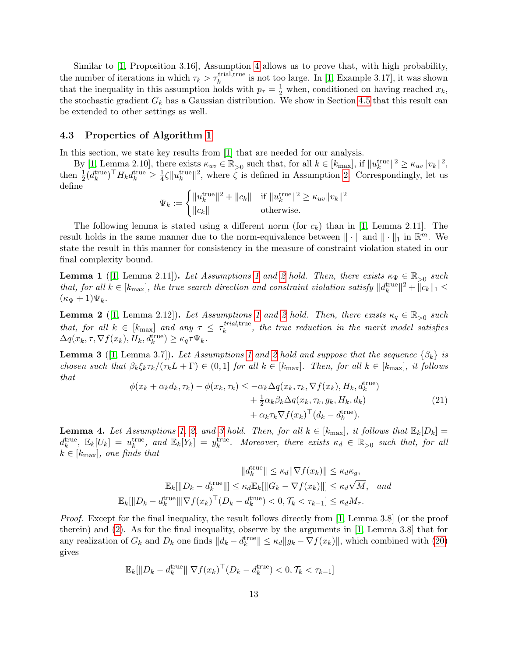Similar to [\[1,](#page-28-0) Proposition 3.16], Assumption [4](#page-11-3) allows us to prove that, with high probability, the number of iterations in which  $\tau_k > \tau_k^{\text{trial,true}}$  is not too large. In [\[1,](#page-28-0) Example 3.17], it was shown that the inequality in this assumption holds with  $p_{\tau} = \frac{1}{2}$  when, conditioned on having reached  $x_k$ , the stochastic gradient  $G_k$  has a Gaussian distribution. We show in Section [4.5](#page-24-1) that this result can be extended to other settings as well.

#### <span id="page-12-0"></span>4.3 Properties of Algorithm [1](#page-8-0)

In this section, we state key results from [\[1\]](#page-28-0) that are needed for our analysis.

By [\[1,](#page-28-0) Lemma 2.10], there exists  $\kappa_{uv} \in \mathbb{R}_{>0}$  such that, for all  $k \in [k_{\text{max}}]$ , if  $||u_k^{\text{true}}||^2 \geq \kappa_{uv}||v_k||^2$ , then  $\frac{1}{2} (d_k^{\text{true}})^\top H_k d_k^{\text{true}} \geq \frac{1}{4}$  $\frac{1}{4}\zeta \|u_k^{\text{true}}\|^2$ , where  $\zeta$  is defined in Assumption [2.](#page-6-1) Correspondingly, let us define

$$
\Psi_k := \begin{cases}\n||u_k^{\text{true}}\|^2 + ||c_k|| & \text{if } ||u_k^{\text{true}}\|^2 \ge \kappa_{uv} ||v_k||^2 \\
||c_k|| & \text{otherwise.} \n\end{cases}
$$

The following lemma is stated using a different norm (for  $c_k$ ) than in [\[1,](#page-28-0) Lemma 2.11]. The result holds in the same manner due to the norm-equivalence between  $\|\cdot\|$  and  $\|\cdot\|_1$  in  $\mathbb{R}^m$ . We state the result in this manner for consistency in the measure of constraint violation stated in our final complexity bound.

<span id="page-12-4"></span>**Lemma [1](#page-3-1)** ([\[1,](#page-28-0) Lemma [2](#page-6-1).11]). Let Assumptions 1 and 2 hold. Then, there exists  $\kappa_{\Psi} \in \mathbb{R}_{>0}$  such that, for all  $k \in [k_{\text{max}}]$ , the true search direction and constraint violation satisfy  $||d_k^{\text{true}}||^2 + ||c_k||_1 \le$  $(\kappa_{\Psi}+1)\Psi_k$ .

<span id="page-12-5"></span>**Lemma [2](#page-6-1)** ([\[1,](#page-28-0) Lemma 2.12]). Let Assumptions [1](#page-3-1) and 2 hold. Then, there exists  $\kappa_q \in \mathbb{R}_{>0}$  such that, for all  $k \in [k_{\text{max}}]$  and any  $\tau \leq \tau_k^{trial,\text{true}}$  $\frac{time}{k}$ , the true reduction in the merit model satisfies  $\Delta q(x_k, \tau, \nabla f(x_k), H_k, d_k^{\text{true}}) \geq \kappa_q \tau \Psi_k.$ 

<span id="page-12-3"></span>**Lemma 3** ([\[1,](#page-28-0) Lemma 3.7]). Let Assumptions [1](#page-3-1) and [2](#page-6-1) hold and suppose that the sequence  $\{\beta_k\}$  is chosen such that  $\beta_k \xi_k \tau_k/(\tau_k L + \Gamma) \in (0,1]$  for all  $k \in [k_{\text{max}}]$ . Then, for all  $k \in [k_{\text{max}}]$ , it follows that

<span id="page-12-1"></span>
$$
\phi(x_k + \alpha_k d_k, \tau_k) - \phi(x_k, \tau_k) \leq -\alpha_k \Delta q(x_k, \tau_k, \nabla f(x_k), H_k, d_k^{\text{true}}) + \frac{1}{2} \alpha_k \beta_k \Delta q(x_k, \tau_k, g_k, H_k, d_k) + \alpha_k \tau_k \nabla f(x_k)^\top (d_k - d_k^{\text{true}}).
$$
\n(21)

<span id="page-12-2"></span>**Lemma 4.** Let Assumptions [1,](#page-3-1) [2,](#page-6-1) and [3](#page-11-0) hold. Then, for all  $k \in [k_{\text{max}}]$ , it follows that  $\mathbb{E}_k[D_k] =$  $d_k^{\text{true}}$ ,  $\mathbb{E}_k[U_k] = u_k^{\text{true}}$ , and  $\mathbb{E}_k[Y_k] = y_k^{\text{true}}$ . Moreover, there exists  $\kappa_d \in \mathbb{R}_{>0}$  such that, for all  $k \in [k_{\text{max}}]$ , one finds that

$$
||d_k^{\text{true}}|| \leq \kappa_d ||\nabla f(x_k)|| \leq \kappa_d \kappa_g,
$$
  

$$
\mathbb{E}_k[||D_k - d_k^{\text{true}}||] \leq \kappa_d \mathbb{E}_k[||G_k - \nabla f(x_k)||] \leq \kappa_d \sqrt{M}, \text{ and}
$$
  

$$
\mathbb{E}_k[||D_k - d_k^{\text{true}}|||\nabla f(x_k)|^{\top} (D_k - d_k^{\text{true}}) < 0, \mathcal{T}_k < \tau_{k-1}] \leq \kappa_d M_{\tau}.
$$

Proof. Except for the final inequality, the result follows directly from [\[1,](#page-28-0) Lemma 3.8] (or the proof therein) and [\(2\)](#page-3-2). As for the final inequality, observe by the arguments in [\[1,](#page-28-0) Lemma 3.8] that for any realization of  $G_k$  and  $D_k$  one finds  $||d_k - d_k^{\text{true}}|| \leq \kappa_d ||g_k - \nabla f(x_k)||$ , which combined with [\(20\)](#page-11-2) gives

$$
\mathbb{E}_k[\|D_k - d_k^{\text{true}}\| |\nabla f(x_k)^\top (D_k - d_k^{\text{true}}) < 0, \mathcal{T}_k < \tau_{k-1}]
$$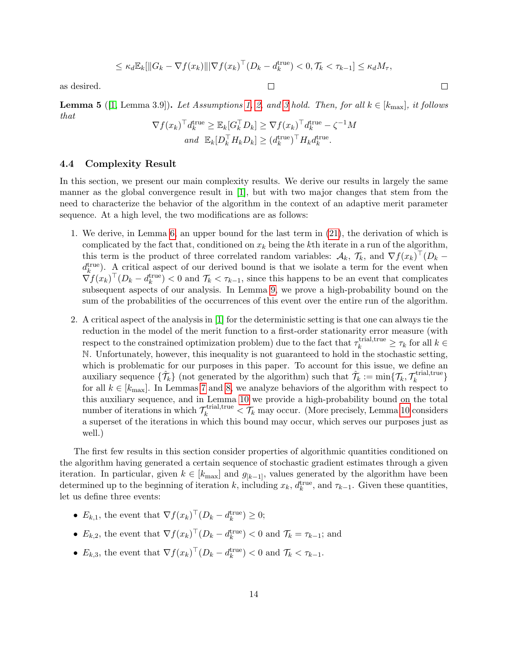$$
\leq \kappa_d \mathbb{E}_k[\|G_k - \nabla f(x_k)\| |\nabla f(x_k)^\top (D_k - d_k^{\text{true}}) < 0, \mathcal{T}_k < \tau_{k-1}] \leq \kappa_d M_\tau,
$$

as desired.

<span id="page-13-1"></span>**Lemma 5** ([\[1,](#page-28-0) Lemma 3.9]). Let Assumptions [1,](#page-3-1) [2,](#page-6-1) and [3](#page-11-0) hold. Then, for all  $k \in [k_{\text{max}}]$ , it follows that

$$
\nabla f(x_k)^\top d_k^{\text{true}} \geq \mathbb{E}_k[G_k^\top D_k] \geq \nabla f(x_k)^\top d_k^{\text{true}} - \zeta^{-1} M
$$
  
and 
$$
\mathbb{E}_k[D_k^\top H_k D_k] \geq (d_k^{\text{true}})^\top H_k d_k^{\text{true}}.
$$

## <span id="page-13-0"></span>4.4 Complexity Result

In this section, we present our main complexity results. We derive our results in largely the same manner as the global convergence result in [\[1\]](#page-28-0), but with two major changes that stem from the need to characterize the behavior of the algorithm in the context of an adaptive merit parameter sequence. At a high level, the two modifications are as follows:

- 1. We derive, in Lemma [6,](#page-14-0) an upper bound for the last term in [\(21\)](#page-12-1), the derivation of which is complicated by the fact that, conditioned on  $x_k$  being the kth iterate in a run of the algorithm, this term is the product of three correlated random variables:  $\mathcal{A}_k$ ,  $\mathcal{T}_k$ , and  $\nabla f(x_k)^\top (D_k$  $d_k^{\text{true}}$ ). A critical aspect of our derived bound is that we isolate a term for the event when  $\nabla f(x_k)^\top (D_k - d_k^{\text{true}}) < 0$  and  $\mathcal{T}_k < \tau_{k-1}$ , since this happens to be an event that complicates subsequent aspects of our analysis. In Lemma [9,](#page-19-0) we prove a high-probability bound on the sum of the probabilities of the occurrences of this event over the entire run of the algorithm.
- 2. A critical aspect of the analysis in [\[1\]](#page-28-0) for the deterministic setting is that one can always tie the reduction in the model of the merit function to a first-order stationarity error measure (with respect to the constrained optimization problem) due to the fact that  $\tau_k^{\text{trial,true}} \ge \tau_k$  for all  $k \in$ N. Unfortunately, however, this inequality is not guaranteed to hold in the stochastic setting, which is problematic for our purposes in this paper. To account for this issue, we define an auxiliary sequence  $\{\hat{\mathcal{T}}_k\}$  (not generated by the algorithm) such that  $\hat{\mathcal{T}}_k := \min\{\mathcal{T}_k, \mathcal{T}_k^{\text{trial,true}}\}$ -triai,true $\}$ for all  $k \in [k_{\text{max}}]$ . In Lemmas [7](#page-16-0) and [8,](#page-18-0) we analyze behaviors of the algorithm with respect to this auxiliary sequence, and in Lemma [10](#page-19-1) we provide a high-probability bound on the total number of iterations in which  $\mathcal{T}_k^{\text{trial,true}} < \mathcal{T}_k$  may occur. (More precisely, Lemma [10](#page-19-1) considers a superset of the iterations in which this bound may occur, which serves our purposes just as well.)

The first few results in this section consider properties of algorithmic quantities conditioned on the algorithm having generated a certain sequence of stochastic gradient estimates through a given iteration. In particular, given  $k \in [k_{\text{max}}]$  and  $g_{[k-1]}$ , values generated by the algorithm have been determined up to the beginning of iteration k, including  $x_k$ ,  $d_k^{\text{true}}$ , and  $\tau_{k-1}$ . Given these quantities, let us define three events:

- $E_{k,1}$ , the event that  $\nabla f(x_k)^\top (D_k d_k^{\text{true}}) \geq 0;$
- $E_{k,2}$ , the event that  $\nabla f(x_k)^\top (D_k d_k^{\text{true}}) < 0$  and  $\mathcal{T}_k = \tau_{k-1}$ ; and
- $E_{k,3}$ , the event that  $\nabla f(x_k)^\top (D_k d_k^{\text{true}}) < 0$  and  $\mathcal{T}_k < \tau_{k-1}$ .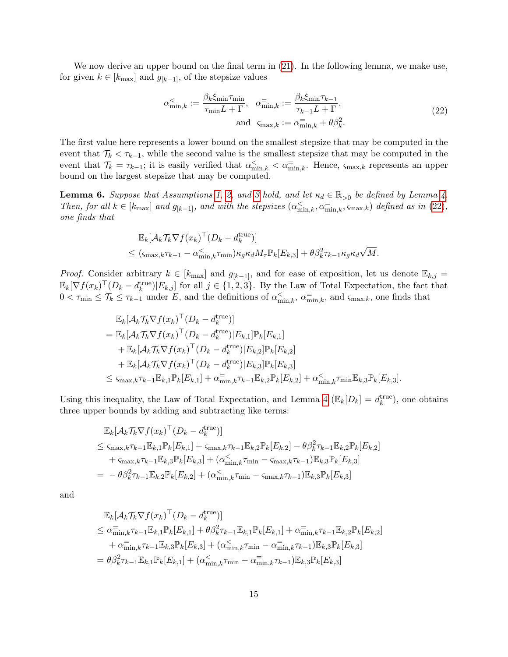We now derive an upper bound on the final term in [\(21\)](#page-12-1). In the following lemma, we make use, for given  $k \in [k_{\text{max}}]$  and  $g_{[k-1]}$ , of the stepsize values

<span id="page-14-1"></span>
$$
\alpha_{\min,k}^{\lt} := \frac{\beta_k \xi_{\min} \tau_{\min}}{\tau_{\min} L + \Gamma}, \quad \alpha_{\min,k}^{\equiv} := \frac{\beta_k \xi_{\min} \tau_{k-1}}{\tau_{k-1} L + \Gamma},
$$
\n
$$
\text{and } \varsigma_{\max,k} := \alpha_{\min,k}^{\equiv} + \theta \beta_k^2.
$$
\n(22)

The first value here represents a lower bound on the smallest stepsize that may be computed in the event that  $\mathcal{T}_k < \mathcal{T}_{k-1}$ , while the second value is the smallest stepsize that may be computed in the event that  $\mathcal{T}_k = \tau_{k-1}$ ; it is easily verified that  $\alpha_{\min,k}^{\lt} < \alpha_{\min,k}^{\equiv}$ . Hence,  $\varsigma_{\max,k}$  represents an upper bound on the largest stepsize that may be computed.

<span id="page-14-0"></span>**Lemma 6.** Suppose that Assumptions [1,](#page-3-1) [2,](#page-6-1) and [3](#page-11-0) hold, and let  $\kappa_d \in \mathbb{R}_{>0}$  be defined by Lemma [4.](#page-12-2) Then, for all  $k \in [k_{\text{max}}]$  and  $g_{[k-1]}$ , and with the stepsizes  $(\alpha_{\min,k}^{\lt}, \alpha_{\min,k}^{\equiv}, \varsigma_{\max,k})$  defined as in [\(22\)](#page-14-1), one finds that

$$
\mathbb{E}_{k}[\mathcal{A}_{k}\mathcal{T}_{k}\nabla f(x_{k})^{\top}(D_{k} - d_{k}^{\text{true}})]
$$
  
 
$$
\leq (\varsigma_{\max,k}\tau_{k-1} - \alpha_{\min,k}^{<}\tau_{\min})\kappa_{g}\kappa_{d}M_{\tau}\mathbb{P}_{k}[E_{k,3}] + \theta\beta_{k}^{2}\tau_{k-1}\kappa_{g}\kappa_{d}\sqrt{M}.
$$

*Proof.* Consider arbitrary  $k \in [k_{\text{max}}]$  and  $g_{[k-1]}$ , and for ease of exposition, let us denote  $\mathbb{E}_{k,j}$  $\mathbb{E}_k[\nabla f(x_k)^\top (D_k - d_k^{\text{true}})|E_{k,j}]$  for all  $j \in \{1,2,3\}$ . By the Law of Total Expectation, the fact that  $0 < \tau_{\min} \leq \tau_k \leq \tau_{k-1}$  under E, and the definitions of  $\alpha_{\min,k}^{\lt}$ ,  $\alpha_{\min,k}^{\equiv}$ , and  $\varsigma_{\max,k}$ , one finds that

$$
\mathbb{E}_{k}[\mathcal{A}_{k}\mathcal{T}_{k}\nabla f(x_{k})^{\top}(D_{k} - d_{k}^{\text{true}})]
$$
\n
$$
= \mathbb{E}_{k}[\mathcal{A}_{k}\mathcal{T}_{k}\nabla f(x_{k})^{\top}(D_{k} - d_{k}^{\text{true}})|E_{k,1}]\mathbb{P}_{k}[E_{k,1}]
$$
\n
$$
+ \mathbb{E}_{k}[\mathcal{A}_{k}\mathcal{T}_{k}\nabla f(x_{k})^{\top}(D_{k} - d_{k}^{\text{true}})|E_{k,2}]\mathbb{P}_{k}[E_{k,2}]
$$
\n
$$
+ \mathbb{E}_{k}[\mathcal{A}_{k}\mathcal{T}_{k}\nabla f(x_{k})^{\top}(D_{k} - d_{k}^{\text{true}})|E_{k,3}]\mathbb{P}_{k}[E_{k,3}]
$$
\n
$$
\leq \zeta_{\max,k}\tau_{k-1}\mathbb{E}_{k,1}\mathbb{P}_{k}[E_{k,1}] + \alpha_{\min,k}^{-}\tau_{k-1}\mathbb{E}_{k,2}\mathbb{P}_{k}[E_{k,2}] + \alpha_{\min,k}^{<}\tau_{\min}\mathbb{E}_{k,3}\mathbb{P}_{k}[E_{k,3}].
$$

Using this inequality, the Law of Total Expectation, and Lemma [4](#page-12-2) ( $\mathbb{E}_k[D_k] = d_k^{\text{true}}$ ), one obtains three upper bounds by adding and subtracting like terms:

$$
\mathbb{E}_{k}[\mathcal{A}_{k}\mathcal{T}_{k}\nabla f(x_{k})^{\top}(D_{k} - d_{k}^{\text{true}})]
$$
\n
$$
\leq \zeta_{\max,k}\tau_{k-1}\mathbb{E}_{k,1}\mathbb{P}_{k}[E_{k,1}] + \zeta_{\max,k}\tau_{k-1}\mathbb{E}_{k,2}\mathbb{P}_{k}[E_{k,2}] - \theta\beta_{k}^{2}\tau_{k-1}\mathbb{E}_{k,2}\mathbb{P}_{k}[E_{k,2}] + \zeta_{\max,k}\tau_{k-1}\mathbb{E}_{k,3}\mathbb{P}_{k}[E_{k,3}] + (\alpha\zeta_{\min,k}\tau_{\min} - \zeta_{\max,k}\tau_{k-1})\mathbb{E}_{k,3}\mathbb{P}_{k}[E_{k,3}]
$$
\n
$$
= -\theta\beta_{k}^{2}\tau_{k-1}\mathbb{E}_{k,2}\mathbb{P}_{k}[E_{k,2}] + (\alpha\zeta_{\min,k}\tau_{\min} - \zeta_{\max,k}\tau_{k-1})\mathbb{E}_{k,3}\mathbb{P}_{k}[E_{k,3}]
$$

and

$$
\mathbb{E}_{k}[\mathcal{A}_{k}\mathcal{T}_{k}\nabla f(x_{k})^{\top}(D_{k} - d_{k}^{\text{true}})]
$$
\n
$$
\leq \alpha_{\min,k}^{-} \tau_{k-1} \mathbb{E}_{k,1} \mathbb{P}_{k}[E_{k,1}] + \theta \beta_{k}^{2} \tau_{k-1} \mathbb{E}_{k,1} \mathbb{P}_{k}[E_{k,1}] + \alpha_{\min,k}^{-} \tau_{k-1} \mathbb{E}_{k,2} \mathbb{P}_{k}[E_{k,2}]
$$
\n
$$
+ \alpha_{\min,k}^{-} \tau_{k-1} \mathbb{E}_{k,3} \mathbb{P}_{k}[E_{k,3}] + (\alpha_{\min,k}^{-} \tau_{\min} - \alpha_{\min,k}^{-} \tau_{k-1}) \mathbb{E}_{k,3} \mathbb{P}_{k}[E_{k,3}]
$$
\n
$$
= \theta \beta_{k}^{2} \tau_{k-1} \mathbb{E}_{k,1} \mathbb{P}_{k}[E_{k,1}] + (\alpha_{\min,k}^{-} \tau_{\min} - \alpha_{\min,k}^{-} \tau_{k-1}) \mathbb{E}_{k,3} \mathbb{P}_{k}[E_{k,3}]
$$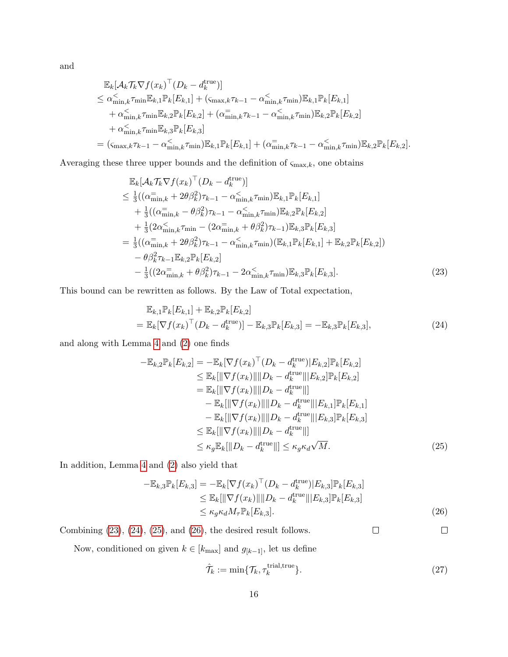and

$$
\mathbb{E}_{k}[\mathcal{A}_{k}\mathcal{T}_{k}\nabla f(x_{k})^{\top}(D_{k} - d_{k}^{\text{true}})]
$$
\n
$$
\leq \alpha_{\min,k}^{<}\tau_{\min}\mathbb{E}_{k,1}\mathbb{P}_{k}[E_{k,1}] + (\varsigma_{\max,k}\tau_{k-1} - \alpha_{\min,k}^{<}\tau_{\min})\mathbb{E}_{k,1}\mathbb{P}_{k}[E_{k,1}]
$$
\n
$$
+ \alpha_{\min,k}^{<}\tau_{\min}\mathbb{E}_{k,2}\mathbb{P}_{k}[E_{k,2}] + (\alpha_{\min,k}^{-}\tau_{k-1} - \alpha_{\min,k}^{<}\tau_{\min})\mathbb{E}_{k,2}\mathbb{P}_{k}[E_{k,2}]
$$
\n
$$
+ \alpha_{\min,k}^{<}\tau_{\min}\mathbb{E}_{k,3}\mathbb{P}_{k}[E_{k,3}]
$$
\n
$$
= (\varsigma_{\max,k}\tau_{k-1} - \alpha_{\min,k}^{<}\tau_{\min})\mathbb{E}_{k,1}\mathbb{P}_{k}[E_{k,1}] + (\alpha_{\min,k}^{-}\tau_{k-1} - \alpha_{\min,k}^{<}\tau_{\min})\mathbb{E}_{k,2}\mathbb{P}_{k}[E_{k,2}].
$$

Averaging these three upper bounds and the definition of  $\varsigma_{\text{max},k}$ , one obtains

$$
\mathbb{E}_{k}[\mathcal{A}_{k}\mathcal{T}_{k}\nabla f(x_{k})^{\top}(D_{k} - d_{k}^{\text{true}})] \n\leq \frac{1}{3}((\alpha_{\min,k}^{-} + 2\theta\beta_{k}^{2})\tau_{k-1} - \alpha_{\min,k}^{<}\tau_{\min})\mathbb{E}_{k,1}\mathbb{P}_{k}[E_{k,1}] \n+ \frac{1}{3}((\alpha_{\min,k}^{-} - \theta\beta_{k}^{2})\tau_{k-1} - \alpha_{\min,k}^{<}\tau_{\min})\mathbb{E}_{k,2}\mathbb{P}_{k}[E_{k,2}] \n+ \frac{1}{3}(2\alpha_{\min,k}^{<}\tau_{\min} - (2\alpha_{\min,k}^{-} + \theta\beta_{k}^{2})\tau_{k-1})\mathbb{E}_{k,3}\mathbb{P}_{k}[E_{k,3}] \n= \frac{1}{3}((\alpha_{\min,k}^{-} + 2\theta\beta_{k}^{2})\tau_{k-1} - \alpha_{\min,k}^{<}\tau_{\min})(\mathbb{E}_{k,1}\mathbb{P}_{k}[E_{k,1}] + \mathbb{E}_{k,2}\mathbb{P}_{k}[E_{k,2}]) \n- \theta\beta_{k}^{2}\tau_{k-1}\mathbb{E}_{k,2}\mathbb{P}_{k}[E_{k,2}] \n- \frac{1}{3}((2\alpha_{\min,k}^{-} + \theta\beta_{k}^{2})\tau_{k-1} - 2\alpha_{\min,k}^{<}\tau_{\min})\mathbb{E}_{k,3}\mathbb{P}_{k}[E_{k,3}].
$$
\n(23)

This bound can be rewritten as follows. By the Law of Total expectation,

<span id="page-15-0"></span>
$$
\mathbb{E}_{k,1}\mathbb{P}_k[E_{k,1}] + \mathbb{E}_{k,2}\mathbb{P}_k[E_{k,2}] \n= \mathbb{E}_k[\nabla f(x_k)^\top (D_k - d_k^{\text{true}})] - \mathbb{E}_{k,3}\mathbb{P}_k[E_{k,3}] = -\mathbb{E}_{k,3}\mathbb{P}_k[E_{k,3}],
$$
\n(24)

and along with Lemma [4](#page-12-2) and [\(2\)](#page-3-2) one finds

<span id="page-15-1"></span>
$$
-\mathbb{E}_{k,2}\mathbb{P}_{k}[E_{k,2}] = -\mathbb{E}_{k}[\nabla f(x_{k})^{\top}(D_{k} - d_{k}^{\text{true}})|E_{k,2}]\mathbb{P}_{k}[E_{k,2}]
$$
  
\n
$$
\leq \mathbb{E}_{k}[\|\nabla f(x_{k})\|\|D_{k} - d_{k}^{\text{true}}\| |E_{k,2}]\mathbb{P}_{k}[E_{k,2}]
$$
  
\n
$$
= \mathbb{E}_{k}[\|\nabla f(x_{k})\|\|D_{k} - d_{k}^{\text{true}}\|]
$$
  
\n
$$
- \mathbb{E}_{k}[\|\nabla f(x_{k})\|\|D_{k} - d_{k}^{\text{true}}\| |E_{k,1}]\mathbb{P}_{k}[E_{k,1}]
$$
  
\n
$$
- \mathbb{E}_{k}[\|\nabla f(x_{k})\|\|D_{k} - d_{k}^{\text{true}}\| |E_{k,3}]\mathbb{P}_{k}[E_{k,3}]
$$
  
\n
$$
\leq \mathbb{E}_{k}[\|\nabla f(x_{k})\|\|D_{k} - d_{k}^{\text{true}}\|]
$$
  
\n
$$
\leq \kappa_{g}\mathbb{E}_{k}[\|D_{k} - d_{k}^{\text{true}}\|] \leq \kappa_{g}\kappa_{d}\sqrt{M}.
$$
 (25)

In addition, Lemma [4](#page-12-2) and [\(2\)](#page-3-2) also yield that

$$
-\mathbb{E}_{k,3}\mathbb{P}_k[E_{k,3}] = -\mathbb{E}_k[\nabla f(x_k)^\top (D_k - d_k^{\text{true}})|E_{k,3}]\mathbb{P}_k[E_{k,3}]
$$
  
\n
$$
\leq \mathbb{E}_k[\|\nabla f(x_k)\|\|D_k - d_k^{\text{true}}\|]E_{k,3}]\mathbb{P}_k[E_{k,3}]
$$
  
\n
$$
\leq \kappa_g \kappa_d M_\tau \mathbb{P}_k[E_{k,3}].
$$
\n(26)

 $\Box$  $\Box$ Combining [\(23\)](#page-15-0), [\(24\)](#page-15-1), [\(25\)](#page-15-2), and [\(26\)](#page-15-3), the desired result follows.

Now, conditioned on given  $k \in [k_{\text{max}}]$  and  $g_{[k-1]}$  , let us define

<span id="page-15-4"></span><span id="page-15-3"></span><span id="page-15-2"></span>
$$
\hat{\mathcal{T}}_k := \min\{\mathcal{T}_k, \tau_k^{\text{trial,true}}\}.
$$
\n(27)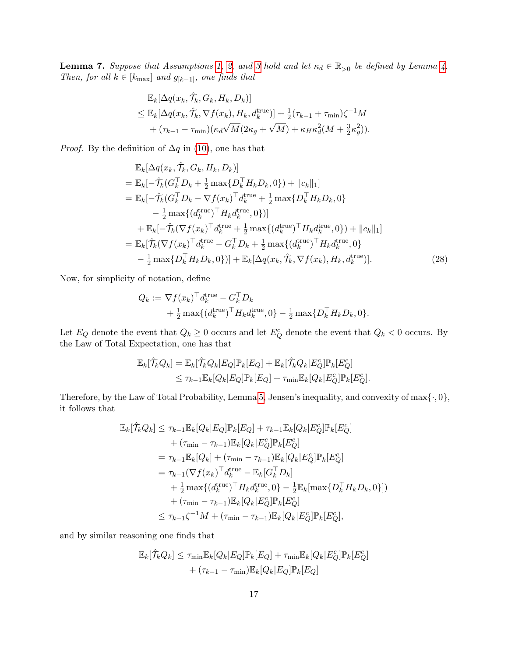<span id="page-16-0"></span>**Lemma 7.** Suppose that Assumptions [1,](#page-3-1) [2,](#page-6-1) and [3](#page-11-0) hold and let  $\kappa_d \in \mathbb{R}_{>0}$  be defined by Lemma [4.](#page-12-2) Then, for all  $k \in [k_{\text{max}}]$  and  $g_{[k-1]}$ , one finds that

$$
\mathbb{E}_{k}[\Delta q(x_{k}, \hat{\mathcal{T}}_{k}, G_{k}, H_{k}, D_{k})]
$$
\n
$$
\leq \mathbb{E}_{k}[\Delta q(x_{k}, \hat{\mathcal{T}}_{k}, \nabla f(x_{k}), H_{k}, d_{k}^{\text{true}})] + \frac{1}{2}(\tau_{k-1} + \tau_{\min})\zeta^{-1}M
$$
\n
$$
+(\tau_{k-1} - \tau_{\min})(\kappa_{d}\sqrt{M}(2\kappa_{g} + \sqrt{M}) + \kappa_{H}\kappa_{d}^{2}(M + \frac{3}{2}\kappa_{g}^{2})).
$$

*Proof.* By the definition of  $\Delta q$  in [\(10\)](#page-7-3), one has that

$$
\mathbb{E}_{k}[\Delta q(x_{k}, \hat{\mathcal{T}}_{k}, G_{k}, H_{k}, D_{k})]
$$
\n
$$
= \mathbb{E}_{k}[-\hat{\mathcal{T}}_{k}(G_{k}^{\top}D_{k} + \frac{1}{2}\max\{D_{k}^{\top}H_{k}D_{k}, 0\}) + ||c_{k}||_{1}]
$$
\n
$$
= \mathbb{E}_{k}[-\hat{\mathcal{T}}_{k}(G_{k}^{\top}D_{k} - \nabla f(x_{k})^{\top}d_{k}^{\text{true}} + \frac{1}{2}\max\{D_{k}^{\top}H_{k}D_{k}, 0\}
$$
\n
$$
- \frac{1}{2}\max\{(d_{k}^{\text{true}})^{\top}H_{k}d_{k}^{\text{true}}, 0\})]
$$
\n
$$
+ \mathbb{E}_{k}[-\hat{\mathcal{T}}_{k}(\nabla f(x_{k})^{\top}d_{k}^{\text{true}} + \frac{1}{2}\max\{(d_{k}^{\text{true}})^{\top}H_{k}d_{k}^{\text{true}}, 0\}) + ||c_{k}||_{1}]
$$
\n
$$
= \mathbb{E}_{k}[\hat{\mathcal{T}}_{k}(\nabla f(x_{k})^{\top}d_{k}^{\text{true}} - G_{k}^{\top}D_{k} + \frac{1}{2}\max\{(d_{k}^{\text{true}})^{\top}H_{k}d_{k}^{\text{true}}, 0\}
$$
\n
$$
- \frac{1}{2}\max\{D_{k}^{\top}H_{k}D_{k}, 0\})] + \mathbb{E}_{k}[\Delta q(x_{k}, \hat{\mathcal{T}}_{k}, \nabla f(x_{k}), H_{k}, d_{k}^{\text{true}})]. \tag{28}
$$

Now, for simplicity of notation, define

<span id="page-16-1"></span>
$$
Q_k := \nabla f(x_k)^\top d_k^{\text{true}} - G_k^\top D_k
$$
  
+  $\frac{1}{2} \max \{ (d_k^{\text{true}})^\top H_k d_k^{\text{true}}, 0 \} - \frac{1}{2} \max \{ D_k^\top H_k D_k, 0 \}.$ 

Let  $E_Q$  denote the event that  $Q_k \geq 0$  occurs and let  $E_Q^c$  denote the event that  $Q_k < 0$  occurs. By the Law of Total Expectation, one has that

$$
\mathbb{E}_k[\hat{\mathcal{T}}_k Q_k] = \mathbb{E}_k[\hat{\mathcal{T}}_k Q_k | E_Q] \mathbb{P}_k[E_Q] + \mathbb{E}_k[\hat{\mathcal{T}}_k Q_k | E_Q^c] \mathbb{P}_k[E_Q^c] \leq \tau_{k-1} \mathbb{E}_k[Q_k | E_Q] \mathbb{P}_k[E_Q] + \tau_{\min} \mathbb{E}_k[Q_k | E_Q^c] \mathbb{P}_k[E_Q^c].
$$

Therefore, by the Law of Total Probability, Lemma [5,](#page-13-1) Jensen's inequality, and convexity of  $\max\{\cdot, 0\}$ , it follows that

$$
\mathbb{E}_{k}[\hat{\mathcal{T}}_{k}Q_{k}] \leq \tau_{k-1}\mathbb{E}_{k}[Q_{k}|E_{Q}]\mathbb{P}_{k}[E_{Q}] + \tau_{k-1}\mathbb{E}_{k}[Q_{k}|E_{Q}^{c}]\mathbb{P}_{k}[E_{Q}^{c}] \n+ (\tau_{\min} - \tau_{k-1})\mathbb{E}_{k}[Q_{k}|E_{Q}^{c}]\mathbb{P}_{k}[E_{Q}^{c}] \n= \tau_{k-1}\mathbb{E}_{k}[Q_{k}] + (\tau_{\min} - \tau_{k-1})\mathbb{E}_{k}[Q_{k}|E_{Q}^{c}]\mathbb{P}_{k}[E_{Q}^{c}] \n= \tau_{k-1}(\nabla f(x_{k})^{\top}d_{k}^{\text{true}} - \mathbb{E}_{k}[G_{k}^{\top}D_{k}] \n+ \frac{1}{2}\max\{(d_{k}^{\text{true}})^{\top}H_{k}d_{k}^{\text{true}},0\} - \frac{1}{2}\mathbb{E}_{k}[\max\{D_{k}^{\top}H_{k}D_{k},0\}]) \n+ (\tau_{\min} - \tau_{k-1})\mathbb{E}_{k}[Q_{k}|E_{Q}^{c}]\mathbb{P}_{k}[E_{Q}^{c}] \n\leq \tau_{k-1}\zeta^{-1}M + (\tau_{\min} - \tau_{k-1})\mathbb{E}_{k}[Q_{k}|E_{Q}^{c}]\mathbb{P}_{k}[E_{Q}^{c}],
$$

and by similar reasoning one finds that

$$
\mathbb{E}_k[\hat{\mathcal{T}}_k Q_k] \leq \tau_{\min} \mathbb{E}_k[Q_k | E_Q] \mathbb{P}_k[E_Q] + \tau_{\min} \mathbb{E}_k[Q_k | E_Q^c] \mathbb{P}_k[E_Q^c] + (\tau_{k-1} - \tau_{\min}) \mathbb{E}_k[Q_k | E_Q] \mathbb{P}_k[E_Q]
$$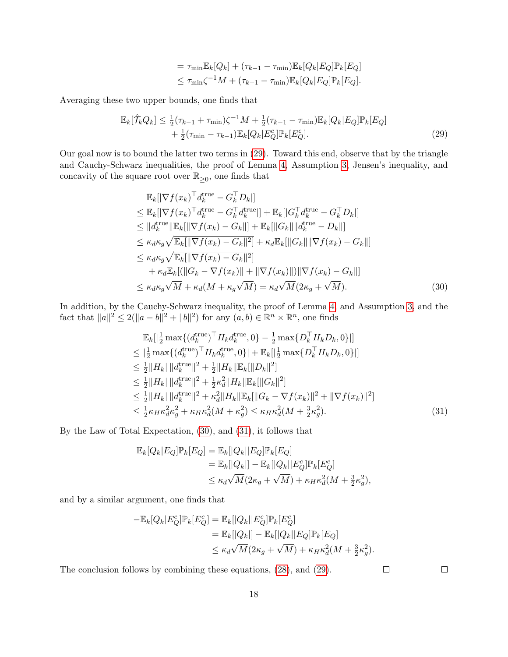<span id="page-17-0"></span>
$$
= \tau_{\min} \mathbb{E}_k[Q_k] + (\tau_{k-1} - \tau_{\min}) \mathbb{E}_k[Q_k | E_Q] \mathbb{P}_k[E_Q] \leq \tau_{\min} \zeta^{-1} M + (\tau_{k-1} - \tau_{\min}) \mathbb{E}_k[Q_k | E_Q] \mathbb{P}_k[E_Q].
$$

Averaging these two upper bounds, one finds that

$$
\mathbb{E}_{k}[\hat{\mathcal{T}}_{k}Q_{k}] \leq \frac{1}{2}(\tau_{k-1} + \tau_{\min})\zeta^{-1}M + \frac{1}{2}(\tau_{k-1} - \tau_{\min})\mathbb{E}_{k}[Q_{k}|E_{Q}]\mathbb{P}_{k}[E_{Q}] + \frac{1}{2}(\tau_{\min} - \tau_{k-1})\mathbb{E}_{k}[Q_{k}|E_{Q}^{c}]\mathbb{P}_{k}[E_{Q}^{c}].
$$
\n(29)

Our goal now is to bound the latter two terms in [\(29\)](#page-17-0). Toward this end, observe that by the triangle and Cauchy-Schwarz inequalities, the proof of Lemma [4,](#page-12-2) Assumption [3,](#page-11-0) Jensen's inequality, and concavity of the square root over  $\mathbb{R}_{\geq 0}$ , one finds that

$$
\mathbb{E}_{k}[\nabla f(x_{k})^{\top}d_{k}^{\text{true}} - G_{k}^{\top}D_{k}]]
$$
\n
$$
\leq \mathbb{E}_{k}[\nabla f(x_{k})^{\top}d_{k}^{\text{true}} - G_{k}^{\top}d_{k}^{\text{true}}] + \mathbb{E}_{k}[[G_{k}^{\top}d_{k}^{\text{true}} - G_{k}^{\top}D_{k}]]
$$
\n
$$
\leq ||d_{k}^{\text{true}}||\mathbb{E}_{k}[\|\nabla f(x_{k}) - G_{k}||] + \mathbb{E}_{k}[\|G_{k}||\|d_{k}^{\text{true}} - D_{k}||]
$$
\n
$$
\leq \kappa_{d}\kappa_{g}\sqrt{\mathbb{E}_{k}[\|\nabla f(x_{k}) - G_{k}||^{2}]} + \kappa_{d}\mathbb{E}_{k}[\|G_{k}||\|\nabla f(x_{k}) - G_{k}||]
$$
\n
$$
\leq \kappa_{d}\kappa_{g}\sqrt{\mathbb{E}_{k}[\|\nabla f(x_{k}) - G_{k}||^{2}]} + \kappa_{d}\mathbb{E}_{k}[\|G_{k}||\|\nabla f(x_{k}) - G_{k}||]
$$
\n
$$
+ \kappa_{d}\mathbb{E}_{k}[(||G_{k} - \nabla f(x_{k})|| + ||\nabla f(x_{k})||)||\nabla f(x_{k}) - G_{k}||]
$$
\n
$$
\leq \kappa_{d}\kappa_{g}\sqrt{M} + \kappa_{d}(M + \kappa_{g}\sqrt{M}) = \kappa_{d}\sqrt{M}(2\kappa_{g} + \sqrt{M}). \tag{30}
$$

In addition, by the Cauchy-Schwarz inequality, the proof of Lemma [4,](#page-12-2) and Assumption [3,](#page-11-0) and the fact that  $||a||^2 \le 2(||a-b||^2 + ||b||^2)$  for any  $(a, b) \in \mathbb{R}^n \times \mathbb{R}^n$ , one finds

$$
\mathbb{E}_{k}[\left|\frac{1}{2}\max\{(d_{k}^{\text{true}})^{\top}H_{k}d_{k}^{\text{true}},0\right\rangle-\frac{1}{2}\max\{D_{k}^{\top}H_{k}D_{k},0\}]|
$$
\n
$$
\leq |\frac{1}{2}\max\{(d_{k}^{\text{true}})^{\top}H_{k}d_{k}^{\text{true}},0\}|+\mathbb{E}_{k}[\left|\frac{1}{2}\max\{D_{k}^{\top}H_{k}D_{k},0\}\right|]
$$
\n
$$
\leq \frac{1}{2}\|H_{k}\|\|d_{k}^{\text{true}}\|^{2}+\frac{1}{2}\|H_{k}\|\mathbb{E}_{k}[\|D_{k}\|^{2}]
$$
\n
$$
\leq \frac{1}{2}\|H_{k}\|\|d_{k}^{\text{true}}\|^{2}+\frac{1}{2}\kappa_{d}^{2}\|H_{k}\|\mathbb{E}_{k}[\|G_{k}\|^{2}]
$$
\n
$$
\leq \frac{1}{2}\|H_{k}\|\|d_{k}^{\text{true}}\|^{2}+\kappa_{d}^{2}\|H_{k}\|\mathbb{E}_{k}[\|G_{k}\|^{2}]
$$
\n
$$
\leq \frac{1}{2}\|H_{k}\|\|d_{k}^{\text{true}}\|^{2}+\kappa_{d}^{2}\|H_{k}\|\mathbb{E}_{k}[\|G_{k}-\nabla f(x_{k})\|^{2}+\|\nabla f(x_{k})\|^{2}]
$$
\n
$$
\leq \frac{1}{2}\kappa_{H}\kappa_{d}^{2}\kappa_{g}^{2}+\kappa_{H}\kappa_{d}^{2}(M+\kappa_{g}^{2})\leq \kappa_{H}\kappa_{d}^{2}(M+\frac{3}{2}\kappa_{g}^{2}).
$$
\n(31)

By the Law of Total Expectation, [\(30\)](#page-17-1), and [\(31\)](#page-17-2), it follows that

$$
\mathbb{E}_k[Q_k|E_Q]\mathbb{P}_k[E_Q] = \mathbb{E}_k[|Q_k||E_Q]\mathbb{P}_k[E_Q]
$$
  
\n
$$
= \mathbb{E}_k[|Q_k|] - \mathbb{E}_k[|Q_k||E_Q^c]\mathbb{P}_k[E_Q^c]
$$
  
\n
$$
\leq \kappa_d \sqrt{M}(2\kappa_g + \sqrt{M}) + \kappa_H \kappa_d^2(M + \frac{3}{2}\kappa_g^2),
$$

and by a similar argument, one finds that

$$
-\mathbb{E}_k[Q_k|E_Q^c]\mathbb{P}_k[E_Q^c] = \mathbb{E}_k[|Q_k||E_Q^c]\mathbb{P}_k[E_Q^c] \n= \mathbb{E}_k[|Q_k|] - \mathbb{E}_k[|Q_k||E_Q]\mathbb{P}_k[E_Q] \n\leq \kappa_d \sqrt{M}(2\kappa_g + \sqrt{M}) + \kappa_H \kappa_d^2(M + \frac{3}{2}\kappa_g^2).
$$

The conclusion follows by combining these equations, [\(28\)](#page-16-1), and [\(29\)](#page-17-0).

<span id="page-17-2"></span><span id="page-17-1"></span> $\Box$ 

 $\Box$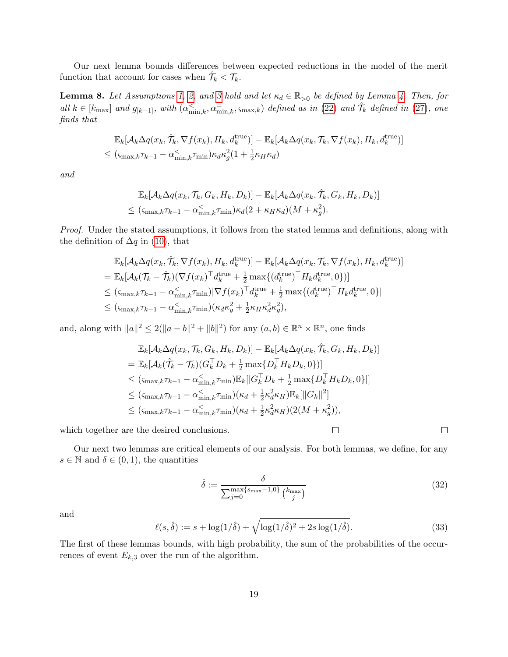Our next lemma bounds differences between expected reductions in the model of the merit function that account for cases when  $\hat{\mathcal{T}}_k < \mathcal{T}_k$ .

<span id="page-18-0"></span>**Lemma 8.** Let Assumptions [1,](#page-3-1) [2,](#page-6-1) and [3](#page-11-0) hold and let  $\kappa_d \in \mathbb{R}_{>0}$  be defined by Lemma [4.](#page-12-2) Then, for all  $k \in [k_{\text{max}}]$  and  $g_{[k-1]}$ , with  $(\alpha_{\min,k}^{\lt}, \alpha_{\min,k}^{\equiv}, \varsigma_{\max,k})$  defined as in [\(22\)](#page-14-1) and  $\hat{\mathcal{T}}_k$  defined in [\(27\)](#page-15-4), one finds that

$$
\mathbb{E}_{k}[\mathcal{A}_{k}\Delta q(x_{k},\tilde{\mathcal{T}}_{k},\nabla f(x_{k}),H_{k},d_{k}^{\text{true}})] - \mathbb{E}_{k}[\mathcal{A}_{k}\Delta q(x_{k},\mathcal{T}_{k},\nabla f(x_{k}),H_{k},d_{k}^{\text{true}})]
$$
  

$$
\leq (\varsigma_{\max,k}\tau_{k-1} - \alpha_{\min,k}^{<}\tau_{\min})\kappa_{d}\kappa_{g}^{2}(1 + \frac{1}{2}\kappa_{H}\kappa_{d})
$$

and

$$
\mathbb{E}_{k}[\mathcal{A}_{k}\Delta q(x_{k},\mathcal{T}_{k},G_{k},H_{k},D_{k})] - \mathbb{E}_{k}[\mathcal{A}_{k}\Delta q(x_{k},\hat{\mathcal{T}}_{k},G_{k},H_{k},D_{k})] \leq (\varsigma_{\max,k}\tau_{k-1} - \alpha_{\min,k}^{<}\tau_{\min})\kappa_{d}(2 + \kappa_{H}\kappa_{d})(M + \kappa_{g}^{2}).
$$

Proof. Under the stated assumptions, it follows from the stated lemma and definitions, along with the definition of  $\Delta q$  in [\(10\)](#page-7-3), that

$$
\mathbb{E}_{k}[\mathcal{A}_{k}\Delta q(x_{k},\tilde{\mathcal{T}}_{k},\nabla f(x_{k}),H_{k},d_{k}^{\text{true}})] - \mathbb{E}_{k}[\mathcal{A}_{k}\Delta q(x_{k},\mathcal{T}_{k},\nabla f(x_{k}),H_{k},d_{k}^{\text{true}})]
$$
\n
$$
= \mathbb{E}_{k}[\mathcal{A}_{k}(\mathcal{T}_{k}-\hat{\mathcal{T}}_{k})(\nabla f(x_{k})^{\top}d_{k}^{\text{true}} + \frac{1}{2}\max\{(d_{k}^{\text{true}})^{\top}H_{k}d_{k}^{\text{true}},0\})]
$$
\n
$$
\leq (\varsigma_{\max,k}\tau_{k-1} - \alpha_{\min,k}^{\check{\zeta}}\tau_{\min})|\nabla f(x_{k})^{\top}d_{k}^{\text{true}} + \frac{1}{2}\max\{(d_{k}^{\text{true}})^{\top}H_{k}d_{k}^{\text{true}},0\}|
$$
\n
$$
\leq (\varsigma_{\max,k}\tau_{k-1} - \alpha_{\min,k}^{\check{\zeta}}\tau_{\min})(\kappa_{d}\kappa_{g}^{2} + \frac{1}{2}\kappa_{H}\kappa_{d}^{2}\kappa_{g}^{2}),
$$

and, along with  $||a||^2 \le 2(||a-b||^2 + ||b||^2)$  for any  $(a,b) \in \mathbb{R}^n \times \mathbb{R}^n$ , one finds

$$
\mathbb{E}_{k}[\mathcal{A}_{k}\Delta q(x_{k},\mathcal{T}_{k},G_{k},H_{k},D_{k})] - \mathbb{E}_{k}[\mathcal{A}_{k}\Delta q(x_{k},\hat{\mathcal{T}}_{k},G_{k},H_{k},D_{k})]
$$
\n
$$
= \mathbb{E}_{k}[\mathcal{A}_{k}(\hat{\mathcal{T}}_{k}-\mathcal{T}_{k})(G_{k}^{\top}D_{k}+\frac{1}{2}\max\{D_{k}^{\top}H_{k}D_{k},0\})]
$$
\n
$$
\leq (\mathbf{S}_{\max,k}\tau_{k-1}-\alpha_{\min,k}^{<}\tau_{\min})\mathbb{E}_{k}[[G_{k}^{\top}D_{k}+\frac{1}{2}\max\{D_{k}^{\top}H_{k}D_{k},0\}]|
$$
\n
$$
\leq (\mathbf{S}_{\max,k}\tau_{k-1}-\alpha_{\min,k}^{<}\tau_{\min})(\kappa_{d}+\frac{1}{2}\kappa_{d}^{2}\kappa_{H})\mathbb{E}_{k}[\|G_{k}\|^{2}]
$$
\n
$$
\leq (\mathbf{S}_{\max,k}\tau_{k-1}-\alpha_{\min,k}^{<}\tau_{\min})(\kappa_{d}+\frac{1}{2}\kappa_{d}^{2}\kappa_{H})(2(M+\kappa_{g}^{2})),
$$

which together are the desired conclusions.

Our next two lemmas are critical elements of our analysis. For both lemmas, we define, for any  $s \in \mathbb{N}$  and  $\delta \in (0,1)$ , the quantities

<span id="page-18-1"></span>
$$
\hat{\delta} := \frac{\delta}{\sum_{j=0}^{\max\{s_{\max}-1,0\}} \binom{k_{\max}}{j}} \tag{32}
$$

 $\Box$ 

 $\Box$ 

and

<span id="page-18-2"></span>
$$
\ell(s,\hat{\delta}) := s + \log(1/\hat{\delta}) + \sqrt{\log(1/\hat{\delta})^2 + 2s\log(1/\hat{\delta})}.
$$
 (33)

The first of these lemmas bounds, with high probability, the sum of the probabilities of the occurrences of event  $E_{k,3}$  over the run of the algorithm.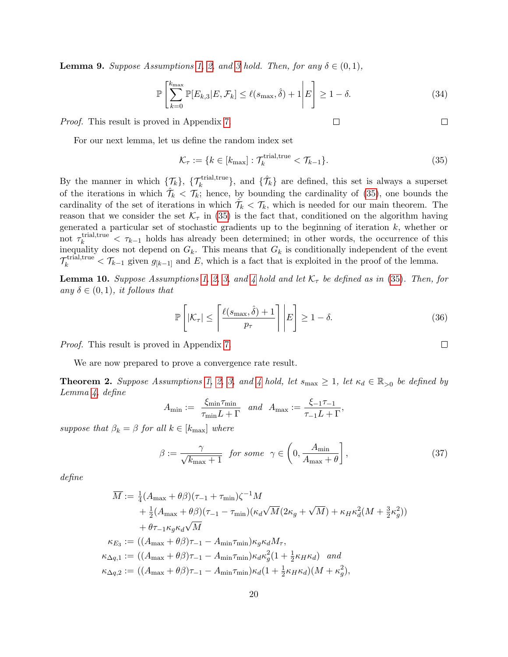<span id="page-19-0"></span>**Lemma 9.** Suppose Assumptions [1,](#page-3-1) [2,](#page-6-1) and [3](#page-11-0) hold. Then, for any  $\delta \in (0,1)$ ,

$$
\mathbb{P}\left[\sum_{k=0}^{k_{\text{max}}} \mathbb{P}[E_{k,3}|E,\mathcal{F}_k] \le \ell(s_{\text{max}},\hat{\delta}) + 1 \middle| E\right] \ge 1 - \delta. \tag{34}
$$

Proof. This result is proved in Appendix [7.](#page-32-0)

$$
\mathcal{L}^{\mathcal{L}}(\mathcal{L}^{\mathcal{L}}(\mathcal{L}^{\mathcal{L}}(\mathcal{L}^{\mathcal{L}}(\mathcal{L}^{\mathcal{L}}(\mathcal{L}^{\mathcal{L}}(\mathcal{L}^{\mathcal{L}}(\mathcal{L}^{\mathcal{L}}(\mathcal{L}^{\mathcal{L}}(\mathcal{L}^{\mathcal{L}}(\mathcal{L}^{\mathcal{L}}(\mathcal{L}^{\mathcal{L}}(\mathcal{L}^{\mathcal{L}}(\mathcal{L}^{\mathcal{L}}(\mathcal{L}^{\mathcal{L}}(\mathcal{L}^{\mathcal{L}}(\mathcal{L}^{\mathcal{L}}(\mathcal{L}^{\mathcal{L}}(\mathcal{L}^{\mathcal{L}}(\mathcal{L}^{\mathcal{L}}(\mathcal{L}^{\mathcal{L}}(\mathcal{L}^{\mathcal{L}}(\mathcal{L}^{\mathcal{L}}(\mathcal{L}^{\mathcal{L}}(\mathcal{L}^{\mathcal{L}}(\mathcal{L}^{\mathcal{L}}(\mathcal{L}^{\mathcal{L}}(\mathcal{L}^{\mathcal{L}}(\mathcal{L}^{\mathcal{L}}(\mathcal{L}^{\mathcal{L}}(\mathcal{L}^{\mathcal{L}}(\mathcal{L}^{\mathcal{L}}(\mathcal{L}^{\mathcal{L}}(\mathcal{L}^{\mathcal{L}}(\mathcal{L}^{\mathcal{L}}(\mathcal{L}^{\mathcal{L}}(\mathcal{L}^{\mathcal{L}}(\mathcal{L}^{\mathcal{L}}(\mathcal{L}^{\mathcal{L}}(\mathcal{L}^{\mathcal{L}}(\mathcal{L}^{\mathcal{L}}(\mathcal{L}^{\mathcal{L}}(\mathcal{L}^{\mathcal{L}}(\mathcal{L}^{\mathcal{L}}(\mathcal{L}^{\mathcal{L}}(\mathcal{L}^{\mathcal{L}}(\mathcal{L}^{\mathcal{L}}(\mathcal{L}^{\mathcal{L}}(\mathcal{L}^{\mathcal{L}}(\mathcal{L}^{\mathcal{L}}(\mathcal{L}^{\mathcal{L}}(\mathcal{L}^{\mathcal{L}}(\mathcal{L}^{\mathcal{L}}(\mathcal{L}^{\mathcal{L}}(\mathcal{L}^{\mathcal{L}}(\mathcal{L}^{\mathcal{L}}(\mathcal{L}^{\mathcal{L}}(\mathcal{L}^{\mathcal{L}}(\mathcal{L}
$$

 $\Box$ 

For our next lemma, let us define the random index set

<span id="page-19-2"></span>
$$
\mathcal{K}_{\tau} := \{ k \in [k_{\text{max}}] : \mathcal{T}_k^{\text{trial,true}} < \mathcal{T}_{k-1} \}. \tag{35}
$$

 $\Box$ 

By the manner in which  $\{\mathcal{T}_k\}$ ,  $\{\mathcal{T}_k^{\text{trial,true}}\}$ , and  $\{\hat{\mathcal{T}}_k\}$  are defined, this set is always a superset of the iterations in which  $\hat{\mathcal{T}}_k < \mathcal{T}_k$ ; hence, by bounding the cardinality of [\(35\)](#page-19-2), one bounds the cardinality of the set of iterations in which  $\hat{\mathcal{T}}_k < \mathcal{T}_k$ , which is needed for our main theorem. The reason that we consider the set  $\mathcal{K}_{\tau}$  in [\(35\)](#page-19-2) is the fact that, conditioned on the algorithm having generated a particular set of stochastic gradients up to the beginning of iteration  $k$ , whether or not  $\tau_k^{\text{trial,true}} < \tau_{k-1}$  holds has already been determined; in other words, the occurrence of this inequality does not depend on  $G_k$ . This means that  $G_k$  is conditionally independent of the event  $\mathcal{T}_k^{\text{trial,true}} < \mathcal{T}_{k-1}$  given  $g_{[k-1]}$  and E, which is a fact that is exploited in the proof of the lemma.

<span id="page-19-1"></span>**Lemma 10.** Suppose Assumptions [1,](#page-3-1) [2,](#page-6-1) [3,](#page-11-0) and [4](#page-11-3) hold and let  $\mathcal{K}_{\tau}$  be defined as in [\(35\)](#page-19-2). Then, for any  $\delta \in (0,1)$ , it follows that

$$
\mathbb{P}\left[|\mathcal{K}_{\tau}| \le \left\lceil \frac{\ell(s_{\max}, \hat{\delta}) + 1}{p_{\tau}} \right\rceil | E \right] \ge 1 - \delta. \tag{36}
$$

Proof. This result is proved in Appendix [7.](#page-32-0)

We are now prepared to prove a convergence rate result.

<span id="page-19-3"></span>**Theorem 2.** Suppose Assumptions [1,](#page-3-1) [2,](#page-6-1) [3,](#page-11-0) and [4](#page-11-3) hold, let  $s_{\text{max}} \geq 1$ , let  $\kappa_d \in \mathbb{R}_{>0}$  be defined by Lemma [4,](#page-12-2) define

$$
A_{\min} := \frac{\xi_{\min} \tau_{\min}}{\tau_{\min} L + \Gamma} \quad and \quad A_{\max} := \frac{\xi_{-1} \tau_{-1}}{\tau_{-1} L + \Gamma},
$$

suppose that  $\beta_k = \beta$  for all  $k \in [k_{\text{max}}]$  where

$$
\beta := \frac{\gamma}{\sqrt{k_{\text{max}} + 1}} \quad \text{for some} \quad \gamma \in \left( 0, \frac{A_{\text{min}}}{A_{\text{max}} + \theta} \right],\tag{37}
$$

define

$$
\overline{M} := \frac{1}{4} (A_{\text{max}} + \theta \beta)(\tau_{-1} + \tau_{\text{min}}) \zeta^{-1} M \n+ \frac{1}{2} (A_{\text{max}} + \theta \beta)(\tau_{-1} - \tau_{\text{min}}) (\kappa_d \sqrt{M} (2\kappa_g + \sqrt{M}) + \kappa_H \kappa_d^2 (M + \frac{3}{2} \kappa_g^2)) \n+ \theta \tau_{-1} \kappa_g \kappa_d \sqrt{M} \n\kappa_{E_3} := ((A_{\text{max}} + \theta \beta)\tau_{-1} - A_{\text{min}} \tau_{\text{min}}) \kappa_g \kappa_d M_{\tau}, \n\kappa_{\Delta q,1} := ((A_{\text{max}} + \theta \beta)\tau_{-1} - A_{\text{min}} \tau_{\text{min}}) \kappa_d \kappa_g^2 (1 + \frac{1}{2} \kappa_H \kappa_d) \text{ and} \n\kappa_{\Delta q,2} := ((A_{\text{max}} + \theta \beta)\tau_{-1} - A_{\text{min}} \tau_{\text{min}}) \kappa_d (1 + \frac{1}{2} \kappa_H \kappa_d) (M + \kappa_g^2),
$$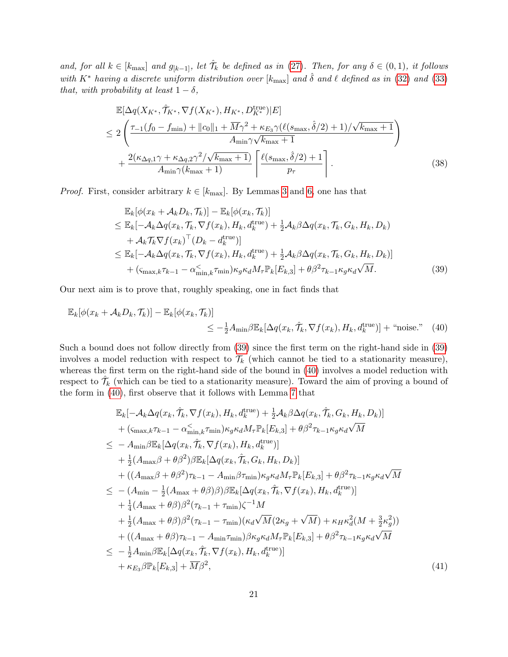and, for all  $k \in [k_{\text{max}}]$  and  $g_{[k-1]}$ , let  $\hat{\mathcal{T}}_k$  be defined as in [\(27\)](#page-15-4). Then, for any  $\delta \in (0,1)$ , it follows with  $K^*$  having a discrete uniform distribution over [ $k_{\text{max}}$ ] and  $\hat{\delta}$  and  $\ell$  defined as in [\(32\)](#page-18-1) and [\(33\)](#page-18-2) that, with probability at least  $1 - \delta$ ,

$$
\mathbb{E}[\Delta q(X_{K^*}, \hat{\mathcal{T}}_{K^*}, \nabla f(X_{K^*}), H_{K^*}, D_{K^*}^{\text{true}})|E]
$$
\n
$$
\leq 2\left(\frac{\tau_{-1}(f_0 - f_{\min}) + ||c_0||_1 + \overline{M}\gamma^2 + \kappa_{E_3}\gamma(\ell(s_{\max}, \hat{\delta}/2) + 1)/\sqrt{k_{\max} + 1}}{A_{\min}\gamma\sqrt{k_{\max} + 1}}\right) + \frac{2(\kappa_{\Delta q, 1}\gamma + \kappa_{\Delta q, 2}\gamma^2/\sqrt{k_{\max} + 1})}{A_{\min}\gamma(k_{\max} + 1)} \left[\frac{\ell(s_{\max}, \hat{\delta}/2) + 1}{p_{\tau}}\right].
$$
\n(38)

*Proof.* First, consider arbitrary  $k \in [k_{\text{max}}]$ . By Lemmas [3](#page-12-3) and [6,](#page-14-0) one has that

<span id="page-20-1"></span><span id="page-20-0"></span>
$$
\mathbb{E}_{k}[\phi(x_{k} + A_{k}D_{k}, \mathcal{T}_{k})] - \mathbb{E}_{k}[\phi(x_{k}, \mathcal{T}_{k})]
$$
\n
$$
\leq \mathbb{E}_{k}[-A_{k}\Delta q(x_{k}, \mathcal{T}_{k}, \nabla f(x_{k}), H_{k}, d_{k}^{\text{true}}) + \frac{1}{2}A_{k}\beta\Delta q(x_{k}, \mathcal{T}_{k}, G_{k}, H_{k}, D_{k})
$$
\n
$$
+ A_{k}\mathcal{T}_{k}\nabla f(x_{k})^{\top}(D_{k} - d_{k}^{\text{true}})]
$$
\n
$$
\leq \mathbb{E}_{k}[-A_{k}\Delta q(x_{k}, \mathcal{T}_{k}, \nabla f(x_{k}), H_{k}, d_{k}^{\text{true}}) + \frac{1}{2}A_{k}\beta\Delta q(x_{k}, \mathcal{T}_{k}, G_{k}, H_{k}, D_{k})]
$$
\n
$$
+ (\varsigma_{\max,k}\tau_{k-1} - \alpha_{\min,k}^{\check{\zeta}}\tau_{\min})\kappa_{g}\kappa_{d}M_{\tau}\mathbb{P}_{k}[E_{k,3}] + \theta\beta^{2}\tau_{k-1}\kappa_{g}\kappa_{d}\sqrt{M}. \tag{39}
$$

Our next aim is to prove that, roughly speaking, one in fact finds that

$$
\mathbb{E}_{k}[\phi(x_{k} + \mathcal{A}_{k}D_{k}, \mathcal{T}_{k})] - \mathbb{E}_{k}[\phi(x_{k}, \mathcal{T}_{k})] \leq -\frac{1}{2}A_{\min}\beta\mathbb{E}_{k}[\Delta q(x_{k}, \hat{\mathcal{T}}_{k}, \nabla f(x_{k}), H_{k}, d_{k}^{\text{true}})] + \text{``noise."} \quad (40)
$$

Such a bound does not follow directly from [\(39\)](#page-20-0) since the first term on the right-hand side in [\(39\)](#page-20-0) involves a model reduction with respect to  $\mathcal{T}_k$  (which cannot be tied to a stationarity measure), whereas the first term on the right-hand side of the bound in [\(40\)](#page-20-1) involves a model reduction with respect to  $\hat{\mathcal{T}}_k$  (which can be tied to a stationarity measure). Toward the aim of proving a bound of the form in [\(40\)](#page-20-1), first observe that it follows with Lemma [7](#page-16-0) that

<span id="page-20-2"></span>
$$
\mathbb{E}_{k}[-\mathcal{A}_{k}\Delta q(x_{k},\hat{\mathcal{T}}_{k},\nabla f(x_{k}),H_{k},d_{k}^{\text{true}})+\frac{1}{2}\mathcal{A}_{k}\beta\Delta q(x_{k},\hat{\mathcal{T}}_{k},G_{k},H_{k},D_{k})]
$$
  
+  $(\varsigma_{\max,k}\tau_{k-1}-\alpha_{\min,k}^{\leq} \tau_{\min})\kappa_{g}\kappa_{d}M_{\tau}\mathbb{P}_{k}[E_{k,3}]+\theta\beta^{2}\tau_{k-1}\kappa_{g}\kappa_{d}\sqrt{M}$   
 $\leq -A_{\min}\beta\mathbb{E}_{k}[\Delta q(x_{k},\hat{\mathcal{T}}_{k},\nabla f(x_{k}),H_{k},d_{k}^{\text{true}})]$   
+  $\frac{1}{2}(A_{\max}\beta+\theta\beta^{2})\beta\mathbb{E}_{k}[\Delta q(x_{k},\hat{\mathcal{T}}_{k},G_{k},H_{k},D_{k})]$   
+  $((A_{\max}\beta+\theta\beta^{2})\tau_{k-1}-A_{\min}\beta\tau_{\min})\kappa_{g}\kappa_{d}M_{\tau}\mathbb{P}_{k}[E_{k,3}]+\theta\beta^{2}\tau_{k-1}\kappa_{g}\kappa_{d}\sqrt{M}$   
 $\leq -(A_{\min}-\frac{1}{2}(A_{\max}+\theta\beta)\beta)\beta\mathbb{E}_{k}[\Delta q(x_{k},\hat{\mathcal{T}}_{k},\nabla f(x_{k}),H_{k},d_{k}^{\text{true}})]$   
+  $\frac{1}{4}(A_{\max}+\theta\beta)\beta^{2}(\tau_{k-1}+\tau_{\min})\zeta^{-1}M$   
+  $\frac{1}{2}(A_{\max}+\theta\beta)\beta^{2}(\tau_{k-1}-\tau_{\min})(\kappa_{d}\sqrt{M}(2\kappa_{g}+\sqrt{M})+\kappa_{H}\kappa_{d}^{2}(M+\frac{3}{2}\kappa_{g}^{2}))$   
+  $((A_{\max}+\theta\beta)\tau_{k-1}-A_{\min}\tau_{\min})\beta\kappa_{g}\kappa_{d}M_{\tau}\mathbb{P}_{k}[E_{k,3}]+\theta\beta^{2}\tau_{k-1}\kappa_{g}\kappa_{d}\sqrt{M}$   
 $\leq -\frac{1}{2}A_{\min}\$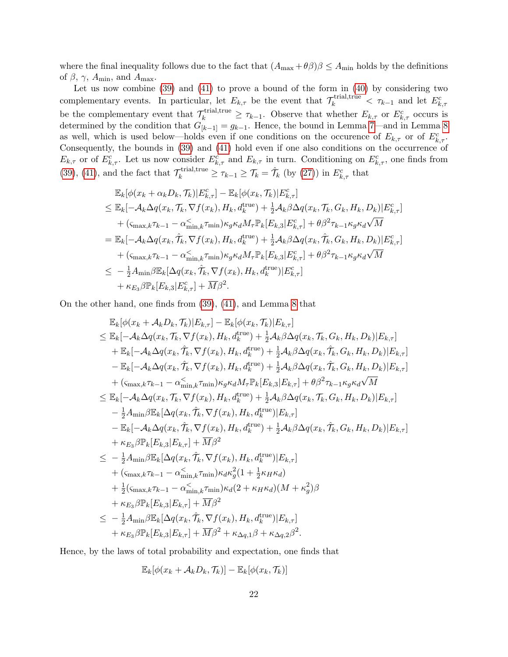where the final inequality follows due to the fact that  $(A_{\text{max}} + \theta \beta)\beta \leq A_{\text{min}}$  holds by the definitions of  $\beta$ ,  $\gamma$ ,  $A_{\min}$ , and  $A_{\max}$ .

Let us now combine [\(39\)](#page-20-0) and [\(41\)](#page-20-2) to prove a bound of the form in [\(40\)](#page-20-1) by considering two complementary events. In particular, let  $E_{k,\tau}$  be the event that  $\mathcal{T}_k^{\text{trial,true}} < \tau_{k-1}$  and let  $E_{k,\tau}^c$ be the complementary event that  $\mathcal{T}_k^{\text{trial,true}} \geq \tau_{k-1}$ . Observe that whether  $E_{k,\tau}$  or  $E_{k,\tau}^c$  occurs is determined by the condition that  $G_{[k-1]} = g_{k-1}$ . Hence, the bound in Lemma [7—](#page-16-0)and in Lemma [8](#page-18-0) as well, which is used below—holds even if one conditions on the occurence of  $E_{k,\tau}$  or of  $E_{k,\tau}^c$ . Consequently, the bounds in [\(39\)](#page-20-0) and [\(41\)](#page-20-2) hold even if one also conditions on the occurrence of  $E_{k,\tau}$  or of  $E_{k,\tau}^c$ . Let us now consider  $E_{k,\tau}^c$  and  $E_{k,\tau}$  in turn. Conditioning on  $E_{k,\tau}^c$ , one finds from [\(39\)](#page-20-0), [\(41\)](#page-20-2), and the fact that  $\mathcal{T}_k^{\text{trial,true}} \geq \tau_{k-1} \geq \mathcal{T}_k = \hat{\mathcal{T}}_k$  (by [\(27\)](#page-15-4)) in  $E_{k,\tau}^c$  that

$$
\mathbb{E}_{k}[\phi(x_{k}+\alpha_{k}D_{k},\mathcal{T}_{k})|\mathcal{E}_{k,\tau}^{c}] - \mathbb{E}_{k}[\phi(x_{k},\mathcal{T}_{k})|\mathcal{E}_{k,\tau}^{c}] \n\leq \mathbb{E}_{k}[-\mathcal{A}_{k}\Delta q(x_{k},\mathcal{T}_{k},\nabla f(x_{k}),H_{k},d_{k}^{\text{true}}) + \frac{1}{2}\mathcal{A}_{k}\beta\Delta q(x_{k},\mathcal{T}_{k},G_{k},H_{k},D_{k})|\mathcal{E}_{k,\tau}^{c}| \n+ (\varsigma_{\max,k}\tau_{k-1} - \alpha_{\min,k}^{\lt}\tau_{\min})\kappa_{g}\kappa_{d}M_{\tau}\mathbb{P}_{k}[E_{k,3}|\mathcal{E}_{k,\tau}^{c}] + \theta\beta^{2}\tau_{k-1}\kappa_{g}\kappa_{d}\sqrt{M} \n= \mathbb{E}_{k}[-\mathcal{A}_{k}\Delta q(x_{k},\hat{\mathcal{T}}_{k},\nabla f(x_{k}),H_{k},d_{k}^{\text{true}}) + \frac{1}{2}\mathcal{A}_{k}\beta\Delta q(x_{k},\hat{\mathcal{T}}_{k},G_{k},H_{k},D_{k})|\mathcal{E}_{k,\tau}^{c}| \n+ (\varsigma_{\max,k}\tau_{k-1} - \alpha_{\min,k}^{\lt}\tau_{\min})\kappa_{g}\kappa_{d}M_{\tau}\mathbb{P}_{k}[E_{k,3}|\mathcal{E}_{k,\tau}^{c}] + \theta\beta^{2}\tau_{k-1}\kappa_{g}\kappa_{d}\sqrt{M} \n\leq -\frac{1}{2}A_{\min}\beta\mathbb{E}_{k}[\Delta q(x_{k},\hat{\mathcal{T}}_{k},\nabla f(x_{k}),H_{k},d_{k}^{\text{true}})|\mathcal{E}_{k,\tau}^{c}] \n+ \kappa_{E_{3}}\beta\mathbb{P}_{k}[E_{k,3}|\mathcal{E}_{k,\tau}^{c}] + \overline{M}\beta^{2}.
$$

On the other hand, one finds from [\(39\)](#page-20-0), [\(41\)](#page-20-2), and Lemma [8](#page-18-0) that

$$
\mathbb{E}_{k}[\phi(x_{k} + A_{k}D_{k}, \mathcal{T}_{k}) | E_{k,\tau}] - \mathbb{E}_{k}[\phi(x_{k}, \mathcal{T}_{k}) | E_{k,\tau}] \n\leq \mathbb{E}_{k}[-A_{k}\Delta q(x_{k}, \mathcal{T}_{k}, \nabla f(x_{k}), H_{k}, d_{k}^{\text{true}}) + \frac{1}{2}A_{k}\beta\Delta q(x_{k}, \mathcal{T}_{k}, G_{k}, H_{k}, D_{k}) | E_{k,\tau}] \n+ \mathbb{E}_{k}[-A_{k}\Delta q(x_{k}, \hat{T}_{k}, \nabla f(x_{k}), H_{k}, d_{k}^{\text{true}}) + \frac{1}{2}A_{k}\beta\Delta q(x_{k}, \hat{T}_{k}, G_{k}, H_{k}, D_{k}) | E_{k,\tau}] \n- \mathbb{E}_{k}[-A_{k}\Delta q(x_{k}, \hat{T}_{k}, \nabla f(x_{k}), H_{k}, d_{k}^{\text{true}}) + \frac{1}{2}A_{k}\beta\Delta q(x_{k}, \hat{T}_{k}, G_{k}, H_{k}, D_{k}) | E_{k,\tau}] \n+ (\varsigma_{\max,k}\tau_{k-1} - \alpha_{\min,k}^{\lt}, \tau_{\min})\kappa_{g}\kappa_{d}M_{\tau} \mathbb{P}_{k}[E_{k,3}|E_{k,\tau}] + \theta\beta^{2}\tau_{k-1}\kappa_{g}\kappa_{d}\sqrt{M} \n\leq \mathbb{E}_{k}[-A_{k}\Delta q(x_{k}, \mathcal{T}_{k}, \nabla f(x_{k}), H_{k}, d_{k}^{\text{true}}) + \frac{1}{2}A_{k}\beta\Delta q(x_{k}, \mathcal{T}_{k}, G_{k}, H_{k}, D_{k}) | E_{k,\tau}] \n- \frac{1}{2}A_{\min}\beta\mathbb{E}_{k}[\Delta q(x_{k}, \hat{T}_{k}, \nabla f(x_{k}), H_{k}, d_{k}^{\text{true}})|E_{k,\tau}] \n- \mathbb{E}_{k}[-A_{k}\Delta q(x_{k}, \hat{T}_{k}, \nabla f(x_{k}), H_{k}, d_{k}^{\text{true}})|E_{k,\tau}] \n+ \kappa_{E_{3}}\beta\mathbb{P}_{k}[E_{k,3}|E_{k,\tau}] + \overline{M}\beta^{2} \n\leq -\frac{1}{2
$$

Hence, by the laws of total probability and expectation, one finds that

$$
\mathbb{E}_k[\phi(x_k + \mathcal{A}_k D_k, \mathcal{T}_k)] - \mathbb{E}_k[\phi(x_k, \mathcal{T}_k)]
$$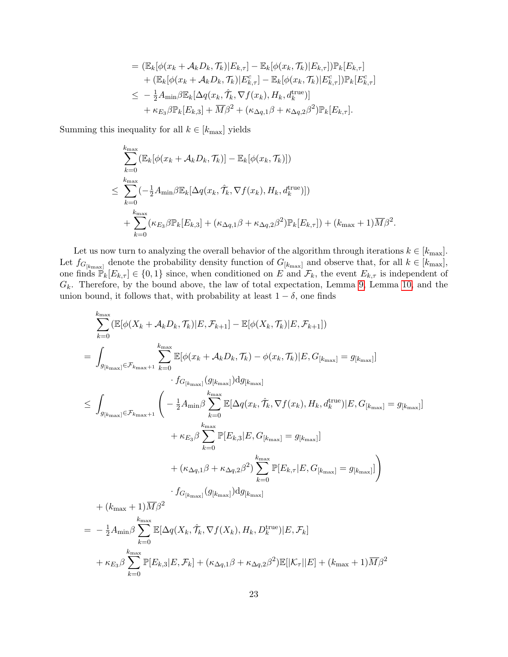$$
= (\mathbb{E}_{k}[\phi(x_{k} + A_{k}D_{k}, \mathcal{T}_{k}) | E_{k,\tau}] - \mathbb{E}_{k}[\phi(x_{k}, \mathcal{T}_{k}) | E_{k,\tau}]) \mathbb{P}_{k}[E_{k,\tau}] + (\mathbb{E}_{k}[\phi(x_{k} + A_{k}D_{k}, \mathcal{T}_{k}) | E_{k,\tau}^{c}] - \mathbb{E}_{k}[\phi(x_{k}, \mathcal{T}_{k}) | E_{k,\tau}^{c}] ) \mathbb{P}_{k}[E_{k,\tau}^{c}] \n\leq -\frac{1}{2}A_{\min}\beta \mathbb{E}_{k}[\Delta q(x_{k}, \hat{\mathcal{T}}_{k}, \nabla f(x_{k}), H_{k}, d_{k}^{\text{true}})] + \kappa_{E_{3}}\beta \mathbb{P}_{k}[E_{k,3}] + \overline{M}\beta^{2} + (\kappa_{\Delta q,1}\beta + \kappa_{\Delta q,2}\beta^{2}) \mathbb{P}_{k}[E_{k,\tau}].
$$

Summing this inequality for all  $k \in [k_{\text{max}}]$  yields

 $k=0$ 

$$
\sum_{k=0}^{k_{\max}} (\mathbb{E}_k[\phi(x_k + \mathcal{A}_k D_k, \mathcal{T}_k)] - \mathbb{E}_k[\phi(x_k, \mathcal{T}_k)])
$$
\n
$$
\leq \sum_{k=0}^{k_{\max}} (-\frac{1}{2} A_{\min} \beta \mathbb{E}_k[\Delta q(x_k, \hat{\mathcal{T}}_k, \nabla f(x_k), H_k, d_k^{\text{true}})])
$$
\n
$$
+ \sum_{k=0}^{k_{\max}} (\kappa_{E_3} \beta \mathbb{P}_k[E_{k,3}] + (\kappa_{\Delta q,1} \beta + \kappa_{\Delta q,2} \beta^2) \mathbb{P}_k[E_{k,\tau}]) + (k_{\max} + 1) \overline{M} \beta^2.
$$

Let us now turn to analyzing the overall behavior of the algorithm through iterations  $k \in [k_{\text{max}}]$ . Let  $f_{G_{[k_{\text{max}}]}}$  denote the probability density function of  $G_{[k_{\text{max}}]}$  and observe that, for all  $k \in [k_{\text{max}}]$ , one finds  $\mathbb{P}_k[E_{k,\tau}] \in \{0,1\}$  since, when conditioned on E and  $\mathcal{F}_k$ , the event  $E_{k,\tau}$  is independent of  $G_k$ . Therefore, by the bound above, the law of total expectation, Lemma [9,](#page-19-0) Lemma [10,](#page-19-1) and the union bound, it follows that, with probability at least  $1 - \delta$ , one finds

$$
\sum_{k=0}^{k_{\text{max}}} (\mathbb{E}[\phi(X_k + A_k D_k, \mathcal{T}_k)|E, \mathcal{F}_{k+1}] - \mathbb{E}[\phi(X_k, \mathcal{T}_k)|E, \mathcal{F}_{k+1}])
$$
\n
$$
= \int_{g_{[k_{\text{max}}]}\in \mathcal{F}_{k_{\text{max}}}+1} \sum_{k=0}^{k_{\text{max}}} \mathbb{E}[\phi(x_k + A_k D_k, \mathcal{T}_k) - \phi(x_k, \mathcal{T}_k)|E, G_{[k_{\text{max}}]} = g_{[k_{\text{max}}]}]
$$
\n
$$
\leq \int_{g_{[k_{\text{max}}]}\in \mathcal{F}_{k_{\text{max}}}+1} \left( -\frac{1}{2} A_{\text{min}} \beta \sum_{k=0}^{k_{\text{max}}} \mathbb{E}[\Delta q(x_k, \hat{\mathcal{T}}_k, \nabla f(x_k), H_k, d_k^{\text{true}})|E, G_{[k_{\text{max}}]} = g_{[k_{\text{max}}]}] \right)
$$
\n
$$
+ \kappa_{E_3} \beta \sum_{k=0}^{k_{\text{max}}} \mathbb{P}[E_{k,3}|E, G_{[k_{\text{max}}]} = g_{[k_{\text{max}}]}]
$$
\n
$$
+ (\kappa_{\Delta q,1} \beta + \kappa_{\Delta q,2} \beta^2) \sum_{k=0}^{k_{\text{max}}} \mathbb{P}[E_{k,\tau}|E, G_{[k_{\text{max}}]} = g_{[k_{\text{max}}]}]
$$
\n
$$
+ (k_{\text{max}} + 1) \overline{M} \beta^2
$$
\n
$$
= -\frac{1}{2} A_{\text{min}} \beta \sum_{k=0}^{k_{\text{max}}} \mathbb{E}[\Delta q(X_k, \hat{\mathcal{T}}_k, \nabla f(X_k), H_k, D_k^{\text{true}})|E, \mathcal{F}_k]
$$
\n
$$
+ \kappa_{E_3} \beta \sum_{k=0}^{k_{\text{max}}} \mathbb{P}[E_{k,3}|E, \mathcal{F}_k] + (\kappa_{\Delta q,1} \beta + \kappa_{\Delta q,2} \beta^2) \mathbb{E}[|K_{\tau}||E| + (k_{\text{max}} + 1) \overline{
$$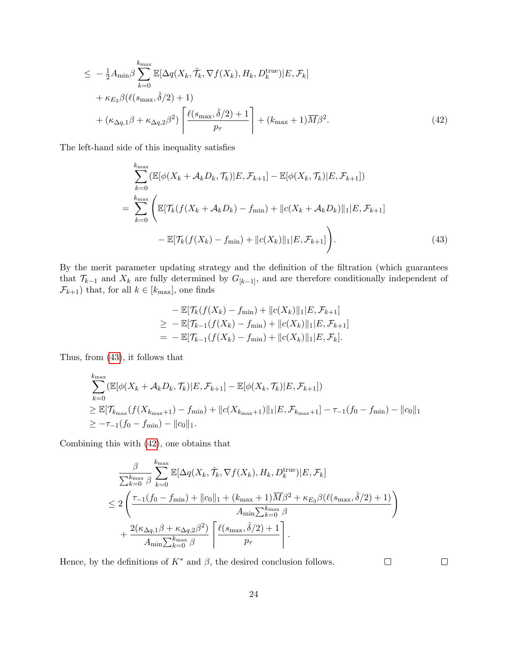$$
\leq -\frac{1}{2}A_{\min}\beta \sum_{k=0}^{k_{\max}} \mathbb{E}[\Delta q(X_k, \hat{\mathcal{T}}_k, \nabla f(X_k), H_k, D_k^{\text{true}})|E, \mathcal{F}_k] + \kappa_{E_3}\beta(\ell(s_{\max}, \hat{\delta}/2) + 1) + (\kappa_{\Delta q,1}\beta + \kappa_{\Delta q,2}\beta^2) \left[ \frac{\ell(s_{\max}, \hat{\delta}/2) + 1}{p_{\tau}} \right] + (k_{\max} + 1)\overline{M}\beta^2.
$$
 (42)

The left-hand side of this inequality satisfies

<span id="page-23-1"></span>
$$
\sum_{k=0}^{k_{\max}} (\mathbb{E}[\phi(X_k + A_k D_k, \mathcal{T}_k)|E, \mathcal{F}_{k+1}] - \mathbb{E}[\phi(X_k, \mathcal{T}_k)|E, \mathcal{F}_{k+1}])
$$
\n
$$
= \sum_{k=0}^{k_{\max}} \left( \mathbb{E}[\mathcal{T}_k(f(X_k + A_k D_k) - f_{\min}) + ||c(X_k + A_k D_k)||_1 |E, \mathcal{F}_{k+1}] - \mathbb{E}[\mathcal{T}_k(f(X_k) - f_{\min}) + ||c(X_k)||_1 |E, \mathcal{F}_{k+1}] \right).
$$
\n(43)

By the merit parameter updating strategy and the definition of the filtration (which guarantees that  $\mathcal{T}_{k-1}$  and  $X_k$  are fully determined by  $G_{[k-1]}$ , and are therefore conditionally independent of  $\mathcal{F}_{k+1})$  that, for all  $k\in[k_{\max}],$  one finds

<span id="page-23-0"></span>
$$
-\mathbb{E}[\mathcal{T}_{k}(f(X_{k}) - f_{\min}) + ||c(X_{k})||_{1}|E, \mathcal{F}_{k+1}]
$$
  
\n
$$
\geq -\mathbb{E}[\mathcal{T}_{k-1}(f(X_{k}) - f_{\min}) + ||c(X_{k})||_{1}|E, \mathcal{F}_{k+1}]
$$
  
\n
$$
= -\mathbb{E}[\mathcal{T}_{k-1}(f(X_{k}) - f_{\min}) + ||c(X_{k})||_{1}|E, \mathcal{F}_{k}].
$$

Thus, from [\(43\)](#page-23-0), it follows that

$$
\sum_{k=0}^{k_{\max}} (\mathbb{E}[\phi(X_k + A_k D_k, \mathcal{T}_k)|E, \mathcal{F}_{k+1}] - \mathbb{E}[\phi(X_k, \mathcal{T}_k)|E, \mathcal{F}_{k+1}])
$$
\n
$$
\geq \mathbb{E}[\mathcal{T}_{k_{\max}}(f(X_{k_{\max}+1}) - f_{\min}) + ||c(X_{k_{\max}+1})||_1 |E, \mathcal{F}_{k_{\max}+1}] - \tau_{-1}(f_0 - f_{\min}) - ||c_0||_1
$$
\n
$$
\geq -\tau_{-1}(f_0 - f_{\min}) - ||c_0||_1.
$$

Combining this with [\(42\)](#page-23-1), one obtains that

$$
\frac{\beta}{\sum_{k=0}^{k_{\max}} \beta} \sum_{k=0}^{k_{\max}} \mathbb{E}[\Delta q(X_k, \hat{\mathcal{T}}_k, \nabla f(X_k), H_k, D_k^{\text{true}}) | E, \mathcal{F}_k]
$$
\n
$$
\leq 2 \left( \frac{\tau_{-1}(f_0 - f_{\min}) + ||c_0||_1 + (k_{\max} + 1) \overline{M} \beta^2 + \kappa_{E_3} \beta(\ell(s_{\max}, \hat{\delta}/2) + 1)}{A_{\min} \sum_{k=0}^{k_{\max}} \beta} + \frac{2(\kappa_{\Delta q,1} \beta + \kappa_{\Delta q,2} \beta^2)}{A_{\min} \sum_{k=0}^{k_{\max}} \beta} \left[ \frac{\ell(s_{\max}, \hat{\delta}/2) + 1}{p_{\tau}} \right].
$$

Hence, by the definitions of  $K^*$  and  $\beta$ , the desired conclusion follows.

 $\Box$ 

 $\Box$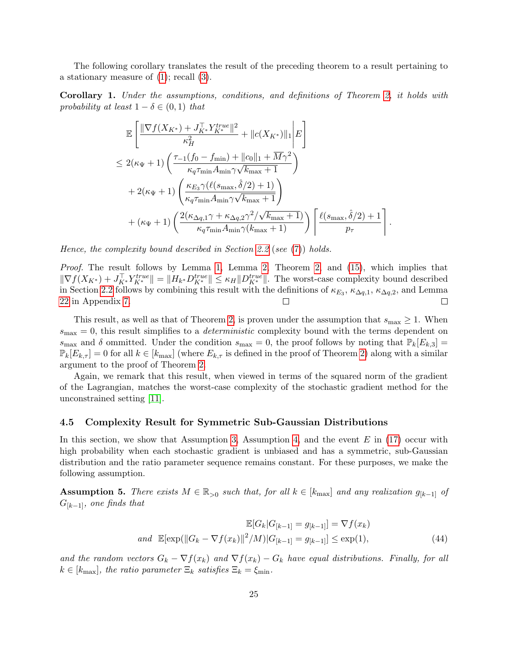The following corollary translates the result of the preceding theorem to a result pertaining to a stationary measure of [\(1\)](#page-3-0); recall [\(3\)](#page-3-3).

<span id="page-24-0"></span>Corollary 1. Under the assumptions, conditions, and definitions of Theorem [2,](#page-19-3) it holds with probability at least  $1 - \delta \in (0, 1)$  that

$$
\mathbb{E}\left[\frac{\|\nabla f(X_{K^*}) + J_{K^*}^{\top} Y_{K^*}^{true}\|^2}{\kappa_H^2} + \|c(X_{K^*})\|_1 \Big| E\right]
$$
\n
$$
\leq 2(\kappa_{\Psi} + 1) \left(\frac{\tau_{-1}(f_0 - f_{\min}) + \|c_0\|_1 + \overline{M}\gamma^2}{\kappa_q \tau_{\min} A_{\min} \gamma \sqrt{k_{\max} + 1}}\right)
$$
\n
$$
+ 2(\kappa_{\Psi} + 1) \left(\frac{\kappa_{E_3} \gamma(\ell(s_{\max}, \hat{\delta}/2) + 1)}{\kappa_q \tau_{\min} A_{\min} \gamma \sqrt{k_{\max} + 1}}\right)
$$
\n
$$
+ (\kappa_{\Psi} + 1) \left(\frac{2(\kappa_{\Delta q, 1} \gamma + \kappa_{\Delta q, 2} \gamma^2 / \sqrt{k_{\max} + 1})}{\kappa_q \tau_{\min} A_{\min} \gamma(k_{\max} + 1)}\right) \left[\frac{\ell(s_{\max}, \hat{\delta}/2) + 1}{p_\tau}\right]
$$

.

Hence, the complexity bound described in Section [2.2](#page-5-2) (see [\(7\)](#page-5-3)) holds.

Proof. The result follows by Lemma [1,](#page-12-4) Lemma [2,](#page-12-5) Theorem [2,](#page-19-3) and [\(15\)](#page-9-1), which implies that  $\|\nabla f(X_{K^*}) + J_{K^*}^{\top} Y_{K^*}^{true}\| = \|H_{k^*} D_{K^*}^{true}\| \le \kappa_H \|D_{K^*}^{true}\|$ . The worst-case complexity bound described in Section [2.2](#page-5-2) follows by combining this result with the definitions of  $\kappa_{E_3}$ ,  $\kappa_{\Delta q,1}$ ,  $\kappa_{\Delta q,2}$ , and Lemma [22](#page-44-0) in Appendix [7.](#page-32-0) П  $\Box$ 

This result, as well as that of Theorem [2,](#page-19-3) is proven under the assumption that  $s_{\text{max}} \geq 1$ . When  $s_{\text{max}} = 0$ , this result simplifies to a *deterministic* complexity bound with the terms dependent on  $s_{\text{max}}$  and  $\delta$  ommitted. Under the condition  $s_{\text{max}} = 0$ , the proof follows by noting that  $\mathbb{P}_k[E_{k,3}] =$  $\mathbb{P}_k[E_{k,\tau}] = 0$  for all  $k \in [k_{\text{max}}]$  (where  $E_{k,\tau}$  is defined in the proof of Theorem [2\)](#page-19-3) along with a similar argument to the proof of Theorem [2.](#page-19-3)

Again, we remark that this result, when viewed in terms of the squared norm of the gradient of the Lagrangian, matches the worst-case complexity of the stochastic gradient method for the unconstrained setting [\[11\]](#page-29-6).

#### <span id="page-24-1"></span>4.5 Complexity Result for Symmetric Sub-Gaussian Distributions

In this section, we show that Assumption [3,](#page-11-0) Assumption [4,](#page-11-3) and the event  $E$  in [\(17\)](#page-10-0) occur with high probability when each stochastic gradient is unbiased and has a symmetric, sub-Gaussian distribution and the ratio parameter sequence remains constant. For these purposes, we make the following assumption.

<span id="page-24-2"></span>Assumption 5. There exists  $M \in \mathbb{R}_{>0}$  such that, for all  $k \in [k_{\text{max}}]$  and any realization  $g_{[k-1]}$  of  $G_{[k-1]}$ , one finds that

<span id="page-24-3"></span>
$$
\mathbb{E}[G_k|G_{[k-1]} = g_{[k-1]}] = \nabla f(x_k)
$$
  
and 
$$
\mathbb{E}[\exp(||G_k - \nabla f(x_k)||^2/M)|G_{[k-1]} = g_{[k-1]}] \le \exp(1),
$$
 (44)

and the random vectors  $G_k - \nabla f(x_k)$  and  $\nabla f(x_k) - G_k$  have equal distributions. Finally, for all  $k \in [k_{\text{max}}]$ , the ratio parameter  $\Xi_k$  satisfies  $\Xi_k = \xi_{\text{min}}$ .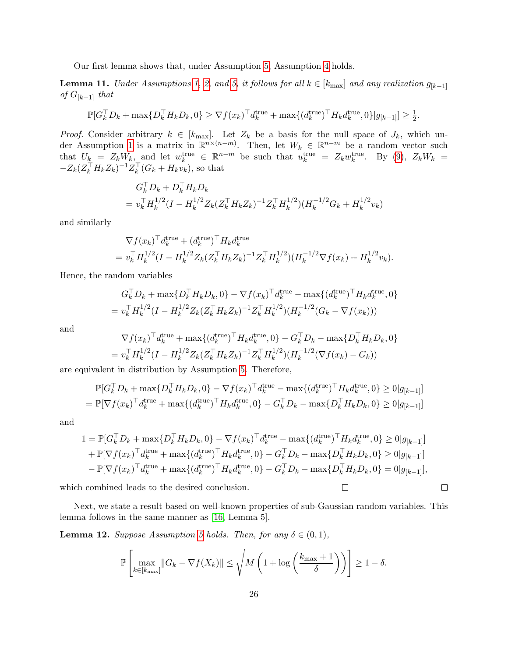Our first lemma shows that, under Assumption [5,](#page-24-2) Assumption [4](#page-11-3) holds.

**Lemma 11.** Under Assumptions [1,](#page-3-1) [2,](#page-6-1) and [5,](#page-24-2) it follows for all  $k \in [k_{\text{max}}]$  and any realization  $g_{[k-1]}$ of  $G_{[k-1]}$  that

$$
\mathbb{P}[G_k^{\top} D_k + \max\{D_k^{\top} H_k D_k, 0\} \ge \nabla f(x_k)^{\top} d_k^{\text{true}} + \max\{(d_k^{\text{true}})^{\top} H_k d_k^{\text{true}}, 0\} |g_{[k-1]}] \ge \frac{1}{2}.
$$

*Proof.* Consider arbitrary  $k \in [k_{\text{max}}]$ . Let  $Z_k$  be a basis for the null space of  $J_k$ , which un-der Assumption [1](#page-3-1) is a matrix in  $\mathbb{R}^{n \times (n-m)}$ . Then, let  $W_k \in \mathbb{R}^{n-m}$  be a random vector such that  $U_k = Z_k W_k$ , and let  $w_k^{\text{true}} \in \mathbb{R}^{n-m}$  be such that  $u_k^{\text{true}} = Z_k w_k^{\text{true}}$ . By [\(9\)](#page-6-3),  $Z_k W_k =$  $-Z_k(Z_k^\top H_k Z_k)^{-1} Z_k^\top (G_k + H_k v_k)$ , so that

$$
G_k^{\top} D_k + D_k^{\top} H_k D_k
$$
  
=  $v_k^{\top} H_k^{1/2} (I - H_k^{1/2} Z_k (Z_k^{\top} H_k Z_k)^{-1} Z_k^{\top} H_k^{1/2}) (H_k^{-1/2} G_k + H_k^{1/2} v_k)$ 

and similarly

$$
\nabla f(x_k)^\top d_k^{\text{true}} + (d_k^{\text{true}})^\top H_k d_k^{\text{true}} \n= v_k^\top H_k^{1/2} (I - H_k^{1/2} Z_k (Z_k^\top H_k Z_k)^{-1} Z_k^\top H_k^{1/2}) (H_k^{-1/2} \nabla f(x_k) + H_k^{1/2} v_k).
$$

Hence, the random variables

$$
G_k^{\top} D_k + \max \{ D_k^{\top} H_k D_k, 0 \} - \nabla f(x_k)^{\top} d_k^{\text{true}} - \max \{ (d_k^{\text{true}})^{\top} H_k d_k^{\text{true}}, 0 \} = v_k^{\top} H_k^{1/2} (I - H_k^{1/2} Z_k (Z_k^{\top} H_k Z_k)^{-1} Z_k^{\top} H_k^{1/2}) (H_k^{-1/2} (G_k - \nabla f(x_k)))
$$

and

$$
\nabla f(x_k)^\top d_k^{\text{true}} + \max\{ (d_k^{\text{true}})^\top H_k d_k^{\text{true}}, 0 \} - G_k^\top D_k - \max\{ D_k^\top H_k D_k, 0 \} = v_k^\top H_k^{1/2} (I - H_k^{1/2} Z_k (Z_k^\top H_k Z_k)^{-1} Z_k^\top H_k^{1/2}) (H_k^{-1/2} (\nabla f(x_k) - G_k))
$$

are equivalent in distribution by Assumption [5.](#page-24-2) Therefore,

$$
\mathbb{P}[G_k^{\top}D_k + \max\{D_k^{\top}H_kD_k, 0\} - \nabla f(x_k)^{\top}d_k^{\text{true}} - \max\{(d_k^{\text{true}})^{\top}H_kd_k^{\text{true}}, 0\} \ge 0|g_{[k-1]}]
$$
\n
$$
= \mathbb{P}[\nabla f(x_k)^{\top}d_k^{\text{true}} + \max\{(d_k^{\text{true}})^{\top}H_kd_k^{\text{true}}, 0\} - G_k^{\top}D_k - \max\{D_k^{\top}H_kD_k, 0\} \ge 0|g_{[k-1]}]
$$

and

$$
1 = \mathbb{P}[G_k^{\top} D_k + \max\{D_k^{\top} H_k D_k, 0\} - \nabla f(x_k)^{\top} d_k^{\text{true}} - \max\{(d_k^{\text{true}})^{\top} H_k d_k^{\text{true}}, 0\} \ge 0 | g_{[k-1]}]
$$
  
+  $\mathbb{P}[\nabla f(x_k)^{\top} d_k^{\text{true}} + \max\{(d_k^{\text{true}})^{\top} H_k d_k^{\text{true}}, 0\} - G_k^{\top} D_k - \max\{D_k^{\top} H_k D_k, 0\} \ge 0 | g_{[k-1]}]$   
-  $\mathbb{P}[\nabla f(x_k)^{\top} d_k^{\text{true}} + \max\{(d_k^{\text{true}})^{\top} H_k d_k^{\text{true}}, 0\} - G_k^{\top} D_k - \max\{D_k^{\top} H_k D_k, 0\} = 0 | g_{[k-1]}],$ 

 $\Box$ 

 $\Box$ 

which combined leads to the desired conclusion.

Next, we state a result based on well-known properties of sub-Gaussian random variables. This lemma follows in the same manner as [\[16,](#page-29-10) Lemma 5].

<span id="page-25-0"></span>**Lemma 12.** Suppose Assumption [5](#page-24-2) holds. Then, for any  $\delta \in (0,1)$ ,

$$
\mathbb{P}\left[\max_{k \in [k_{\max}]} \|G_k - \nabla f(X_k)\| \le \sqrt{M\left(1 + \log\left(\frac{k_{\max} + 1}{\delta}\right)\right)}\right] \ge 1 - \delta.
$$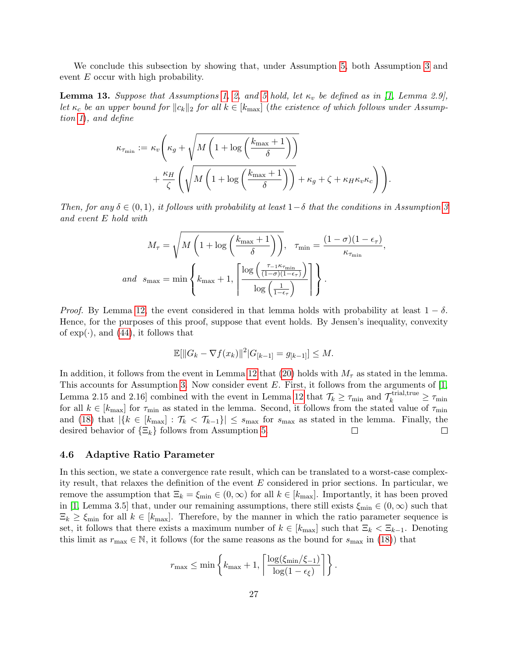We conclude this subsection by showing that, under Assumption [5,](#page-24-2) both Assumption [3](#page-11-0) and event E occur with high probability.

**Lemma 13.** Suppose that Assumptions [1,](#page-3-1) [2,](#page-6-1) and [5](#page-24-2) hold, let  $\kappa_v$  be defined as in [\[1,](#page-28-0) Lemma 2.9], let  $\kappa_c$  be an upper bound for  $\|\alpha_k\|_2$  for all  $k \in [k_{\text{max}}]$  (the existence of which follows under Assumption [1](#page-3-1)), and define

$$
\kappa_{\tau_{\min}} := \kappa_v \left( \kappa_g + \sqrt{M \left( 1 + \log \left( \frac{k_{\max} + 1}{\delta} \right) \right)} + \frac{\kappa_H}{\zeta} \left( \sqrt{M \left( 1 + \log \left( \frac{k_{\max} + 1}{\delta} \right) \right)} + \kappa_g + \zeta + \kappa_H \kappa_v \kappa_c \right) \right).
$$

Then, for any  $\delta \in (0,1)$ , it follows with probability at least  $1-\delta$  that the conditions in Assumption [3](#page-11-0) and event E hold with

$$
M_{\tau} = \sqrt{M\left(1 + \log\left(\frac{k_{\text{max}} + 1}{\delta}\right)\right)}, \quad \tau_{\text{min}} = \frac{(1 - \sigma)(1 - \epsilon_{\tau})}{\kappa_{\tau_{\text{min}}}}
$$
  
and  $s_{\text{max}} = \min\left\{k_{\text{max}} + 1, \left\lceil \frac{\log\left(\frac{\tau - 1}{(1 - \sigma)(1 - \epsilon_{\tau})}\right)}{\log\left(\frac{1}{1 - \epsilon_{\tau}}\right)} \right\rceil\right\}.$ 

,

*Proof.* By Lemma [12,](#page-25-0) the event considered in that lemma holds with probability at least  $1 - \delta$ . Hence, for the purposes of this proof, suppose that event holds. By Jensen's inequality, convexity of  $\exp(\cdot)$ , and [\(44\)](#page-24-3), it follows that

$$
\mathbb{E}[\|G_k - \nabla f(x_k)\|^2 | G_{[k-1]} = g_{[k-1]}] \leq M.
$$

In addition, it follows from the event in Lemma [12](#page-25-0) that [\(20\)](#page-11-2) holds with  $M_{\tau}$  as stated in the lemma. This accounts for Assumption [3.](#page-11-0) Now consider event  $E$ . First, it follows from the arguments of  $[1,$ Lemma 2.15 and 2.16] combined with the event in Lemma [12](#page-25-0) that  $\mathcal{T}_k \geq \tau_{\min}$  and  $\mathcal{T}_k^{\text{trial,true}} \geq \tau_{\min}$ for all  $k \in [k_{\text{max}}]$  for  $\tau_{\text{min}}$  as stated in the lemma. Second, it follows from the stated value of  $\tau_{\text{min}}$ and [\(18\)](#page-11-4) that  $|\{k \in [k_{\text{max}}]: \mathcal{T}_k < \mathcal{T}_{k-1}\}| \leq s_{\text{max}}$  for  $s_{\text{max}}$  as stated in the lemma. Finally, the desired behavior of  $\{\Xi_k\}$  follows from Assumption [5.](#page-24-2)  $\Box$  $\Box$ 

#### <span id="page-26-0"></span>4.6 Adaptive Ratio Parameter

In this section, we state a convergence rate result, which can be translated to a worst-case complexity result, that relaxes the definition of the event  $E$  considered in prior sections. In particular, we remove the assumption that  $\Xi_k = \xi_{\min} \in (0,\infty)$  for all  $k \in [k_{\max}]$ . Importantly, it has been proved in [\[1,](#page-28-0) Lemma 3.5] that, under our remaining assumptions, there still exists  $\xi_{\text{min}} \in (0, \infty)$  such that  $\Xi_k \geq \xi_{\min}$  for all  $k \in [k_{\max}]$ . Therefore, by the manner in which the ratio parameter sequence is set, it follows that there exists a maximum number of  $k \in [k_{\text{max}}]$  such that  $\Xi_k < \Xi_{k-1}$ . Denoting this limit as  $r_{\text{max}} \in \mathbb{N}$ , it follows (for the same reasons as the bound for  $s_{\text{max}}$  in [\(18\)](#page-11-4)) that

$$
r_{\max} \le \min \left\{ k_{\max} + 1, \left\lceil \frac{\log(\xi_{\min}/\xi_{-1})}{\log(1 - \epsilon_{\xi})} \right\rceil \right\}.
$$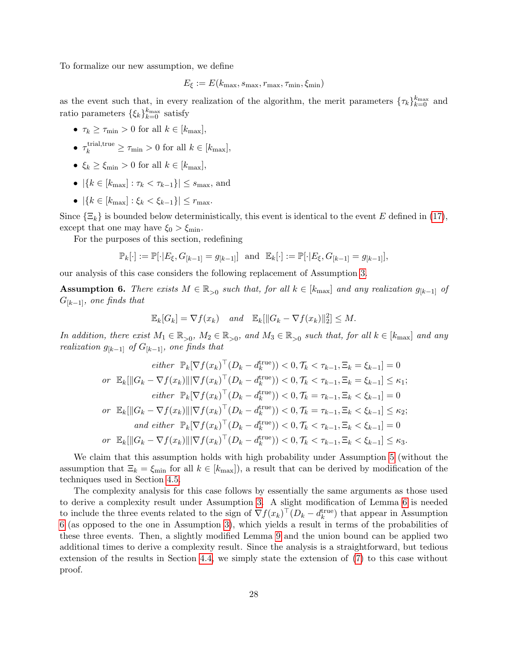To formalize our new assumption, we define

$$
E_{\xi} := E(k_{\text{max}}, s_{\text{max}}, r_{\text{max}}, \tau_{\text{min}}, \xi_{\text{min}})
$$

as the event such that, in every realization of the algorithm, the merit parameters  $\{\tau_k\}_{k=0}^{k_{\text{max}}}$  and ratio parameters  $\{\xi_k\}_{k=0}^{k_{\text{max}}}$  satisfy

- $\tau_k \geq \tau_{\min} > 0$  for all  $k \in [k_{\max}],$
- $\tau_k^{\text{trial,true}} \geq \tau_{\text{min}} > 0$  for all  $k \in [k_{\text{max}}]$ ,
- $\xi_k \geq \xi_{\min} > 0$  for all  $k \in [k_{\max}]$ ,
- $|\{k \in [k_{\text{max}}] : \tau_k < \tau_{k-1}\}| \leq s_{\text{max}}$ , and
- $|\{k \in [k_{\text{max}}] : \xi_k < \xi_{k-1}\}| \leq r_{\text{max}}.$

Since  $\{\Xi_k\}$  is bounded below deterministically, this event is identical to the event E defined in [\(17\)](#page-10-0), except that one may have  $\xi_0 > \xi_{\min}$ .

For the purposes of this section, redefining

$$
\mathbb{P}_k[\cdot] := \mathbb{P}[\cdot | E_{\xi}, G_{[k-1]} = g_{[k-1]}] \text{ and } \mathbb{E}_k[\cdot] := \mathbb{P}[\cdot | E_{\xi}, G_{[k-1]} = g_{[k-1]}],
$$

our analysis of this case considers the following replacement of Assumption [3.](#page-11-0)

<span id="page-27-0"></span>Assumption 6. There exists  $M \in \mathbb{R}_{>0}$  such that, for all  $k \in [k_{\text{max}}]$  and any realization  $g_{[k-1]}$  of  $G_{[k-1]}$ , one finds that

$$
\mathbb{E}_k[G_k] = \nabla f(x_k) \quad and \quad \mathbb{E}_k[\|G_k - \nabla f(x_k)\|_2^2] \le M.
$$

In addition, there exist  $M_1 \in \mathbb{R}_{>0}$ ,  $M_2 \in \mathbb{R}_{>0}$ , and  $M_3 \in \mathbb{R}_{>0}$  such that, for all  $k \in [k_{\text{max}}]$  and any realization  $g_{[k-1]}$  of  $G_{[k-1]}$ , one finds that

either 
$$
\mathbb{P}_k[\nabla f(x_k)^\top (D_k - d_k^{\text{true}})) < 0, \mathcal{T}_k < \tau_{k-1}, \Xi_k = \xi_{k-1}] = 0
$$
  
\nor  $\mathbb{E}_k[\|G_k - \nabla f(x_k)\| |\nabla f(x_k)^\top (D_k - d_k^{\text{true}})) < 0, \mathcal{T}_k < \tau_{k-1}, \Xi_k = \xi_{k-1}] \le \kappa_1;$   
\neither  $\mathbb{P}_k[\nabla f(x_k)^\top (D_k - d_k^{\text{true}})) < 0, \mathcal{T}_k = \tau_{k-1}, \Xi_k < \xi_{k-1}] = 0$   
\nor  $\mathbb{E}_k[\|G_k - \nabla f(x_k)\| |\nabla f(x_k)^\top (D_k - d_k^{\text{true}})) < 0, \mathcal{T}_k = \tau_{k-1}, \Xi_k < \xi_{k-1}] \le \kappa_2;$   
\nand either  $\mathbb{P}_k[\nabla f(x_k)^\top (D_k - d_k^{\text{true}})) < 0, \mathcal{T}_k < \tau_{k-1}, \Xi_k < \xi_{k-1}] = 0$   
\nor  $\mathbb{E}_k[\|G_k - \nabla f(x_k)\| |\nabla f(x_k)^\top (D_k - d_k^{\text{true}})) < 0, \mathcal{T}_k < \tau_{k-1}, \Xi_k < \xi_{k-1}] \le \kappa_3.$ 

We claim that this assumption holds with high probability under Assumption [5](#page-24-2) (without the assumption that  $\Xi_k = \xi_{\min}$  for all  $k \in [k_{\max}]$ , a result that can be derived by modification of the techniques used in Section [4.5.](#page-24-1)

The complexity analysis for this case follows by essentially the same arguments as those used to derive a complexity result under Assumption [3.](#page-11-0) A slight modification of Lemma [6](#page-14-0) is needed to include the three events related to the sign of  $\nabla f(x_k)^\top (D_k - d_k^{\text{true}})$  that appear in Assumption [6](#page-27-0) (as opposed to the one in Assumption [3\)](#page-11-0), which yields a result in terms of the probabilities of these three events. Then, a slightly modified Lemma [9](#page-19-0) and the union bound can be applied two additional times to derive a complexity result. Since the analysis is a straightforward, but tedious extension of the results in Section [4.4,](#page-13-0) we simply state the extension of [\(7\)](#page-5-3) to this case without proof.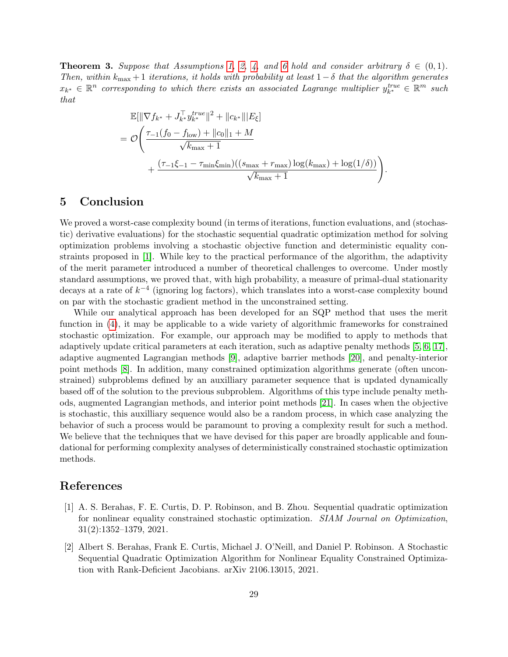**Theorem 3.** Suppose that Assumptions [1,](#page-3-1) [2,](#page-6-1) [4,](#page-11-3) and [6](#page-27-0) hold and consider arbitrary  $\delta \in (0,1)$ . Then, within  $k_{\text{max}} + 1$  iterations, it holds with probability at least  $1-\delta$  that the algorithm generates  $x_{k^*}\in\mathbb{R}^n$  corresponding to which there exists an associated Lagrange multiplier  $y_{k^*}^{true} \in \mathbb{R}^m$  such that

$$
\mathbb{E}[\|\nabla f_{k^*} + J_{k^*}^{\top} y_{k^*}^{true}\|^2 + \|c_{k^*}\| |E_{\xi}]
$$
\n
$$
= \mathcal{O}\left(\frac{\tau_{-1}(f_0 - f_{\text{low}}) + \|c_0\|_1 + M}{\sqrt{k_{\text{max}}} + 1} + \frac{(\tau_{-1}\xi_{-1} - \tau_{\text{min}}\xi_{\text{min}})((s_{\text{max}} + r_{\text{max}})\log(k_{\text{max}}) + \log(1/\delta))}{\sqrt{k_{\text{max}} + 1}}\right).
$$

## <span id="page-28-1"></span>5 Conclusion

We proved a worst-case complexity bound (in terms of iterations, function evaluations, and (stochastic) derivative evaluations) for the stochastic sequential quadratic optimization method for solving optimization problems involving a stochastic objective function and deterministic equality constraints proposed in [\[1\]](#page-28-0). While key to the practical performance of the algorithm, the adaptivity of the merit parameter introduced a number of theoretical challenges to overcome. Under mostly standard assumptions, we proved that, with high probability, a measure of primal-dual stationarity decays at a rate of  $k^{-4}$  (ignoring log factors), which translates into a worst-case complexity bound on par with the stochastic gradient method in the unconstrained setting.

While our analytical approach has been developed for an SQP method that uses the merit function in [\(4\)](#page-4-2), it may be applicable to a wide variety of algorithmic frameworks for constrained stochastic optimization. For example, our approach may be modified to apply to methods that adaptively update critical parameters at each iteration, such as adaptive penalty methods [\[5,](#page-29-11) [6,](#page-29-12) [17\]](#page-29-13), adaptive augmented Lagrangian methods [\[9\]](#page-29-14), adaptive barrier methods [\[20\]](#page-30-6), and penalty-interior point methods [\[8\]](#page-29-15). In addition, many constrained optimization algorithms generate (often unconstrained) subproblems defined by an auxilliary parameter sequence that is updated dynamically based off of the solution to the previous subproblem. Algorithms of this type include penalty methods, augmented Lagrangian methods, and interior point methods [\[21\]](#page-30-7). In cases when the objective is stochastic, this auxilliary sequence would also be a random process, in which case analyzing the behavior of such a process would be paramount to proving a complexity result for such a method. We believe that the techniques that we have devised for this paper are broadly applicable and foundational for performing complexity analyses of deterministically constrained stochastic optimization methods.

## References

- <span id="page-28-0"></span>[1] A. S. Berahas, F. E. Curtis, D. P. Robinson, and B. Zhou. Sequential quadratic optimization for nonlinear equality constrained stochastic optimization. SIAM Journal on Optimization, 31(2):1352–1379, 2021.
- <span id="page-28-2"></span>[2] Albert S. Berahas, Frank E. Curtis, Michael J. O'Neill, and Daniel P. Robinson. A Stochastic Sequential Quadratic Optimization Algorithm for Nonlinear Equality Constrained Optimization with Rank-Deficient Jacobians. arXiv 2106.13015, 2021.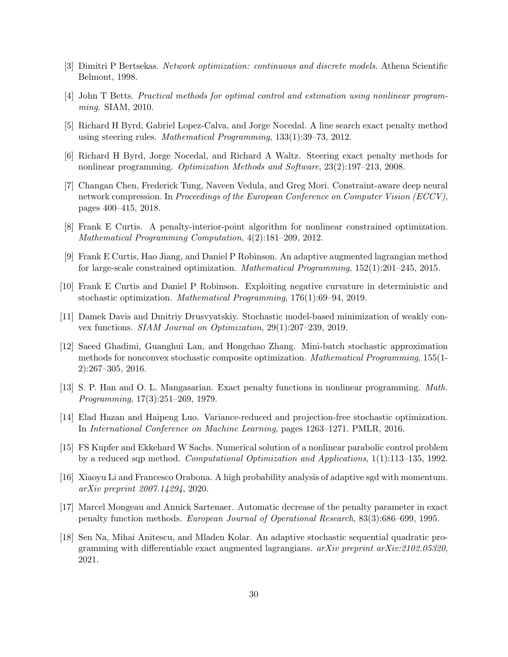- <span id="page-29-0"></span>[3] Dimitri P Bertsekas. Network optimization: continuous and discrete models. Athena Scientific Belmont, 1998.
- <span id="page-29-1"></span>[4] John T Betts. Practical methods for optimal control and estimation using nonlinear programming. SIAM, 2010.
- <span id="page-29-11"></span>[5] Richard H Byrd, Gabriel Lopez-Calva, and Jorge Nocedal. A line search exact penalty method using steering rules. Mathematical Programming, 133(1):39–73, 2012.
- <span id="page-29-12"></span>[6] Richard H Byrd, Jorge Nocedal, and Richard A Waltz. Steering exact penalty methods for nonlinear programming. Optimization Methods and Software, 23(2):197–213, 2008.
- <span id="page-29-3"></span>[7] Changan Chen, Frederick Tung, Naveen Vedula, and Greg Mori. Constraint-aware deep neural network compression. In Proceedings of the European Conference on Computer Vision (ECCV), pages 400–415, 2018.
- <span id="page-29-15"></span>[8] Frank E Curtis. A penalty-interior-point algorithm for nonlinear constrained optimization. Mathematical Programming Computation, 4(2):181–209, 2012.
- <span id="page-29-14"></span>[9] Frank E Curtis, Hao Jiang, and Daniel P Robinson. An adaptive augmented lagrangian method for large-scale constrained optimization. Mathematical Programming, 152(1):201–245, 2015.
- <span id="page-29-9"></span>[10] Frank E Curtis and Daniel P Robinson. Exploiting negative curvature in deterministic and stochastic optimization. Mathematical Programming, 176(1):69–94, 2019.
- <span id="page-29-6"></span>[11] Damek Davis and Dmitriy Drusvyatskiy. Stochastic model-based minimization of weakly convex functions. SIAM Journal on Optimization, 29(1):207–239, 2019.
- <span id="page-29-7"></span>[12] Saeed Ghadimi, Guanghui Lan, and Hongchao Zhang. Mini-batch stochastic approximation methods for nonconvex stochastic composite optimization. Mathematical Programming, 155(1- 2):267–305, 2016.
- <span id="page-29-5"></span>[13] S. P. Han and O. L. Mangasarian. Exact penalty functions in nonlinear programming. Math. Programming, 17(3):251–269, 1979.
- <span id="page-29-8"></span>[14] Elad Hazan and Haipeng Luo. Variance-reduced and projection-free stochastic optimization. In International Conference on Machine Learning, pages 1263–1271. PMLR, 2016.
- <span id="page-29-2"></span>[15] FS Kupfer and Ekkehard W Sachs. Numerical solution of a nonlinear parabolic control problem by a reduced sqp method. Computational Optimization and Applications, 1(1):113–135, 1992.
- <span id="page-29-10"></span>[16] Xiaoyu Li and Francesco Orabona. A high probability analysis of adaptive sgd with momentum. arXiv preprint 2007.14294, 2020.
- <span id="page-29-13"></span>[17] Marcel Mongeau and Annick Sartenaer. Automatic decrease of the penalty parameter in exact penalty function methods. European Journal of Operational Research, 83(3):686–699, 1995.
- <span id="page-29-4"></span>[18] Sen Na, Mihai Anitescu, and Mladen Kolar. An adaptive stochastic sequential quadratic programming with differentiable exact augmented lagrangians.  $a\overline{x}x\overline{w}$  preprint  $a\overline{x}x\overline{w}z\overline{z}z\overline{w}z\overline{z}z\overline{w}z$ 2021.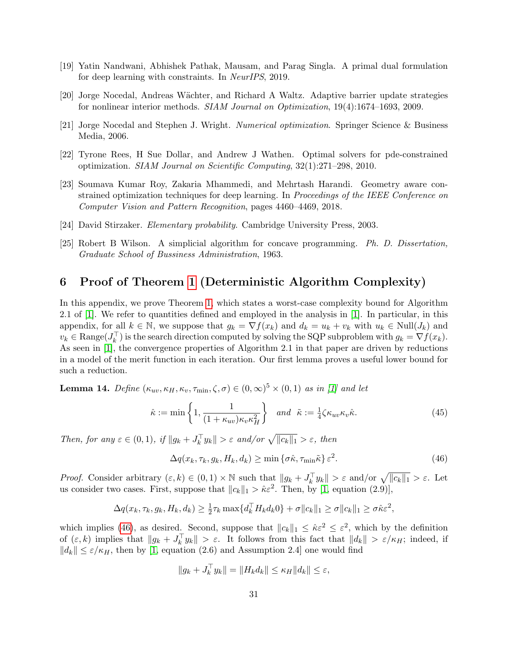- <span id="page-30-1"></span>[19] Yatin Nandwani, Abhishek Pathak, Mausam, and Parag Singla. A primal dual formulation for deep learning with constraints. In NeurIPS, 2019.
- <span id="page-30-6"></span>[20] Jorge Nocedal, Andreas W¨achter, and Richard A Waltz. Adaptive barrier update strategies for nonlinear interior methods. SIAM Journal on Optimization, 19(4):1674–1693, 2009.
- <span id="page-30-7"></span>[21] Jorge Nocedal and Stephen J. Wright. Numerical optimization. Springer Science & Business Media, 2006.
- <span id="page-30-0"></span>[22] Tyrone Rees, H Sue Dollar, and Andrew J Wathen. Optimal solvers for pde-constrained optimization. SIAM Journal on Scientific Computing, 32(1):271–298, 2010.
- <span id="page-30-2"></span>[23] Soumava Kumar Roy, Zakaria Mhammedi, and Mehrtash Harandi. Geometry aware constrained optimization techniques for deep learning. In *Proceedings of the IEEE Conference on* Computer Vision and Pattern Recognition, pages 4460–4469, 2018.
- <span id="page-30-10"></span>[24] David Stirzaker. Elementary probability. Cambridge University Press, 2003.
- <span id="page-30-3"></span>[25] Robert B Wilson. A simplicial algorithm for concave programming. Ph. D. Dissertation, Graduate School of Bussiness Administration, 1963.

## <span id="page-30-4"></span>6 Proof of Theorem [1](#page-4-1) (Deterministic Algorithm Complexity)

In this appendix, we prove Theorem [1,](#page-4-1) which states a worst-case complexity bound for Algorithm 2.1 of [\[1\]](#page-28-0). We refer to quantities defined and employed in the analysis in [\[1\]](#page-28-0). In particular, in this appendix, for all  $k \in \mathbb{N}$ , we suppose that  $g_k = \nabla f(x_k)$  and  $d_k = u_k + v_k$  with  $u_k \in Null(J_k)$  and  $v_k \in \text{Range}(J_k^{\top})$  is the search direction computed by solving the SQP subproblem with  $g_k = \nabla f(x_k)$ . As seen in [\[1\]](#page-28-0), the convergence properties of Algorithm 2.1 in that paper are driven by reductions in a model of the merit function in each iteration. Our first lemma proves a useful lower bound for such a reduction.

<span id="page-30-5"></span>**Lemma 14.** Define  $(\kappa_{uv}, \kappa_H, \kappa_v, \tau_{min}, \zeta, \sigma) \in (0, \infty)^5 \times (0, 1)$  as in [\[1\]](#page-28-0) and let

<span id="page-30-9"></span>
$$
\hat{\kappa} := \min\left\{1, \frac{1}{(1 + \kappa_{uv})\kappa_v \kappa_H^2}\right\} \quad and \quad \tilde{\kappa} := \frac{1}{4}\zeta \kappa_{uv}\kappa_v \hat{\kappa}.\tag{45}
$$

Then, for any  $\varepsilon \in (0,1)$ , if  $||g_k + J_k^{\top} y_k|| > \varepsilon$  and/or  $\sqrt{||c_k||_1} > \varepsilon$ , then

<span id="page-30-8"></span>
$$
\Delta q(x_k, \tau_k, g_k, H_k, d_k) \ge \min \{ \sigma \hat{\kappa}, \tau_{\min} \tilde{\kappa} \} \varepsilon^2.
$$
\n(46)

*Proof.* Consider arbitrary  $(\varepsilon, k) \in (0, 1) \times \mathbb{N}$  such that  $||g_k + J_k^{\top} y_k|| > \varepsilon$  and/or  $\sqrt{||c_k||_1} > \varepsilon$ . Let us consider two cases. First, suppose that  $||c_k||_1 > \hat{\kappa} \varepsilon^2$ . Then, by [\[1,](#page-28-0) equation (2.9)],

$$
\Delta q(x_k, \tau_k, g_k, H_k, d_k) \geq \frac{1}{2}\tau_k \max\{d_k^{\top}H_kd_k0\} + \sigma \|c_k\|_1 \geq \sigma \|c_k\|_1 \geq \sigma \hat{\kappa} \varepsilon^2,
$$

which implies [\(46\)](#page-30-8), as desired. Second, suppose that  $||c_k||_1 \leq \hat{\kappa} \varepsilon^2 \leq \varepsilon^2$ , which by the definition of  $(\varepsilon, k)$  implies that  $||g_k + J_k^{\top} y_k|| > \varepsilon$ . It follows from this fact that  $||d_k|| > \varepsilon/\kappa_H$ ; indeed, if  $||d_k|| \leq \varepsilon/\kappa_H$ , then by [\[1,](#page-28-0) equation (2.6) and Assumption 2.4] one would find

$$
||g_k + J_k^{\top} y_k|| = ||H_k d_k|| \le \kappa_H ||d_k|| \le \varepsilon,
$$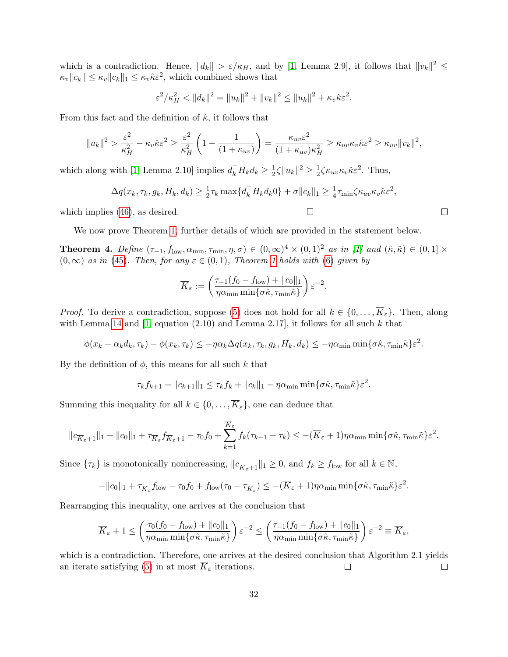which is a contradiction. Hence,  $||d_k|| > \varepsilon/\kappa_H$ , and by [\[1,](#page-28-0) Lemma 2.9], it follows that  $||v_k||^2 \le$  $\kappa_v ||c_k|| \leq \kappa_v ||c_k||_1 \leq \kappa_v \hat{\kappa} \varepsilon^2$ , which combined shows that

$$
\varepsilon^2 / \kappa_H^2 < \|d_k\|^2 = \|u_k\|^2 + \|v_k\|^2 \le \|u_k\|^2 + \kappa_v \hat{\kappa} \varepsilon^2.
$$

From this fact and the definition of  $\hat{\kappa}$ , it follows that

$$
||u_k||^2 > \frac{\varepsilon^2}{\kappa_H^2} - \kappa_v \hat{\kappa} \varepsilon^2 \ge \frac{\varepsilon^2}{\kappa_H^2} \left( 1 - \frac{1}{(1 + \kappa_{uv})} \right) = \frac{\kappa_{uv} \varepsilon^2}{(1 + \kappa_{uv}) \kappa_H^2} \ge \kappa_{uv} \kappa_v \hat{\kappa} \varepsilon^2 \ge \kappa_{uv} ||v_k||^2,
$$

which along with [\[1,](#page-28-0) Lemma 2.10] implies  $d_k^{\top} H_k d_k \geq \frac{1}{2}$  $\frac{1}{2}\zeta \|u_k\|^2 \geq \frac{1}{2}$  $\frac{1}{2}\zeta \kappa_{uv}\kappa_v \hat{\kappa} \varepsilon^2$ . Thus,

$$
\Delta q(x_k, \tau_k, g_k, H_k, d_k) \geq \frac{1}{2} \tau_k \max\{d_k^{\top} H_k d_k 0\} + \sigma \|c_k\|_1 \geq \frac{1}{4} \tau_{\min} \zeta \kappa_{uv} \kappa_v \hat{\kappa} \varepsilon^2,
$$

 $\Box$ 

which implies  $(46)$ , as desired.

We now prove Theorem [1,](#page-4-1) further details of which are provided in the statement below.

<span id="page-31-0"></span>**Theorem 4.** Define  $(\tau_{-1}, f_{\text{low}}, \alpha_{\text{min}}, \tau_{\text{min}}, \eta, \sigma) \in (0, \infty)^4 \times (0, 1)^2$  as in [\[1\]](#page-28-0) and  $(\hat{\kappa}, \tilde{\kappa}) \in (0, 1] \times$  $(0, \infty)$  as in [\(45\)](#page-30-9). Then, for any  $\varepsilon \in (0, 1)$  $\varepsilon \in (0, 1)$  $\varepsilon \in (0, 1)$ , Theorem 1 holds with [\(6\)](#page-4-3) given by

$$
\overline{K}_{\varepsilon} := \left( \frac{\tau_{-1}(f_0 - f_{\text{low}}) + ||c_0||_1}{\eta \alpha_{\min} \min \{ \sigma \hat{\kappa}, \tau_{\min} \tilde{\kappa} \}} \right) \varepsilon^{-2}.
$$

*Proof.* To derive a contradiction, suppose [\(5\)](#page-4-4) does not hold for all  $k \in \{0, \ldots, \overline{K}_{\varepsilon}\}.$  Then, along with Lemma [14](#page-30-5) and  $[1, \text{ equation } (2.10)$  and Lemma 2.17], it follows for all such k that

$$
\phi(x_k + \alpha_k d_k, \tau_k) - \phi(x_k, \tau_k) \le -\eta \alpha_k \Delta q(x_k, \tau_k, g_k, H_k, d_k) \le -\eta \alpha_{\min} \min\{\sigma \hat{\kappa}, \tau_{\min} \tilde{\kappa}\} \varepsilon^2.
$$

By the definition of  $\phi$ , this means for all such k that

$$
\tau_k f_{k+1} + ||c_{k+1}||_1 \leq \tau_k f_k + ||c_k||_1 - \eta \alpha_{\min} \min{\lbrace \sigma \hat{\kappa}, \tau_{\min} \tilde{\kappa} \rbrace} \varepsilon^2.
$$

Summing this inequality for all  $k \in \{0, \ldots, \overline{K}_{\varepsilon}\}\)$ , one can deduce that

$$
||c_{\overline{K}_{\varepsilon}+1}||_1 - ||c_0||_1 + \tau_{\overline{K}_{\varepsilon}} f_{\overline{K}_{\varepsilon}+1} - \tau_0 f_0 + \sum_{k=1}^{\overline{K}_{\varepsilon}} f_k(\tau_{k-1} - \tau_k) \leq -(\overline{K}_{\varepsilon}+1)\eta \alpha_{\min} \min\{\sigma \hat{\kappa}, \tau_{\min} \tilde{\kappa}\} \varepsilon^2.
$$

Since  $\{\tau_k\}$  is monotonically nonincreasing,  $||c_{\overline{K}_{\varepsilon}+1}||_1 \geq 0$ , and  $f_k \geq f_{\text{low}}$  for all  $k \in \mathbb{N}$ ,

$$
-\|c_0\|_1 + \tau_{\overline{K}_{\varepsilon}} f_{\text{low}} - \tau_0 f_0 + f_{\text{low}} (\tau_0 - \tau_{\overline{K}_{\varepsilon}}) \le -(\overline{K}_{\varepsilon} + 1) \eta \alpha_{\min} \min\{\sigma \hat{\kappa}, \tau_{\min} \tilde{\kappa}\} \varepsilon^2.
$$

Rearranging this inequality, one arrives at the conclusion that

$$
\overline{K}_{\varepsilon} + 1 \leq \left( \frac{\tau_0(f_0 - f_{\text{low}}) + ||c_0||_1}{\eta \alpha_{\min} \min\{\sigma \hat{\kappa}, \tau_{\min} \tilde{\kappa}\}} \right) \varepsilon^{-2} \leq \left( \frac{\tau_{-1}(f_0 - f_{\text{low}}) + ||c_0||_1}{\eta \alpha_{\min} \min\{\sigma \hat{\kappa}, \tau_{\min} \tilde{\kappa}\}} \right) \varepsilon^{-2} \equiv \overline{K}_{\varepsilon},
$$

which is a contradiction. Therefore, one arrives at the desired conclusion that Algorithm 2.1 yields an iterate satisfying [\(5\)](#page-4-4) in at most  $\overline{K}_{\varepsilon}$  iterations.  $\Box$  $\Box$ 

$$
\qquad \qquad \Box
$$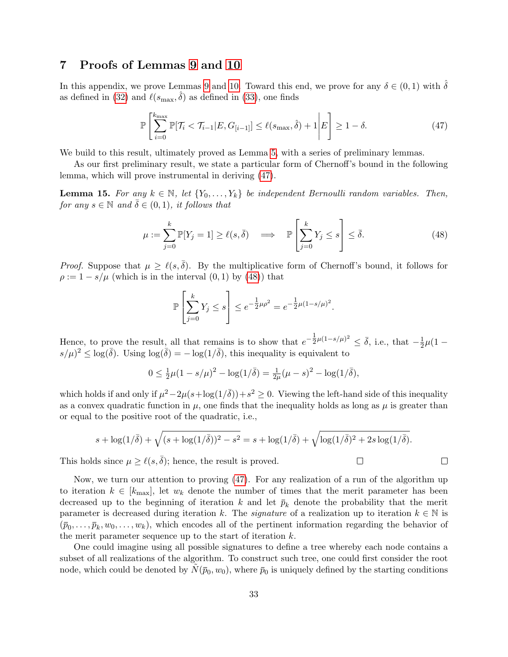## <span id="page-32-0"></span>7 Proofs of Lemmas [9](#page-19-0) and [10](#page-19-1)

In this appendix, we prove Lemmas [9](#page-19-0) and [10.](#page-19-1) Toward this end, we prove for any  $\delta \in (0,1)$  with  $\delta$ as defined in [\(32\)](#page-18-1) and  $\ell(s_{\text{max}}, \hat{\delta})$  as defined in [\(33\)](#page-18-2), one finds

<span id="page-32-1"></span>
$$
\mathbb{P}\left[\sum_{i=0}^{k_{\max}} \mathbb{P}[\mathcal{T}_i < \mathcal{T}_{i-1} | E, G_{[i-1]}] \le \ell(s_{\max}, \hat{\delta}) + 1 \middle| E\right] \ge 1 - \delta. \tag{47}
$$

We build to this result, ultimately proved as Lemma [5,](#page-42-0) with a series of preliminary lemmas.

As our first preliminary result, we state a particular form of Chernoff's bound in the following lemma, which will prove instrumental in deriving [\(47\)](#page-32-1).

<span id="page-32-3"></span>**Lemma 15.** For any  $k \in \mathbb{N}$ , let  $\{Y_0, \ldots, Y_k\}$  be independent Bernoulli random variables. Then, for any  $s \in \mathbb{N}$  and  $\overline{\delta} \in (0,1)$ , it follows that

<span id="page-32-2"></span>
$$
\mu := \sum_{j=0}^{k} \mathbb{P}[Y_j = 1] \ge \ell(s, \bar{\delta}) \quad \Longrightarrow \quad \mathbb{P}\left[\sum_{j=0}^{k} Y_j \le s\right] \le \bar{\delta}.\tag{48}
$$

*Proof.* Suppose that  $\mu \geq \ell(s, \overline{\delta})$ . By the multiplicative form of Chernoff's bound, it follows for  $\rho := 1 - s/\mu$  (which is in the interval  $(0, 1)$  by  $(48)$ ) that

$$
\mathbb{P}\left[\sum_{j=0}^{k} Y_j \le s\right] \le e^{-\frac{1}{2}\mu\rho^2} = e^{-\frac{1}{2}\mu(1-s/\mu)^2}.
$$

Hence, to prove the result, all that remains is to show that  $e^{-\frac{1}{2}}$  $\frac{1}{2}\mu(1-s/\mu)^2 \leq \bar{\delta}$ , i.e., that  $-\frac{1}{2}$  $rac{1}{2}\mu(1$  $s/\mu$ <sup>2</sup>  $\leq$  log( $\bar{\delta}$ ). Using log( $\bar{\delta}$ ) =  $-\log(1/\bar{\delta})$ , this inequality is equivalent to

$$
0 \le \frac{1}{2}\mu(1 - s/\mu)^2 - \log(1/\bar{\delta}) = \frac{1}{2\mu}(\mu - s)^2 - \log(1/\bar{\delta}),
$$

which holds if and only if  $\mu^2 - 2\mu(s + \log(1/\overline{\delta})) + s^2 \ge 0$ . Viewing the left-hand side of this inequality as a convex quadratic function in  $\mu$ , one finds that the inequality holds as long as  $\mu$  is greater than or equal to the positive root of the quadratic, i.e.,

$$
s + \log(1/\bar{\delta}) + \sqrt{(s + \log(1/\bar{\delta}))^2 - s^2} = s + \log(1/\bar{\delta}) + \sqrt{\log(1/\bar{\delta})^2 + 2s\log(1/\bar{\delta})}.
$$

 $\Box$ 

 $\Box$ 

This holds since  $\mu \geq \ell(s, \bar{\delta})$ ; hence, the result is proved.

Now, we turn our attention to proving [\(47\)](#page-32-1). For any realization of a run of the algorithm up to iteration  $k \in [k_{\text{max}}]$ , let  $w_k$  denote the number of times that the merit parameter has been decreased up to the beginning of iteration k and let  $\bar{p}_k$  denote the probability that the merit parameter is decreased during iteration k. The *signature* of a realization up to iteration  $k \in \mathbb{N}$  is  $(\bar{p}_0,\ldots,\bar{p}_k,w_0,\ldots,w_k)$ , which encodes all of the pertinent information regarding the behavior of the merit parameter sequence up to the start of iteration  $k$ .

One could imagine using all possible signatures to define a tree whereby each node contains a subset of all realizations of the algorithm. To construct such tree, one could first consider the root node, which could be denoted by  $\tilde{N}(\bar{p}_0, w_0)$ , where  $\bar{p}_0$  is uniquely defined by the starting conditions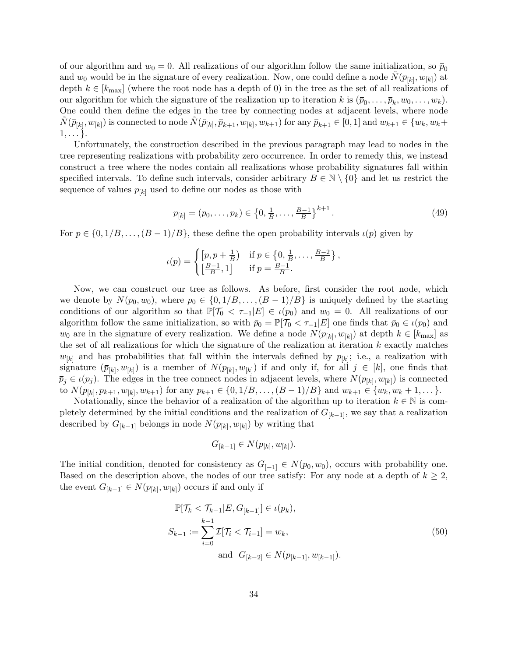of our algorithm and  $w_0 = 0$ . All realizations of our algorithm follow the same initialization, so  $\bar{p}_0$ and  $w_0$  would be in the signature of every realization. Now, one could define a node  $\tilde{N}(\bar{p}_{[k]}, w_{[k]})$  at depth  $k \in [k_{\text{max}}]$  (where the root node has a depth of 0) in the tree as the set of all realizations of our algorithm for which the signature of the realization up to iteration k is  $(\bar{p}_0, \ldots, \bar{p}_k, w_0, \ldots, w_k)$ . One could then define the edges in the tree by connecting nodes at adjacent levels, where node  $\tilde{N}(\bar{p}_{[k]}, w_{[k]})$  is connected to node  $\tilde{N}(\bar{p}_{[k]}, \bar{p}_{k+1}, w_{[k]}, w_{k+1})$  for any  $\bar{p}_{k+1} \in [0, 1]$  and  $w_{k+1} \in \{w_k, w_k +$  $1, \ldots$  }.

Unfortunately, the construction described in the previous paragraph may lead to nodes in the tree representing realizations with probability zero occurrence. In order to remedy this, we instead construct a tree where the nodes contain all realizations whose probability signatures fall within specified intervals. To define such intervals, consider arbitrary  $B \in \mathbb{N} \setminus \{0\}$  and let us restrict the sequence of values  $p_{[k]}$  used to define our nodes as those with

$$
p_{[k]} = (p_0, \dots, p_k) \in \left\{0, \frac{1}{B}, \dots, \frac{B-1}{B}\right\}^{k+1}.
$$
\n(49)

For  $p \in \{0, 1/B, \ldots, (B-1)/B\}$ , these define the open probability intervals  $\iota(p)$  given by

$$
\iota(p) = \begin{cases} \left[p, p + \frac{1}{B}\right) & \text{if } p \in \left\{0, \frac{1}{B}, \dots, \frac{B-2}{B}\right\},\\ \left[\frac{B-1}{B}, 1\right] & \text{if } p = \frac{B-1}{B}. \end{cases}
$$

Now, we can construct our tree as follows. As before, first consider the root node, which we denote by  $N(p_0, w_0)$ , where  $p_0 \in \{0, 1/B, \ldots, (B-1)/B\}$  is uniquely defined by the starting conditions of our algorithm so that  $\mathbb{P}[\mathcal{T}_0 < \tau_{-1}|E] \in \iota(p_0)$  and  $w_0 = 0$ . All realizations of our algorithm follow the same initialization, so with  $\bar{p}_0 = \mathbb{P}[\mathcal{T}_0 < \tau_{-1}|E]$  one finds that  $\bar{p}_0 \in \iota(p_0)$  and  $w_0$  are in the signature of every realization. We define a node  $N(p_{[k]}, w_{[k]})$  at depth  $k \in [k_{\text{max}}]$  as the set of all realizations for which the signature of the realization at iteration  $k$  exactly matches  $w_{[k]}$  and has probabilities that fall within the intervals defined by  $p_{[k]}$ ; i.e., a realization with signature  $(\bar{p}_{[k]}, w_{[k]})$  is a member of  $N(p_{[k]}, w_{[k]})$  if and only if, for all  $j \in [k]$ , one finds that  $\bar{p}_j \in \iota(p_j)$ . The edges in the tree connect nodes in adjacent levels, where  $N(p_{[k]}, w_{[k]})$  is connected to  $N(p_{[k]}, p_{k+1}, w_{[k]}, w_{k+1})$  for any  $p_{k+1} \in \{0, 1/B, \ldots, (B-1)/B\}$  and  $w_{k+1} \in \{w_k, w_k + 1, \ldots\}$ .

Notationally, since the behavior of a realization of the algorithm up to iteration  $k \in \mathbb{N}$  is completely determined by the initial conditions and the realization of  $G_{[k-1]}$ , we say that a realization described by  $G_{[k-1]}$  belongs in node  $N(p_{[k]}, w_{[k]})$  by writing that

$$
G_{[k-1]} \in N(p_{[k]}, w_{[k]}).
$$

The initial condition, denoted for consistency as  $G_{[-1]} \in N(p_0, w_0)$ , occurs with probability one. Based on the description above, the nodes of our tree satisfy: For any node at a depth of  $k \geq 2$ , the event  $G_{[k-1]} \in N(p_{[k]}, w_{[k]})$  occurs if and only if

<span id="page-33-0"></span>
$$
\mathbb{P}[\mathcal{T}_k < \mathcal{T}_{k-1} | E, G_{[k-1]}] \in \iota(p_k),
$$
\n
$$
S_{k-1} := \sum_{i=0}^{k-1} \mathcal{I}[\mathcal{T}_i < \mathcal{T}_{i-1}] = w_k,
$$
\nand 
$$
G_{[k-2]} \in N(p_{[k-1]}, w_{[k-1]}).
$$
\n
$$
(50)
$$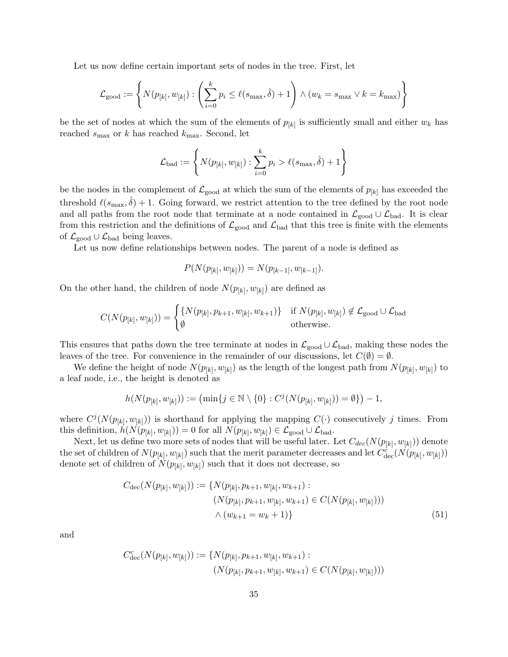Let us now define certain important sets of nodes in the tree. First, let

$$
\mathcal{L}_{\text{good}} := \left\{ N(p_{[k]}, w_{[k]}) : \left( \sum_{i=0}^{k} p_i \le \ell(s_{\text{max}}, \hat{\delta}) + 1 \right) \land (w_k = s_{\text{max}} \lor k = k_{\text{max}}) \right\}
$$

be the set of nodes at which the sum of the elements of  $p_{[k]}$  is sufficiently small and either  $w_k$  has reached  $s_{\text{max}}$  or k has reached  $k_{\text{max}}$ . Second, let

$$
\mathcal{L}_{\text{bad}} := \left\{ N(p_{[k]}, w_{[k]}) : \sum_{i=0}^{k} p_i > \ell(s_{\text{max}}, \hat{\delta}) + 1 \right\}
$$

be the nodes in the complement of  $\mathcal{L}_{\text{good}}$  at which the sum of the elements of  $p_{[k]}$  has exceeded the threshold  $\ell(s_{\text{max}}, \hat{\delta}) + 1$ . Going forward, we restrict attention to the tree defined by the root node and all paths from the root node that terminate at a node contained in  $\mathcal{L}_{\text{good}} \cup \mathcal{L}_{\text{bad}}$ . It is clear from this restriction and the definitions of  $\mathcal{L}_{good}$  and  $\mathcal{L}_{bad}$  that this tree is finite with the elements of  $\mathcal{L}_{\text{good}} \cup \mathcal{L}_{\text{bad}}$  being leaves.

Let us now define relationships between nodes. The parent of a node is defined as

$$
P(N(p_{[k]}, w_{[k]})) = N(p_{[k-1]}, w_{[k-1]}).
$$

On the other hand, the children of node  $N(p_{[k]}, w_{[k]})$  are defined as

$$
C(N(p_{[k]}, w_{[k]})) = \begin{cases} \{N(p_{[k]}, p_{k+1}, w_{[k]}, w_{k+1})\} & \text{if } N(p_{[k]}, w_{[k]}) \notin \mathcal{L}_{\text{good}} \cup \mathcal{L}_{\text{bad}} \\ \emptyset & \text{otherwise.} \end{cases}
$$

This ensures that paths down the tree terminate at nodes in  $\mathcal{L}_{good} \cup \mathcal{L}_{bad}$ , making these nodes the leaves of the tree. For convenience in the remainder of our discussions, let  $C(\emptyset) = \emptyset$ .

We define the height of node  $N(p_{[k]}, w_{[k]})$  as the length of the longest path from  $N(p_{[k]}, w_{[k]})$  to a leaf node, i.e., the height is denoted as

$$
h(N(p_{[k]}, w_{[k]})) := \left(\min\{j \in \mathbb{N} \setminus \{0\} : C^j(N(p_{[k]}, w_{[k]})) = \emptyset\}\right) - 1,
$$

where  $C^{j}(N(p_{[k]}, w_{[k]}))$  is shorthand for applying the mapping  $C(\cdot)$  consecutively j times. From this definition,  $h(N(p_{[k]}, w_{[k]})) = 0$  for all  $N(p_{[k]}, w_{[k]}) \in \mathcal{L}_{\text{good}} \cup \mathcal{L}_{\text{bad}}$ .

Next, let us define two more sets of nodes that will be useful later. Let  $C_{dec}(N(p_{[k]}, w_{[k]}))$  denote the set of children of  $N(p_{[k]}, w_{[k]})$  such that the merit parameter decreases and let  $C_{\text{dec}}^{\tilde{c}}(N(p_{[k]}, w_{[k]}))$ denote set of children of  $N(p_{[k]}, w_{[k]})$  such that it does not decrease, so

<span id="page-34-0"></span>
$$
C_{\text{dec}}(N(p_{[k]}, w_{[k]})) := \{ N(p_{[k]}, p_{k+1}, w_{[k]}, w_{k+1}) : (N(p_{[k]}, p_{k+1}, w_{[k]}, w_{k+1}) \in C(N(p_{[k]}, w_{[k]}))) \times (w_{k+1} = w_k + 1) \}
$$
\n
$$
(51)
$$

and

$$
C_{\text{dec}}^c(N(p_{[k]}, w_{[k]})) := \{ N(p_{[k]}, p_{k+1}, w_{[k]}, w_{k+1}) : (N(p_{[k]}, p_{k+1}, w_{[k]}, w_{k+1}) \in C(N(p_{[k]}, w_{[k]})))
$$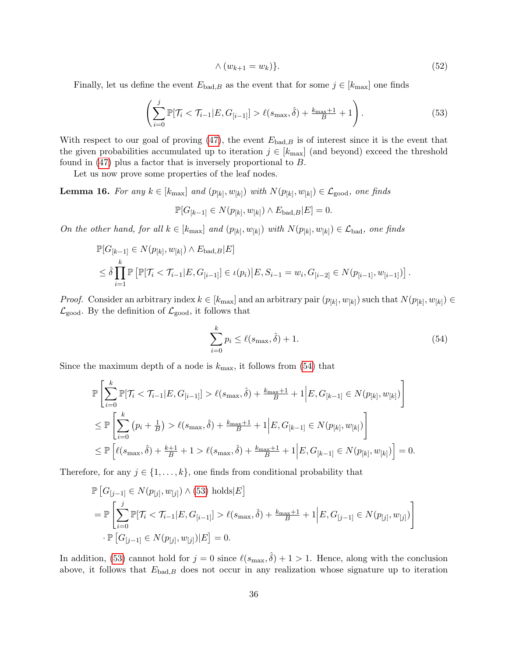$$
\wedge \left(w_{k+1} = w_k\right)\}.\tag{52}
$$

Finally, let us define the event  $E_{bad,B}$  as the event that for some  $j \in [k_{\text{max}}]$  one finds

<span id="page-35-1"></span>
$$
\left(\sum_{i=0}^{j} \mathbb{P}[\mathcal{T}_i < \mathcal{T}_{i-1} | E, G_{[i-1]}] > \ell(s_{\max}, \hat{\delta}) + \frac{k_{\max} + 1}{B} + 1\right). \tag{53}
$$

With respect to our goal of proving [\(47\)](#page-32-1), the event  $E_{bad,B}$  is of interest since it is the event that the given probabilities accumulated up to iteration  $j \in [k_{\text{max}}]$  (and beyond) exceed the threshold found in [\(47\)](#page-32-1) plus a factor that is inversely proportional to B.

Let us now prove some properties of the leaf nodes.

<span id="page-35-3"></span>**Lemma 16.** For any  $k \in [k_{\text{max}}]$  and  $(p_{[k]}, w_{[k]})$  with  $N(p_{[k]}, w_{[k]}) \in \mathcal{L}_{\text{good}}$ , one finds

$$
\mathbb{P}[G_{[k-1]} \in N(p_{[k]}, w_{[k]}) \wedge E_{\text{bad},B} | E] = 0.
$$

On the other hand, for all  $k \in [k_{\text{max}}]$  and  $(p_{[k]}, w_{[k]})$  with  $N(p_{[k]}, w_{[k]}) \in \mathcal{L}_{bad}$ , one finds

$$
\mathbb{P}[G_{[k-1]} \in N(p_{[k]}, w_{[k]}) \wedge E_{\text{bad},B} | E]
$$
\n
$$
\leq \hat{\delta} \prod_{i=1}^{k} \mathbb{P} \left[ \mathbb{P}[\mathcal{T}_i < \mathcal{T}_{i-1} | E, G_{[i-1]}] \in \iota(p_i) | E, S_{i-1} = w_i, G_{[i-2]} \in N(p_{[i-1]}, w_{[i-1]}) \right]
$$

*Proof.* Consider an arbitrary index  $k \in [k_{\text{max}}]$  and an arbitrary pair  $(p_{[k]}, w_{[k]})$  such that  $N(p_{[k]}, w_{[k]}) \in$  $\mathcal{L}_{\text{good}}$ . By the definition of  $\mathcal{L}_{\text{good}}$ , it follows that

<span id="page-35-0"></span>
$$
\sum_{i=0}^{k} p_i \le \ell(s_{\text{max}}, \hat{\delta}) + 1.
$$
\n(54)

<span id="page-35-2"></span>.

Since the maximum depth of a node is  $k_{\text{max}}$ , it follows from [\(54\)](#page-35-0) that

$$
\mathbb{P}\left[\sum_{i=0}^{k} \mathbb{P}[\mathcal{T}_i < \mathcal{T}_{i-1}|E, G_{[i-1]}] > \ell(s_{\max}, \hat{\delta}) + \frac{k_{\max}+1}{B} + 1 \Big| E, G_{[k-1]} \in N(p_{[k]}, w_{[k]}) \right] \\
\leq \mathbb{P}\left[\sum_{i=0}^{k} \left(p_i + \frac{1}{B}\right) > \ell(s_{\max}, \hat{\delta}) + \frac{k_{\max}+1}{B} + 1 \Big| E, G_{[k-1]} \in N(p_{[k]}, w_{[k]}) \right] \\
\leq \mathbb{P}\left[\ell(s_{\max}, \hat{\delta}) + \frac{k+1}{B} + 1 > \ell(s_{\max}, \hat{\delta}) + \frac{k_{\max}+1}{B} + 1 \Big| E, G_{[k-1]} \in N(p_{[k]}, w_{[k]}) \right] = 0.
$$

Therefore, for any  $j \in \{1, \ldots, k\}$ , one finds from conditional probability that

$$
\mathbb{P}\left[G_{[j-1]} \in N(p_{[j]}, w_{[j]}) \wedge (53) \text{ holds}|E\right]
$$
\n
$$
= \mathbb{P}\left[\sum_{i=0}^{j} \mathbb{P}[\mathcal{T}_i < \mathcal{T}_{i-1}|E, G_{[i-1]}] > \ell(s_{\max}, \hat{\delta}) + \frac{k_{\max}+1}{B} + 1 \Big| E, G_{[j-1]} \in N(p_{[j]}, w_{[j]}) \right]
$$
\n
$$
\cdot \mathbb{P}\left[G_{[j-1]} \in N(p_{[j]}, w_{[j]})|E\right] = 0.
$$

In addition, [\(53\)](#page-35-1) cannot hold for  $j = 0$  since  $\ell(s_{\text{max}}, \hat{\delta}) + 1 > 1$ . Hence, along with the conclusion above, it follows that  $E_{bad,B}$  does not occur in any realization whose signature up to iteration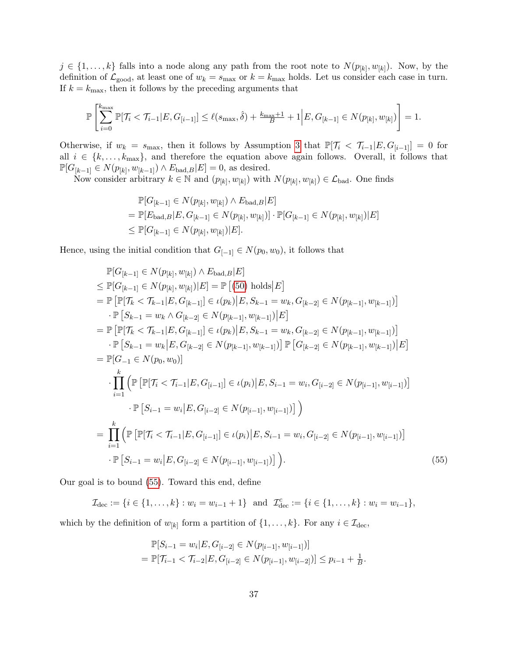$j \in \{1, \ldots, k\}$  falls into a node along any path from the root note to  $N(p_{[k]}, w_{[k]})$ . Now, by the definition of  $\mathcal{L}_{\text{good}}$ , at least one of  $w_k = s_{\text{max}}$  or  $k = k_{\text{max}}$  holds. Let us consider each case in turn. If  $k = k_{\text{max}}$ , then it follows by the preceding arguments that

$$
\mathbb{P}\left[\sum_{i=0}^{k_{\max}} \mathbb{P}[\mathcal{T}_i < \mathcal{T}_{i-1}|E, G_{[i-1]}] \leq \ell(s_{\max}, \hat{\delta}) + \frac{k_{\max}+1}{B} + 1 \Big| E, G_{[k-1]} \in N(p_{[k]}, w_{[k]}) \right] = 1.
$$

Otherwise, if  $w_k = s_{\text{max}}$ , then it follows by Assumption [3](#page-11-0) that  $\mathbb{P}[\mathcal{T}_i \leq \mathcal{T}_{i-1}|E, G_{[i-1]}] = 0$  for all  $i \in \{k, \ldots, k_{\text{max}}\}$ , and therefore the equation above again follows. Overall, it follows that  $\mathbb{P}[G_{[k-1]} \in N(p_{[k]}, w_{[k-1]}) \wedge E_{bad, B}|E] = 0$ , as desired.

Now consider arbitrary  $k \in \mathbb{N}$  and  $(p_{[k]}, w_{[k]})$  with  $N(p_{[k]}, w_{[k]}) \in \mathcal{L}_{bad}$ . One finds

$$
\mathbb{P}[G_{[k-1]} \in N(p_{[k]}, w_{[k]}) \wedge E_{\text{bad},B} | E]
$$
  
= 
$$
\mathbb{P}[E_{\text{bad},B} | E, G_{[k-1]} \in N(p_{[k]}, w_{[k]})] \cdot \mathbb{P}[G_{[k-1]} \in N(p_{[k]}, w_{[k]}) | E]
$$
  

$$
\leq \mathbb{P}[G_{[k-1]} \in N(p_{[k]}, w_{[k]}) | E].
$$

Hence, using the initial condition that  $G_{[-1]} \in N(p_0, w_0)$ , it follows that

$$
\mathbb{P}[G_{[k-1]} \in N(p_{[k]}, w_{[k]}) \wedge E_{\text{bad},B} | E]
$$
\n
$$
\leq \mathbb{P}[G_{[k-1]} \in N(p_{[k]}, w_{[k]}) | E] = \mathbb{P} \left[ (50) \text{ holds} | E \right]
$$
\n
$$
= \mathbb{P} \left[ \mathbb{P}[\mathcal{T}_{k} < \mathcal{T}_{k-1} | E, G_{[k-1]}] \in \iota(p_{k}) | E, S_{k-1} = w_{k}, G_{[k-2]} \in N(p_{[k-1]}, w_{[k-1]}) \right]
$$
\n
$$
\cdot \mathbb{P} \left[ S_{k-1} = w_{k} \wedge G_{[k-2]} \in N(p_{[k-1]}, w_{[k-1]}) | E \right]
$$
\n
$$
= \mathbb{P} \left[ \mathbb{P}[\mathcal{T}_{k} < \mathcal{T}_{k-1} | E, G_{[k-1]}] \in \iota(p_{k}) | E, S_{k-1} = w_{k}, G_{[k-2]} \in N(p_{[k-1]}, w_{[k-1]}) \right]
$$
\n
$$
\cdot \mathbb{P} \left[ S_{k-1} = w_{k} | E, G_{[k-2]} \in N(p_{[k-1]}, w_{[k-1]}) \right] \mathbb{P} \left[ G_{[k-2]} \in N(p_{[k-1]}, w_{[k-1]}) | E \right]
$$
\n
$$
= \mathbb{P}[G_{-1} \in N(p_{0}, w_{0})]
$$
\n
$$
\cdot \prod_{i=1}^{k} \left( \mathbb{P} \left[ \mathbb{P}[\mathcal{T}_{i} < \mathcal{T}_{i-1} | E, G_{[i-1]}] \in \iota(p_{i}) | E, S_{i-1} = w_{i}, G_{[i-2]} \in N(p_{[i-1]}, w_{[i-1]}) \right] \right)
$$
\n
$$
\cdot \mathbb{P} \left[ S_{i-1} = w_{i} | E, G_{[i-2]} \in N(p_{[i-1]}, w_{[i-1]}) \right]
$$
\n
$$
= \prod_{i=1}^{k} \left( \mathbb{P} \left[ \mathbb{P}[\mathcal{T}_{i} < \mathcal{T}_{i-1} | E, G_{
$$

Our goal is to bound [\(55\)](#page-36-0). Toward this end, define

 $\mathcal{I}_{\text{dec}} := \{i \in \{1, \ldots, k\} : w_i = w_{i-1} + 1\} \text{ and } \mathcal{I}_{\text{dec}}^c := \{i \in \{1, \ldots, k\} : w_i = w_{i-1}\},\$ 

which by the definition of  $w_{[k]}$  form a partition of  $\{1, \ldots, k\}$ . For any  $i \in \mathcal{I}_{\text{dec}}$ ,

<span id="page-36-0"></span>
$$
\mathbb{P}[S_{i-1} = w_i | E, G_{[i-2]} \in N(p_{[i-1]}, w_{[i-1]})]
$$
  
= 
$$
\mathbb{P}[\mathcal{T}_{i-1} < \mathcal{T}_{i-2} | E, G_{[i-2]} \in N(p_{[i-1]}, w_{[i-2]})] \leq p_{i-1} + \frac{1}{B}.
$$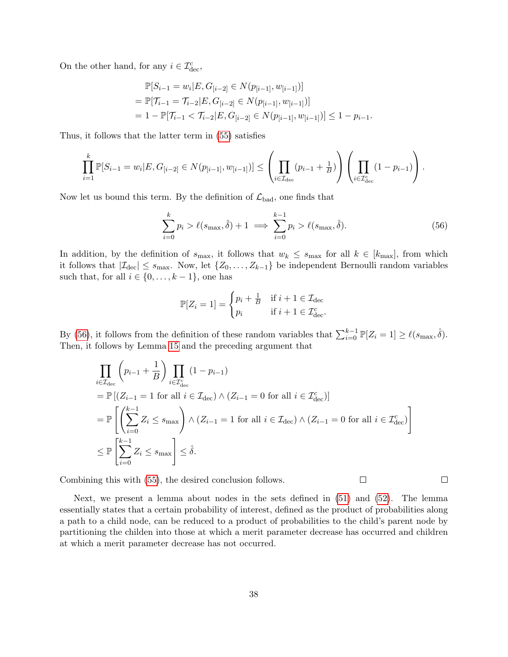On the other hand, for any  $i \in \mathcal{I}_{\text{dec}}^c$ ,

$$
\mathbb{P}[S_{i-1} = w_i | E, G_{[i-2]} \in N(p_{[i-1]}, w_{[i-1]})]
$$
  
= 
$$
\mathbb{P}[\mathcal{T}_{i-1} = \mathcal{T}_{i-2} | E, G_{[i-2]} \in N(p_{[i-1]}, w_{[i-1]})]
$$
  
= 
$$
1 - \mathbb{P}[\mathcal{T}_{i-1} < \mathcal{T}_{i-2} | E, G_{[i-2]} \in N(p_{[i-1]}, w_{[i-1]})] \le 1 - p_{i-1}.
$$

Thus, it follows that the latter term in [\(55\)](#page-36-0) satisfies

$$
\prod_{i=1}^k \mathbb{P}[S_{i-1} = w_i | E, G_{[i-2]} \in N(p_{[i-1]}, w_{[i-1]})] \leq \left(\prod_{i \in \mathcal{I}_{\text{dec}}} (p_{i-1} + \frac{1}{B})\right) \left(\prod_{i \in \mathcal{I}_{\text{dec}}^c} (1 - p_{i-1})\right).
$$

Now let us bound this term. By the definition of  $\mathcal{L}_{bad}$ , one finds that

<span id="page-37-0"></span>
$$
\sum_{i=0}^{k} p_i > \ell(s_{\max}, \hat{\delta}) + 1 \implies \sum_{i=0}^{k-1} p_i > \ell(s_{\max}, \hat{\delta}). \tag{56}
$$

In addition, by the definition of  $s_{\text{max}}$ , it follows that  $w_k \leq s_{\text{max}}$  for all  $k \in [k_{\text{max}}]$ , from which it follows that  $|\mathcal{I}_{\text{dec}}| \leq s_{\text{max}}$ . Now, let  $\{Z_0, \ldots, Z_{k-1}\}\$  be independent Bernoulli random variables such that, for all  $i \in \{0, \ldots, k-1\}$ , one has

$$
\mathbb{P}[Z_i = 1] = \begin{cases} p_i + \frac{1}{B} & \text{if } i + 1 \in \mathcal{I}_{\text{dec}} \\ p_i & \text{if } i + 1 \in \mathcal{I}_{\text{dec}}^c. \end{cases}
$$

By [\(56\)](#page-37-0), it follows from the definition of these random variables that  $\sum_{i=0}^{k-1} \mathbb{P}[Z_i = 1] \ge \ell(s_{\max}, \hat{\delta}).$ Then, it follows by Lemma [15](#page-32-3) and the preceding argument that

$$
\prod_{i \in \mathcal{I}_{\text{dec}}} \left( p_{i-1} + \frac{1}{B} \right) \prod_{i \in \mathcal{I}_{\text{dec}}^c} (1 - p_{i-1})
$$
\n
$$
= \mathbb{P} \left[ (Z_{i-1} = 1 \text{ for all } i \in \mathcal{I}_{\text{dec}}) \land (Z_{i-1} = 0 \text{ for all } i \in \mathcal{I}_{\text{dec}}^c) \right]
$$
\n
$$
= \mathbb{P} \left[ \left( \sum_{i=0}^{k-1} Z_i \le s_{\text{max}} \right) \land (Z_{i-1} = 1 \text{ for all } i \in \mathcal{I}_{\text{dec}}) \land (Z_{i-1} = 0 \text{ for all } i \in \mathcal{I}_{\text{dec}}^c) \right]
$$
\n
$$
\leq \mathbb{P} \left[ \sum_{i=0}^{k-1} Z_i \le s_{\text{max}} \right] \leq \hat{\delta}.
$$

Combining this with [\(55\)](#page-36-0), the desired conclusion follows.

 $\Box$ 

 $\Box$ 

Next, we present a lemma about nodes in the sets defined in [\(51\)](#page-34-0) and [\(52\)](#page-35-2). The lemma essentially states that a certain probability of interest, defined as the product of probabilities along a path to a child node, can be reduced to a product of probabilities to the child's parent node by partitioning the childen into those at which a merit parameter decrease has occurred and children at which a merit parameter decrease has not occurred.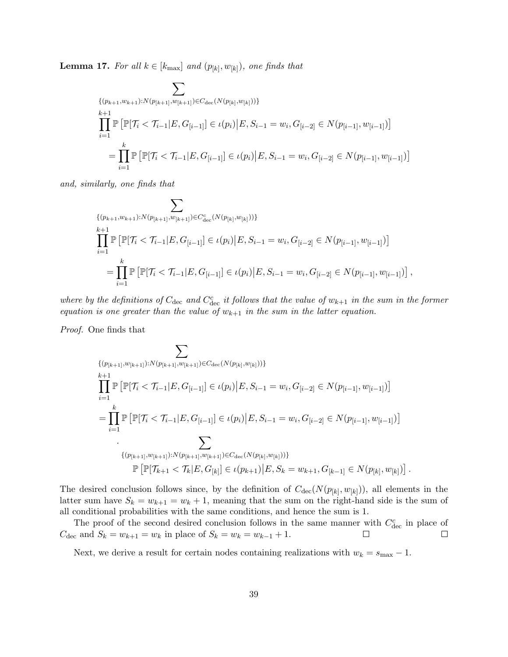<span id="page-38-0"></span>**Lemma 17.** For all  $k \in [k_{\text{max}}]$  and  $(p_{[k]}, w_{[k]})$ , one finds that

$$
\sum_{\{ (p_{k+1}, w_{k+1}): N(p_{[k+1]}, w_{[k+1]}) \in C_{\text{dec}}(N(p_{[k]}, w_{[k]})) \}}
$$
\n
$$
\prod_{i=1}^{k} \mathbb{P} \left[ \mathbb{P}[\mathcal{T}_i < \mathcal{T}_{i-1} | E, G_{[i-1]}] \in \iota(p_i) \middle| E, S_{i-1} = w_i, G_{[i-2]} \in N(p_{[i-1]}, w_{[i-1]}) \right]
$$
\n
$$
= \prod_{i=1}^{k} \mathbb{P} \left[ \mathbb{P}[\mathcal{T}_i < \mathcal{T}_{i-1} | E, G_{[i-1]}] \in \iota(p_i) \middle| E, S_{i-1} = w_i, G_{[i-2]} \in N(p_{[i-1]}, w_{[i-1]}) \right]
$$

and, similarly, one finds that

$$
\sum_{\substack{\{p_{k+1}, w_{k+1}\}: N(p_{[k+1]}, w_{[k+1]}) \in C_{\text{dec}}^{c}(N(p_{[k]}, w_{[k]})))\} \\ k+1}} \prod_{i=1}^{k+1} \mathbb{P}\left[\mathbb{P}[\mathcal{T}_i < \mathcal{T}_{i-1} | E, G_{[i-1]}] \in \iota(p_i) \middle| E, S_{i-1} = w_i, G_{[i-2]} \in N(p_{[i-1]}, w_{[i-1]})\right] \\ = \prod_{i=1}^{k} \mathbb{P}\left[\mathbb{P}[\mathcal{T}_i < \mathcal{T}_{i-1} | E, G_{[i-1]}] \in \iota(p_i) \middle| E, S_{i-1} = w_i, G_{[i-2]} \in N(p_{[i-1]}, w_{[i-1]})\right],
$$

where by the definitions of  $C_{\text{dec}}$  and  $C_{\text{dec}}^c$  it follows that the value of  $w_{k+1}$  in the sum in the former equation is one greater than the value of  $w_{k+1}$  in the sum in the latter equation.

Proof. One finds that

$$
\sum_{\{ (p_{[k+1]}, w_{[k+1]}) : N(p_{[k+1]}, w_{[k+1]}) \in C_{\text{dec}}(N(p_{[k]}, w_{[k]}))) \}} \prod_{i=1}^{k+1} \mathbb{P} \left[ \mathbb{P}[\mathcal{T}_i < \mathcal{T}_{i-1} | E, G_{[i-1]}] \in \iota(p_i) \Big| E, S_{i-1} = w_i, G_{[i-2]} \in N(p_{[i-1]}, w_{[i-1]}) \right]
$$
\n
$$
= \prod_{i=1}^{k} \mathbb{P} \left[ \mathbb{P}[\mathcal{T}_i < \mathcal{T}_{i-1} | E, G_{[i-1]}] \in \iota(p_i) \Big| E, S_{i-1} = w_i, G_{[i-2]} \in N(p_{[i-1]}, w_{[i-1]}) \right]
$$
\n
$$
\cdot \sum_{\{(p_{[k+1]}, w_{[k+1]}): N(p_{[k+1]}, w_{[k+1]}) \in C_{\text{dec}}(N(p_{[k]}, w_{[k]}))\}} \mathbb{P} \left[ \mathbb{P}[\mathcal{T}_{k+1} < \mathcal{T}_k | E, G_{[k]}] \in \iota(p_{k+1}) \Big| E, S_k = w_{k+1}, G_{[k-1]} \in N(p_{[k]}, w_{[k]}) \right].
$$

The desired conclusion follows since, by the definition of  $C_{\text{dec}}(N(p_{[k]}, w_{[k]}))$ , all elements in the latter sum have  $S_k = w_{k+1} = w_k + 1$ , meaning that the sum on the right-hand side is the sum of all conditional probabilities with the same conditions, and hence the sum is 1.

The proof of the second desired conclusion follows in the same manner with  $C_{\text{dec}}^c$  in place of  $C_{\text{dec}}$  and  $S_k = w_{k+1} = w_k$  in place of  $S_k = w_k = w_{k-1} + 1$ .  $\Box$  $\Box$ 

Next, we derive a result for certain nodes containing realizations with  $w_k = s_{\text{max}} - 1$ .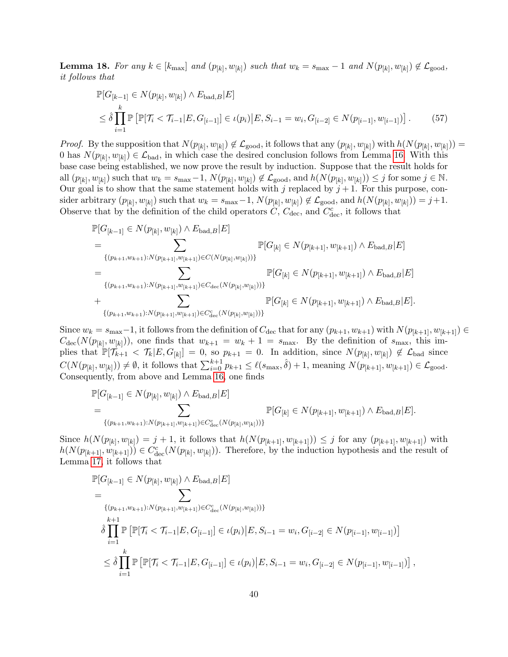<span id="page-39-0"></span>**Lemma 18.** For any  $k \in [k_{\text{max}}]$  and  $(p_{[k]}, w_{[k]})$  such that  $w_k = s_{\text{max}} - 1$  and  $N(p_{[k]}, w_{[k]}) \notin \mathcal{L}_{\text{good}}$ , it follows that

$$
\mathbb{P}[G_{[k-1]} \in N(p_{[k]}, w_{[k]}) \wedge E_{\text{bad},B} | E]
$$
\n
$$
\leq \hat{\delta} \prod_{i=1}^{k} \mathbb{P} \left[ \mathbb{P}[\mathcal{T}_i < \mathcal{T}_{i-1} | E, G_{[i-1]}] \in \iota(p_i) | E, S_{i-1} = w_i, G_{[i-2]} \in N(p_{[i-1]}, w_{[i-1]}) \right].
$$
\n(57)

*Proof.* By the supposition that  $N(p_{[k]}, w_{[k]}) \notin \mathcal{L}_{\text{good}}$ , it follows that any  $(p_{[k]}, w_{[k]})$  with  $h(N(p_{[k]}, w_{[k]})) =$ 0 has  $N(p_{[k]}, w_{[k]}) \in \mathcal{L}_{bad}$ , in which case the desired conclusion follows from Lemma [16.](#page-35-3) With this base case being established, we now prove the result by induction. Suppose that the result holds for all  $(p_{[k]}, w_{[k]})$  such that  $w_k = s_{\text{max}} - 1$ ,  $N(p_{[k]}, w_{[k]}) \notin \mathcal{L}_{\text{good}}$ , and  $h(N(p_{[k]}, w_{[k]})) \leq j$  for some  $j \in \mathbb{N}$ . Our goal is to show that the same statement holds with j replaced by  $j + 1$ . For this purpose, consider arbitrary  $(p_{[k]}, w_{[k]})$  such that  $w_k = s_{\text{max}} - 1$ ,  $N(p_{[k]}, w_{[k]}) \notin \mathcal{L}_{\text{good}}$ , and  $h(N(p_{[k]}, w_{[k]})) = j+1$ . Observe that by the definition of the child operators  $C, C_{\text{dec}}$ , and  $C_{\text{dec}}^c$ , it follows that

$$
\mathbb{P}[G_{[k-1]} \in N(p_{[k]}, w_{[k]}) \wedge E_{\text{bad},B} | E]
$$
\n
$$
= \sum_{\{(p_{k+1}, w_{k+1}): N(p_{[k+1]}, w_{[k+1]}) \in C(N(p_{[k]}, w_{[k]}))\}} \mathbb{P}[G_{[k]} \in N(p_{[k+1]}, w_{[k+1]}) \wedge E_{\text{bad},B} | E]
$$
\n
$$
= \sum_{\{(p_{k+1}, w_{k+1}): N(p_{[k+1]}, w_{[k+1]}) \in C_{\text{dec}}(N(p_{[k]}, w_{[k]})))\}} \mathbb{P}[G_{[k]} \in N(p_{[k+1]}, w_{[k+1]}) \wedge E_{\text{bad},B} | E]
$$
\n
$$
+ \sum_{\{(p_{k+1}, w_{k+1}): N(p_{[k+1]}, w_{[k+1]}) \in C_{\text{dec}}^c(N(p_{[k]}, w_{[k]})))\}} \mathbb{P}[G_{[k]} \in N(p_{[k+1]}, w_{[k+1]}) \wedge E_{\text{bad},B} | E].
$$

Since  $w_k = s_{\text{max}}-1$ , it follows from the definition of  $C_{\text{dec}}$  that for any  $(p_{k+1}, w_{k+1})$  with  $N(p_{[k+1]}, w_{[k+1]}) \in$  $C_{\text{dec}}(N(p_{[k]}, w_{[k]}))$ , one finds that  $w_{k+1} = w_k + 1 = s_{\text{max}}$ . By the definition of  $s_{\text{max}}$ , this implies that  $\mathbb{P}[\mathcal{T}_{k+1} < \mathcal{T}_k | E, G_{[k]}] = 0$ , so  $p_{k+1} = 0$ . In addition, since  $N(p_{[k]}, w_{[k]}) \notin \mathcal{L}_{bad}$  since  $C(N(p_{[k]}, w_{[k]})) \neq \emptyset$ , it follows that  $\sum_{i=0}^{k+1} p_{k+1} \leq \ell(s_{\max}, \hat{\delta}) + 1$ , meaning  $N(p_{[k+1]}, w_{[k+1]}) \in \mathcal{L}_{\text{good}}$ . Consequently, from above and Lemma [16,](#page-35-3) one finds

$$
\mathbb{P}[G_{[k-1]} \in N(p_{[k]}, w_{[k]}) \wedge E_{\text{bad},B} | E] \n= \sum_{\{(p_{k+1}, w_{k+1}): N(p_{[k+1]}, w_{[k+1]}) \in C_{\text{dec}}^c(N(p_{[k]}, w_{[k]})))\}} \mathbb{P}[G_{[k]} \in N(p_{[k+1]}, w_{[k+1]}) \wedge E_{\text{bad},B} | E].
$$

Since  $h(N(p_{[k]}, w_{[k]}) = j + 1$ , it follows that  $h(N(p_{[k+1]}, w_{[k+1]})) \leq j$  for any  $(p_{[k+1]}, w_{[k+1]})$  with  $h(N(p_{[k+1]}, w_{[k+1]})) \in C^c_{\text{dec}}(N(p_{[k]}, w_{[k]})).$  Therefore, by the induction hypothesis and the result of Lemma [17,](#page-38-0) it follows that

$$
\mathbb{P}[G_{[k-1]} \in N(p_{[k]}, w_{[k]}) \wedge E_{\text{bad}, B} | E]
$$
\n
$$
= \sum_{\{(p_{k+1}, w_{k+1}): N(p_{[k+1]}, w_{[k+1]}) \in C_{\text{dec}}^c(N(p_{[k]}, w_{[k]})))\}}
$$
\n
$$
\hat{\delta} \prod_{i=1}^{k+1} \mathbb{P} \left[ \mathbb{P}[\mathcal{T}_i < \mathcal{T}_{i-1} | E, G_{[i-1]}] \in \iota(p_i) | E, S_{i-1} = w_i, G_{[i-2]} \in N(p_{[i-1]}, w_{[i-1]}) \right]
$$
\n
$$
\leq \hat{\delta} \prod_{i=1}^k \mathbb{P} \left[ \mathbb{P}[\mathcal{T}_i < \mathcal{T}_{i-1} | E, G_{[i-1]}] \in \iota(p_i) | E, S_{i-1} = w_i, G_{[i-2]} \in N(p_{[i-1]}, w_{[i-1]}) \right],
$$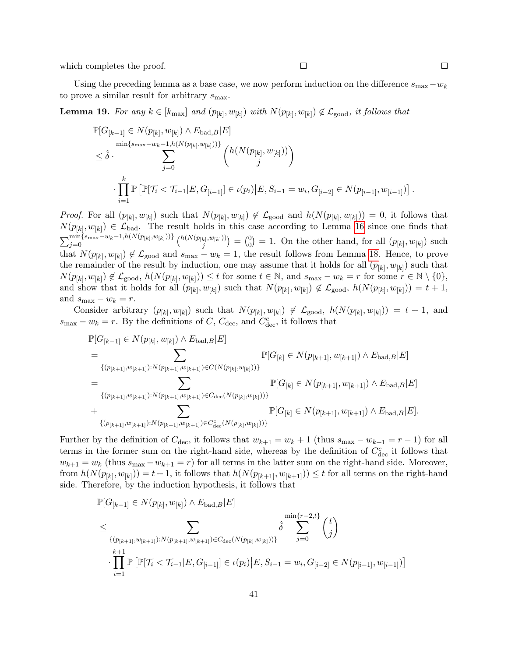which completes the proof.

Using the preceding lemma as a base case, we now perform induction on the difference  $s_{\text{max}}-w_k$ to prove a similar result for arbitrary  $s_{\text{max}}$ .

<span id="page-40-0"></span>**Lemma 19.** For any  $k \in [k_{\text{max}}]$  and  $(p_{[k]}, w_{[k]})$  with  $N(p_{[k]}, w_{[k]}) \notin \mathcal{L}_{\text{good}}$ , it follows that

$$
\mathbb{P}[G_{[k-1]} \in N(p_{[k]}, w_{[k]}) \wedge E_{\text{bad}, B} | E] \n= \hat{\delta} \cdot \sum_{j=0}^{\min\{s_{\max} - w_k - 1, h(N(p_{[k]}, w_{[k]}))\}} \binom{h(N(p_{[k]}, w_{[k]}))}{j} \n\cdot \prod_{i=1}^k \mathbb{P}[\mathbb{P}[\mathcal{T}_i < \mathcal{T}_{i-1} | E, G_{[i-1]}] \in \iota(p_i) | E, S_{i-1} = w_i, G_{[i-2]} \in N(p_{[i-1]}, w_{[i-1]})].
$$

*Proof.* For all  $(p_{[k]}, w_{[k]})$  such that  $N(p_{[k]}, w_{[k]}) \notin \mathcal{L}_{\text{good}}$  and  $h(N(p_{[k]}, w_{[k]})) = 0$ , it follows that  $N(p_{[k]}, w_{[k]}) \in \mathcal{L}_{bad}$ . The result holds in this case according to Lemma [16](#page-35-3) since one finds that  $\sum_{j=0}^{\min\{s_{\max}-w_k-1,h(N(p_{[k]},w_{[k]}))\}}\binom{h(N(p_{[k]},w_{[k]}))}{j}$  $\binom{k}{j}^{,w_{[k]}))}=\binom{0}{0}$  $\binom{0}{0}$  = 1. On the other hand, for all  $(p_{[k]}, w_{[k]})$  such that  $N(p_{[k]}, w_{[k]}) \notin \mathcal{L}_{\text{good}}$  and  $s_{\text{max}} - w_k = 1$ , the result follows from Lemma [18.](#page-39-0) Hence, to prove the remainder of the result by induction, one may assume that it holds for all  $(p_{[k]}, w_{[k]})$  such that  $N(p_{[k]}, w_{[k]}) \notin \mathcal{L}_{\text{good}}, h(N(p_{[k]}, w_{[k]})) \leq t \text{ for some } t \in \mathbb{N}, \text{ and } s_{\text{max}} - w_k = r \text{ for some } r \in \mathbb{N} \setminus \{0\},$ and show that it holds for all  $(p_{[k]}, w_{[k]})$  such that  $N(p_{[k]}, w_{[k]}) \notin \mathcal{L}_{\text{good}}, h(N(p_{[k]}, w_{[k]})) = t + 1$ , and  $s_{\text{max}} - w_k = r$ .

Consider arbitrary  $(p_{[k]}, w_{[k]})$  such that  $N(p_{[k]}, w_{[k]}) \notin \mathcal{L}_{\text{good}}$ ,  $h(N(p_{[k]}, w_{[k]})) = t + 1$ , and  $s_{\text{max}} - w_k = r$ . By the definitions of C,  $C_{\text{dec}}$ , and  $C_{\text{dec}}^c$ , it follows that

$$
\mathbb{P}[G_{[k-1]} \in N(p_{[k]}, w_{[k]}) \wedge E_{\text{bad},B} | E]
$$
\n
$$
= \sum_{\{(p_{[k+1]}, w_{[k+1]}): N(p_{[k+1]}, w_{[k+1]}) \in C(N(p_{[k]}, w_{[k]})))\}} \mathbb{P}[G_{[k]} \in N(p_{[k+1]}, w_{[k+1]}) \wedge E_{\text{bad},B} | E]
$$
\n
$$
= \sum_{\{(p_{[k+1]}, w_{[k+1]}): N(p_{[k+1]}, w_{[k+1]}) \in C_{\text{dec}}(N(p_{[k]}, w_{[k]})))\}} \mathbb{P}[G_{[k]} \in N(p_{[k+1]}, w_{[k+1]}) \wedge E_{\text{bad},B} | E]
$$
\n
$$
+ \sum_{\{(p_{[k+1]}, w_{[k+1]}): N(p_{[k+1]}, w_{[k+1]}) \in C_{\text{dec}}^c(N(p_{[k]}, w_{[k]})))\}} \mathbb{P}[G_{[k]} \in N(p_{[k+1]}, w_{[k+1]}) \wedge E_{\text{bad},B} | E].
$$

Further by the definition of  $C_{\text{dec}}$ , it follows that  $w_{k+1} = w_k + 1$  (thus  $s_{\text{max}} - w_{k+1} = r - 1$ ) for all terms in the former sum on the right-hand side, whereas by the definition of  $C_{\text{dec}}^c$  it follows that  $w_{k+1} = w_k$  (thus  $s_{\text{max}} - w_{k+1} = r$ ) for all terms in the latter sum on the right-hand side. Moreover, from  $h(N(p_{[k]}, w_{[k]})) = t + 1$ , it follows that  $h(N(p_{[k+1]}, w_{[k+1]})) \le t$  for all terms on the right-hand side. Therefore, by the induction hypothesis, it follows that

$$
\mathbb{P}[G_{[k-1]} \in N(p_{[k]}, w_{[k]}) \wedge E_{\text{bad}, B} | E] \n\leq \sum_{\{(p_{[k+1]}, w_{[k+1]}): N(p_{[k+1]}, w_{[k+1]}) \in C_{\text{dec}}(N(p_{[k]}, w_{[k]}))\}} \hat{\delta} \sum_{j=0}^{\min\{r-2, t\}} {t \choose j} \n\cdot \prod_{i=1}^{k+1} \mathbb{P}[\mathbb{P}[\mathcal{T}_i < \mathcal{T}_{i-1} | E, G_{[i-1]}] \in \iota(p_i) | E, S_{i-1} = w_i, G_{[i-2]} \in N(p_{[i-1]}, w_{[i-1]})]
$$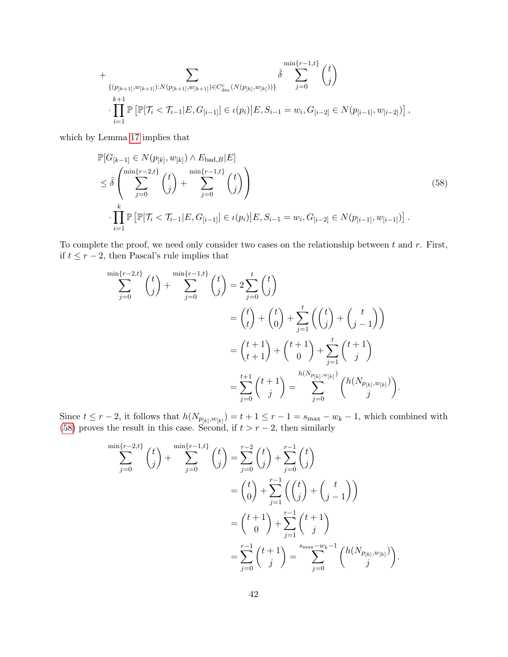+
$$
\sum_{\{(p_{[k+1]},w_{[k+1]}):N(p_{[k+1]},w_{[k+1]})\in C_{\text{dec}}^c(N(p_{[k]},w_{[k]}))\}} \hat{\delta} \sum_{j=0}^{\min\{r-1,t\}} \binom{t}{j}
$$
  
...
$$
\prod_{i=1}^{k+1} \mathbb{P}\left[\mathbb{P}[\mathcal{T}_i < \mathcal{T}_{i-1}|E,G_{[i-1]}] \in \iota(p_i) \middle| E, S_{i-1} = w_i, G_{[i-2]} \in N(p_{[i-1]},w_{[i-2]})\right],
$$

which by Lemma [17](#page-38-0) implies that

<span id="page-41-0"></span>
$$
\mathbb{P}[G_{[k-1]} \in N(p_{[k]}, w_{[k]}) \wedge E_{\text{bad}, B} | E] \n\leq \hat{\delta} \left( \sum_{j=0}^{\min\{r-2, t\}} \binom{t}{j} + \sum_{j=0}^{\min\{r-1, t\}} \binom{t}{j} \right) \n\cdot \prod_{i=1}^{k} \mathbb{P} \left[ \mathbb{P}[\mathcal{T}_i < \mathcal{T}_{i-1} | E, G_{[i-1]}] \in \iota(p_i) | E, S_{i-1} = w_i, G_{[i-2]} \in N(p_{[i-1]}, w_{[i-1]}) \right].
$$
\n(58)

To complete the proof, we need only consider two cases on the relationship between  $t$  and  $r$ . First, if  $t ≤ r - 2$ , then Pascal's rule implies that

$$
\sum_{j=0}^{\min\{r-2,t\}} \binom{t}{j} + \sum_{j=0}^{\min\{r-1,t\}} \binom{t}{j} = 2 \sum_{j=0}^t \binom{t}{j} \n= \binom{t}{t} + \binom{t}{0} + \sum_{j=1}^t \binom{t}{j} + \binom{t}{j-1} \n= \binom{t+1}{t+1} + \binom{t+1}{0} + \sum_{j=1}^t \binom{t+1}{j} \n= \sum_{j=0}^{t+1} \binom{t+1}{j} = \sum_{j=0}^{h(N_{p_{[k]},w_{[k]}})} \binom{h(N_{p_{[k]},w_{[k]}})}{j}.
$$

Since  $t \leq r-2$ , it follows that  $h(N_{p_{[k]},w_{[k]}}) = t+1 \leq r-1 = s_{\max}-w_k-1$ , which combined with [\(58\)](#page-41-0) proves the result in this case. Second, if  $t > r - 2$ , then similarly

$$
\sum_{j=0}^{\min\{r-2,t\}} \binom{t}{j} + \sum_{j=0}^{\min\{r-1,t\}} \binom{t}{j} = \sum_{j=0}^{r-2} \binom{t}{j} + \sum_{j=0}^{r-1} \binom{t}{j}
$$

$$
= \binom{t}{0} + \sum_{j=1}^{r-1} \binom{t}{j} + \binom{t}{j-1}
$$

$$
= \binom{t+1}{0} + \sum_{j=1}^{r-1} \binom{t+1}{j}
$$

$$
= \sum_{j=0}^{r-1} \binom{t+1}{j} = \sum_{j=0}^{s_{\max} - w_k - 1} \binom{h(N_{p_{[k]},w_{[k]}})}{j}
$$

.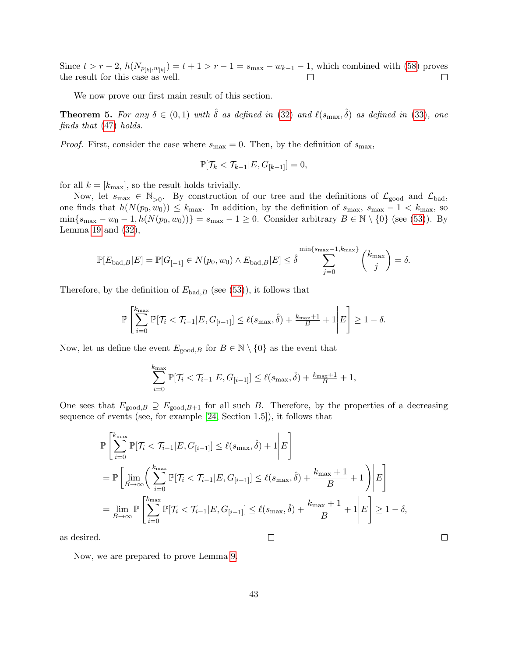Since  $t > r - 2$ ,  $h(N_{p_{[k]}, w_{[k]}}) = t + 1 > r - 1 = s_{\text{max}} - w_{k-1} - 1$ , which combined with [\(58\)](#page-41-0) proves the result for this case as well.  $\Box$  $\Box$ 

We now prove our first main result of this section.

<span id="page-42-0"></span>**Theorem 5.** For any  $\delta \in (0,1)$  with  $\hat{\delta}$  as defined in [\(32\)](#page-18-1) and  $\ell(s_{\text{max}}, \hat{\delta})$  as defined in [\(33\)](#page-18-2), one finds that [\(47\)](#page-32-1) holds.

*Proof.* First, consider the case where  $s_{\text{max}} = 0$ . Then, by the definition of  $s_{\text{max}}$ ,

$$
\mathbb{P}[\mathcal{T}_k < \mathcal{T}_{k-1} | E, G_{[k-1]}] = 0,
$$

for all  $k = [k_{\text{max}}]$ , so the result holds trivially.

Now, let  $s_{\text{max}} \in \mathbb{N}_{>0}$ . By construction of our tree and the definitions of  $\mathcal{L}_{\text{good}}$  and  $\mathcal{L}_{\text{bad}}$ , one finds that  $h(N(p_0, w_0)) \leq k_{\text{max}}$ . In addition, by the definition of  $s_{\text{max}}$ ,  $s_{\text{max}} - 1 < k_{\text{max}}$ , so  $\min\{s_{\max} - w_0 - 1, h(N(p_0, w_0))\} = s_{\max} - 1 \geq 0$ . Consider arbitrary  $B \in \mathbb{N} \setminus \{0\}$  (see [\(53\)](#page-35-1)). By Lemma [19](#page-40-0) and  $(32)$ ,

$$
\mathbb{P}[E_{\text{bad},B}|E] = \mathbb{P}[G_{[-1]} \in N(p_0, w_0) \land E_{\text{bad},B}|E] \leq \hat{\delta} \sum_{j=0}^{\min\{s_{\text{max}}-1, k_{\text{max}}\}} {k_{\text{max}} \choose j} = \delta.
$$

Therefore, by the definition of  $E_{bad,B}$  (see [\(53\)](#page-35-1)), it follows that

$$
\mathbb{P}\left[\sum_{i=0}^{k_{\max}} \mathbb{P}[\mathcal{T}_i < \mathcal{T}_{i-1} | E, G_{[i-1]}] \le \ell(s_{\max}, \hat{\delta}) + \frac{k_{\max}+1}{B} + 1 \middle| E\right] \ge 1 - \delta.
$$

Now, let us define the event  $E_{\text{good},B}$  for  $B \in \mathbb{N} \setminus \{0\}$  as the event that

$$
\sum_{i=0}^{k_{\max}} \mathbb{P}[\mathcal{T}_i < \mathcal{T}_{i-1} | E, G_{[i-1]}] \le \ell(s_{\max}, \hat{\delta}) + \frac{k_{\max}+1}{B} + 1,
$$

One sees that  $E_{\text{good},B} \supseteq E_{\text{good},B+1}$  for all such B. Therefore, by the properties of a decreasing sequence of events (see, for example [\[24,](#page-30-10) Section 1.5]), it follows that

$$
\mathbb{P}\left[\sum_{i=0}^{k_{\max}} \mathbb{P}[\mathcal{T}_i < \mathcal{T}_{i-1}|E, G_{[i-1]}] \leq \ell(s_{\max}, \hat{\delta}) + 1 \middle| E\right]
$$
\n
$$
= \mathbb{P}\left[\lim_{B \to \infty} \left(\sum_{i=0}^{k_{\max}} \mathbb{P}[\mathcal{T}_i < \mathcal{T}_{i-1}|E, G_{[i-1]}] \leq \ell(s_{\max}, \hat{\delta}) + \frac{k_{\max} + 1}{B} + 1\right) \middle| E\right]
$$
\n
$$
= \lim_{B \to \infty} \mathbb{P}\left[\sum_{i=0}^{k_{\max}} \mathbb{P}[\mathcal{T}_i < \mathcal{T}_{i-1}|E, G_{[i-1]}] \leq \ell(s_{\max}, \hat{\delta}) + \frac{k_{\max} + 1}{B} + 1 \middle| E\right] \geq 1 - \delta,
$$

 $\Box$ 

 $\Box$ 

as desired.

Now, we are prepared to prove Lemma [9.](#page-19-0)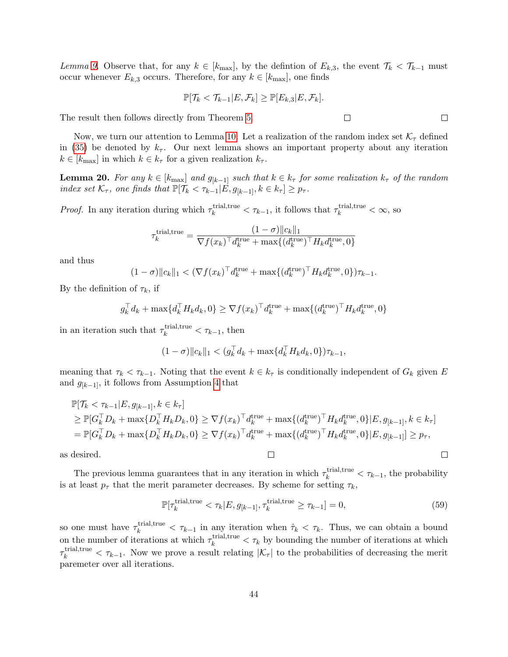Lemma [9.](#page-19-0) Observe that, for any  $k \in [k_{\text{max}}]$ , by the defintion of  $E_{k,3}$ , the event  $\mathcal{T}_k < \mathcal{T}_{k-1}$  must occur whenever  $E_{k,3}$  occurs. Therefore, for any  $k \in [k_{\text{max}}]$ , one finds

$$
\mathbb{P}[\mathcal{T}_k < \mathcal{T}_{k-1} | E, \mathcal{F}_k] \geq \mathbb{P}[E_{k,3} | E, \mathcal{F}_k].
$$

The result then follows directly from Theorem [5.](#page-42-0)

Now, we turn our attention to Lemma [10.](#page-19-1) Let a realization of the random index set  $\mathcal{K}_{\tau}$  defined in [\(35\)](#page-19-2) be denoted by  $k_{\tau}$ . Our next lemma shows an important property about any iteration  $k \in [k_{\text{max}}]$  in which  $k \in k_{\tau}$  for a given realization  $k_{\tau}$ .

<span id="page-43-0"></span>**Lemma 20.** For any  $k \in [k_{\text{max}}]$  and  $g_{k-1}$  such that  $k \in k_{\tau}$  for some realization  $k_{\tau}$  of the random index set  $\mathcal{K}_{\tau}$ , one finds that  $\mathbb{P}[\mathcal{T}_{k} < \tau_{k-1} | E, g_{k-1}, k \in k_{\tau}] \geq p_{\tau}$ .

*Proof.* In any iteration during which  $\tau_k^{\text{trial,true}} < \tau_{k-1}$ , it follows that  $\tau_k^{\text{trial,true}} < \infty$ , so

$$
\tau_k^{\text{trial,true}} = \frac{(1-\sigma) \|c_k\|_1}{\nabla f(x_k)^\top d_k^{\text{true}} + \max\{ (d_k^{\text{true}})^\top H_k d_k^{\text{true}}, 0 \}}
$$

and thus

$$
(1 - \sigma) \|c_k\|_1 < (\nabla f(x_k)^\top d_k^{\text{true}} + \max\{(d_k^{\text{true}})^\top H_k d_k^{\text{true}}, 0\})\tau_{k-1}.
$$

By the definition of  $\tau_k$ , if

$$
g_k^{\top} d_k + \max\{d_k^{\top} H_k d_k, 0\} \geq \nabla f(x_k)^{\top} d_k^{\text{true}} + \max\{(d_k^{\text{true}})^{\top} H_k d_k^{\text{true}}, 0\}
$$

in an iteration such that  $\tau_k^{\text{trial,true}} < \tau_{k-1}$ , then

$$
(1 - \sigma) \|c_k\|_1 < (g_k^\top d_k + \max\{d_k^\top H_k d_k, 0\}) \tau_{k-1},
$$

meaning that  $\tau_k < \tau_{k-1}$ . Noting that the event  $k \in k_{\tau}$  is conditionally independent of  $G_k$  given E and  $g_{[k-1]}$ , it follows from Assumption [4](#page-11-3) that

$$
\mathbb{P}[\mathcal{T}_{k} < \tau_{k-1} | E, g_{[k-1]}, k \in k_{\tau}]
$$
\n
$$
\geq \mathbb{P}[G_{k}^{\top} D_{k} + \max\{D_{k}^{\top} H_{k} D_{k}, 0\} \geq \nabla f(x_{k})^{\top} d_{k}^{\text{true}} + \max\{(d_{k}^{\text{true}})^{\top} H_{k} d_{k}^{\text{true}}, 0\} | E, g_{[k-1]}, k \in k_{\tau}]
$$
\n
$$
= \mathbb{P}[G_{k}^{\top} D_{k} + \max\{D_{k}^{\top} H_{k} D_{k}, 0\} \geq \nabla f(x_{k})^{\top} d_{k}^{\text{true}} + \max\{(d_{k}^{\text{true}})^{\top} H_{k} d_{k}^{\text{true}}, 0\} | E, g_{[k-1]}] \geq p_{\tau},
$$

 $\Box$ 

as desired.

The previous lemma guarantees that in any iteration in which  $\tau_k^{\text{trial,true}} < \tau_{k-1}$ , the probability is at least  $p_{\tau}$  that the merit parameter decreases. By scheme for setting  $\tau_k$ ,

$$
\mathbb{P}[\tau_k^{\text{trial,true}} < \tau_k | E, g_{[k-1]}, \tau_k^{\text{trial,true}} \ge \tau_{k-1}] = 0,\tag{59}
$$

so one must have  $\tau_k^{\text{trial,true}} < \tau_{k-1}$  in any iteration when  $\hat{\tau}_k < \tau_k$ . Thus, we can obtain a bound on the number of iterations at which  $\tau_k^{\text{trial,true}} < \tau_k$  by bounding the number of iterations at which  $\tau_k^{\text{trial,true}} < \tau_{k-1}$ . Now we prove a result relating  $|\mathcal{K}_{\tau}|$  to the probabilities of decreasing the merit paremeter over all iterations.

 $\Box$ 

 $\Box$ 

 $\Box$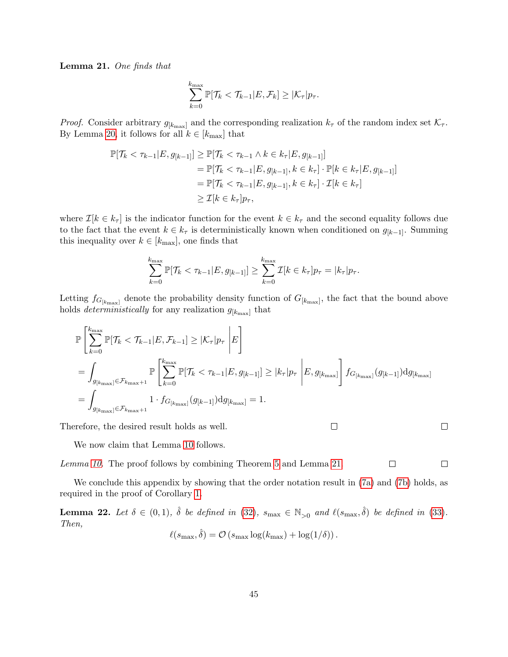<span id="page-44-1"></span>Lemma 21. One finds that

$$
\sum_{k=0}^{k_{\max}} \mathbb{P}[\mathcal{T}_k < \mathcal{T}_{k-1} | E, \mathcal{F}_k] \geq |\mathcal{K}_{\tau}| p_{\tau}.
$$

*Proof.* Consider arbitrary  $g_{k_{\text{max}}}$  and the corresponding realization  $k_{\tau}$  of the random index set  $\mathcal{K}_{\tau}$ . By Lemma [20,](#page-43-0) it follows for all  $k \in [k_{\text{max}}]$  that

$$
\mathbb{P}[\mathcal{T}_k < \tau_{k-1} | E, g_{[k-1]}] \ge \mathbb{P}[\mathcal{T}_k < \tau_{k-1} \land k \in k_\tau | E, g_{[k-1]}]
$$
\n
$$
= \mathbb{P}[\mathcal{T}_k < \tau_{k-1} | E, g_{[k-1]}, k \in k_\tau] \cdot \mathbb{P}[k \in k_\tau | E, g_{[k-1]}]
$$
\n
$$
= \mathbb{P}[\mathcal{T}_k < \tau_{k-1} | E, g_{[k-1]}, k \in k_\tau] \cdot \mathcal{I}[k \in k_\tau]
$$
\n
$$
\ge \mathcal{I}[k \in k_\tau] p_\tau,
$$

where  $\mathcal{I}[k \in k_{\tau}]$  is the indicator function for the event  $k \in k_{\tau}$  and the second equality follows due to the fact that the event  $k \in k_{\tau}$  is deterministically known when conditioned on  $g_{[k-1]}$ . Summing this inequality over  $k \in [k_{\text{max}}]$ , one finds that

$$
\sum_{k=0}^{k_{\max}} \mathbb{P}[\mathcal{T}_k < \tau_{k-1} | E, g_{[k-1]}] \geq \sum_{k=0}^{k_{\max}} \mathcal{I}[k \in k_{\tau}] p_{\tau} = |k_{\tau}| p_{\tau}.
$$

Letting  $f_{G_{[k_{\text{max}}]}}$  denote the probability density function of  $G_{[k_{\text{max}}]}$ , the fact that the bound above holds *deterministically* for any realization  $g_{[k_{\text{max}}]}$  that

$$
\mathbb{P}\left[\sum_{k=0}^{k_{\max}} \mathbb{P}[\mathcal{T}_{k} < \mathcal{T}_{k-1}|E, \mathcal{F}_{k-1}] \geq |\mathcal{K}_{\tau}|p_{\tau} | E \right]
$$
\n
$$
= \int_{g_{[k_{\max}]}\in \mathcal{F}_{k_{\max}+1}} \mathbb{P}\left[\sum_{k=0}^{k_{\max}} \mathbb{P}[\mathcal{T}_{k} < \mathcal{T}_{k-1}|E, g_{[k-1]}] \geq |k_{\tau}|p_{\tau} | E, g_{[k_{\max}]} \right] f_{G_{[k_{\max}]}}(g_{[k-1]}) dg_{[k_{\max}]}
$$
\n
$$
= \int_{g_{[k_{\max}]}\in \mathcal{F}_{k_{\max}+1}} 1 \cdot f_{G_{[k_{\max}]}}(g_{[k-1]}) dg_{[k_{\max}]} = 1.
$$

 $\Box$ 

Therefore, the desired result holds as well.

We now claim that Lemma [10](#page-19-1) follows.

Lemma [10.](#page-19-1) The proof follows by combining Theorem [5](#page-42-0) and Lemma [21.](#page-44-1)

We conclude this appendix by showing that the order notation result in  $(7a)$  and  $(7b)$  holds, as required in the proof of Corollary [1.](#page-24-0)

<span id="page-44-0"></span>**Lemma 22.** Let  $\delta \in (0,1)$ ,  $\hat{\delta}$  be defined in [\(32\)](#page-18-1),  $s_{\text{max}} \in \mathbb{N}_{>0}$  and  $\ell(s_{\text{max}}, \hat{\delta})$  be defined in [\(33\)](#page-18-2). Then,

$$
\ell(s_{\max}, \hat{\delta}) = \mathcal{O}(s_{\max} \log(k_{\max}) + \log(1/\delta)).
$$

 $\Box$ 

 $\Box$ 

 $\Box$